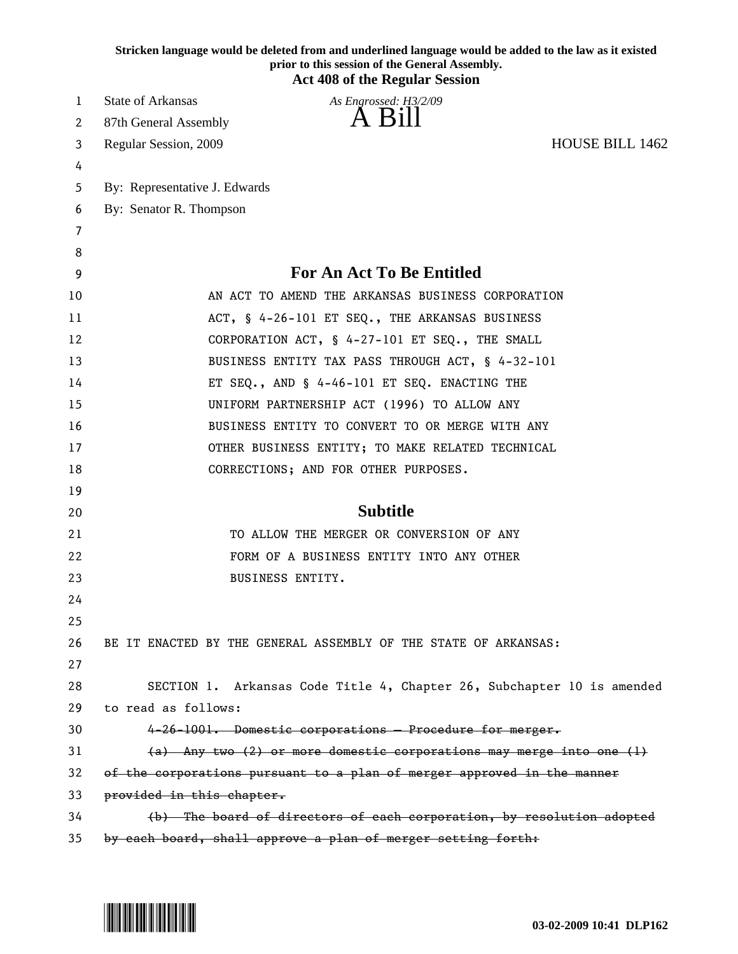|    | Stricken language would be deleted from and underlined language would be added to the law as it existed<br>prior to this session of the General Assembly.<br><b>Act 408 of the Regular Session</b> |
|----|----------------------------------------------------------------------------------------------------------------------------------------------------------------------------------------------------|
| 1  | <b>State of Arkansas</b><br>As Engrossed: H3/2/09                                                                                                                                                  |
| 2  | A Bill<br>87th General Assembly                                                                                                                                                                    |
| 3  | <b>HOUSE BILL 1462</b><br>Regular Session, 2009                                                                                                                                                    |
| 4  |                                                                                                                                                                                                    |
| 5  | By: Representative J. Edwards                                                                                                                                                                      |
| 6  | By: Senator R. Thompson                                                                                                                                                                            |
| 7  |                                                                                                                                                                                                    |
| 8  |                                                                                                                                                                                                    |
| 9  | For An Act To Be Entitled                                                                                                                                                                          |
| 10 | AN ACT TO AMEND THE ARKANSAS BUSINESS CORPORATION                                                                                                                                                  |
| 11 | ACT, § 4-26-101 ET SEQ., THE ARKANSAS BUSINESS                                                                                                                                                     |
| 12 | CORPORATION ACT, § 4-27-101 ET SEQ., THE SMALL                                                                                                                                                     |
| 13 | BUSINESS ENTITY TAX PASS THROUGH ACT, § 4-32-101                                                                                                                                                   |
| 14 | ET SEQ., AND § 4-46-101 ET SEQ. ENACTING THE                                                                                                                                                       |
| 15 | UNIFORM PARTNERSHIP ACT (1996) TO ALLOW ANY                                                                                                                                                        |
| 16 | BUSINESS ENTITY TO CONVERT TO OR MERGE WITH ANY                                                                                                                                                    |
| 17 | OTHER BUSINESS ENTITY; TO MAKE RELATED TECHNICAL                                                                                                                                                   |
| 18 | CORRECTIONS; AND FOR OTHER PURPOSES.                                                                                                                                                               |
| 19 |                                                                                                                                                                                                    |
| 20 | <b>Subtitle</b>                                                                                                                                                                                    |
| 21 | TO ALLOW THE MERGER OR CONVERSION OF ANY                                                                                                                                                           |
| 22 | FORM OF A BUSINESS ENTITY INTO ANY OTHER                                                                                                                                                           |
| 23 | <b>BUSINESS ENTITY.</b>                                                                                                                                                                            |
| 24 |                                                                                                                                                                                                    |
| 25 |                                                                                                                                                                                                    |
| 26 | BE IT ENACTED BY THE GENERAL ASSEMBLY OF THE STATE OF ARKANSAS:                                                                                                                                    |
| 27 |                                                                                                                                                                                                    |
| 28 | SECTION 1. Arkansas Code Title 4, Chapter 26, Subchapter 10 is amended                                                                                                                             |
| 29 | to read as follows:                                                                                                                                                                                |
| 30 | 4-26-1001. Domestic corporations - Procedure for merger.                                                                                                                                           |
| 31 | $(a)$ Any two $(2)$ or more domestic corporations may merge into one $(1)$                                                                                                                         |
| 32 | of the corporations pursuant to a plan of merger approved in the manner                                                                                                                            |
| 33 | provided in this chapter.                                                                                                                                                                          |
| 34 | (b) The board of directors of each corporation, by resolution adopted                                                                                                                              |
| 35 | by each board, shall approve a plan of merger setting forth:                                                                                                                                       |

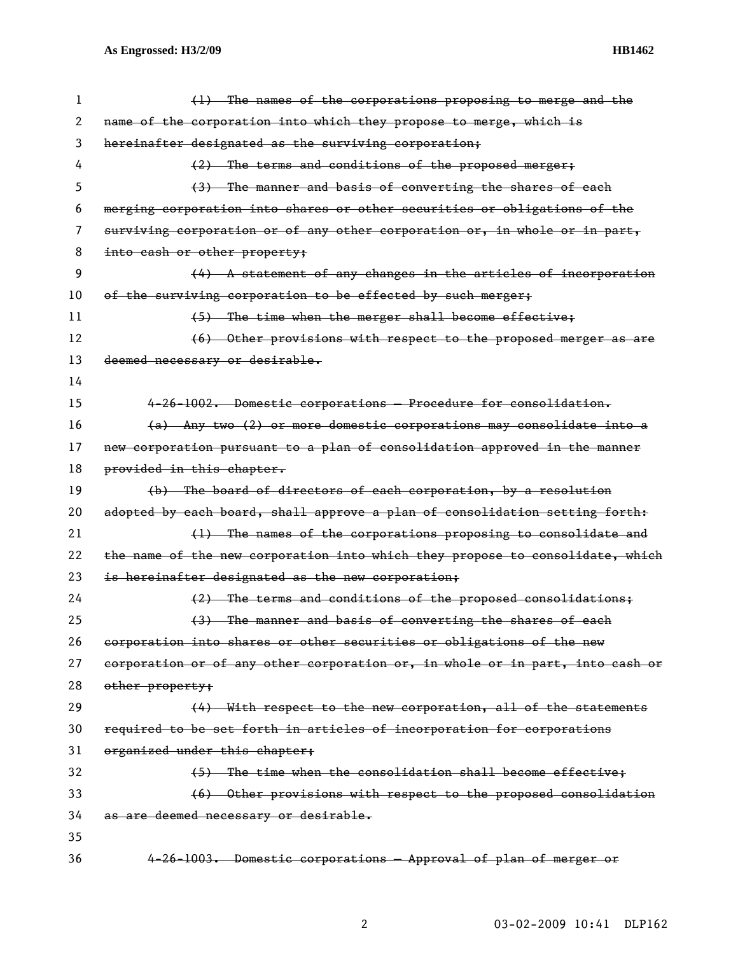| 1  | (1) The names of the corporations proposing to merge and the                  |
|----|-------------------------------------------------------------------------------|
| 2  | name of the corporation into which they propose to merge, which is            |
| 3  | hereinafter designated as the surviving corporation;                          |
| 4  | (2) The terms and conditions of the proposed merger;                          |
| 5  | (3) The manner and basis of converting the shares of each                     |
| 6  | merging corporation into shares or other securities or obligations of the     |
| 7  | surviving corporation or of any other corporation or, in whole or in part,    |
| 8  | into eash or other property;                                                  |
| 9  | (4) A statement of any changes in the articles of incorporation               |
| 10 | of the surviving corporation to be effected by such merger;                   |
| 11 | (5) The time when the merger shall become effective;                          |
| 12 | (6) Other provisions with respect to the proposed merger as are               |
| 13 | deemed necessary or desirable.                                                |
| 14 |                                                                               |
| 15 | 4-26-1002. Domestic corporations - Procedure for consolidation.               |
| 16 | (a) Any two (2) or more domestic corporations may consolidate into a          |
| 17 | new corporation pursuant to a plan of consolidation approved in the manner    |
| 18 | provided in this chapter.                                                     |
| 19 | (b) The board of directors of each corporation, by a resolution               |
| 20 | adopted by each board, shall approve a plan of consolidation setting forth:   |
| 21 | (1) The names of the corporations proposing to consolidate and                |
| 22 | the name of the new corporation into which they propose to consolidate, which |
| 23 | is hereinafter designated as the new corporation;                             |
| 24 | (2) The terms and conditions of the proposed consolidations;                  |
| 25 | (3) The manner and basis of converting the shares of each                     |
| 26 | corporation into shares or other securities or obligations of the new         |
| 27 | corporation or of any other corporation or, in whole or in part, into cash or |
| 28 | other property;                                                               |
| 29 | (4) With respect to the new corporation, all of the statements                |
| 30 | required to be set forth in articles of incorporation for corporations        |
| 31 | organized under this chapter;                                                 |
| 32 | (5) The time when the consolidation shall become effective;                   |
| 33 | (6) Other provisions with respect to the proposed consolidation               |
| 34 | as are deemed necessary or desirable.                                         |
| 35 |                                                                               |
| 36 | 4-26-1003. Domestic corporations - Approval of plan of merger or              |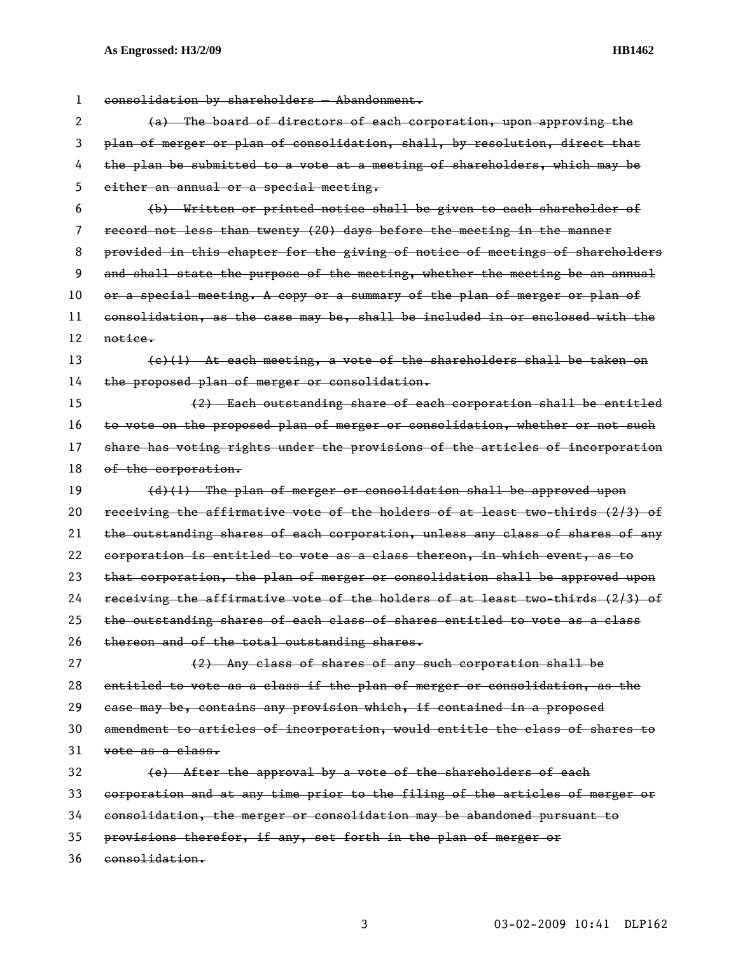1 consolidation by shareholders — Abandonment. 2 (a) The board of directors of each corporation, upon approving the 3 plan of merger or plan of consolidation, shall, by resolution, direct that 4 the plan be submitted to a vote at a meeting of shareholders, which may be 5 either an annual or a special meeting. 6 (b) Written or printed notice shall be given to each shareholder of 7 record not less than twenty (20) days before the meeting in the manner 8 provided in this chapter for the giving of notice of meetings of shareholders 9 and shall state the purpose of the meeting, whether the meeting be an annual 10 or a special meeting. A copy or a summary of the plan of merger or plan of 11 consolidation, as the case may be, shall be included in or enclosed with the 12 notice. 13 (c)(1) At each meeting, a vote of the shareholders shall be taken on 14 the proposed plan of merger or consolidation. 15 (2) Each outstanding share of each corporation shall be entitled 16 to vote on the proposed plan of merger or consolidation, whether or not such 17 share has voting rights under the provisions of the articles of incorporation 18 of the corporation.  $19$  (d)(1) The plan of merger or consolidation shall be approved upon 20 receiving the affirmative vote of the holders of at least two-thirds (2/3) of 21 the outstanding shares of each corporation, unless any class of shares of any 22 corporation is entitled to vote as a class thereon, in which event, as to 23 that corporation, the plan of merger or consolidation shall be approved upon 24 receiving the affirmative vote of the holders of at least two-thirds (2/3) of 25 the outstanding shares of each class of shares entitled to vote as a class 26 thereon and of the total outstanding shares. 27 (2) Any class of shares of any such corporation shall be 28 entitled to vote as a class if the plan of merger or consolidation, as the 29 case may be, contains any provision which, if contained in a proposed 30 amendment to articles of incorporation, would entitle the class of shares to 31 vote as a class. 32 (e) After the approval by a vote of the shareholders of each 33 corporation and at any time prior to the filing of the articles of merger or 34 consolidation, the merger or consolidation may be abandoned pursuant to 35 provisions therefor, if any, set forth in the plan of merger or 36 consolidation.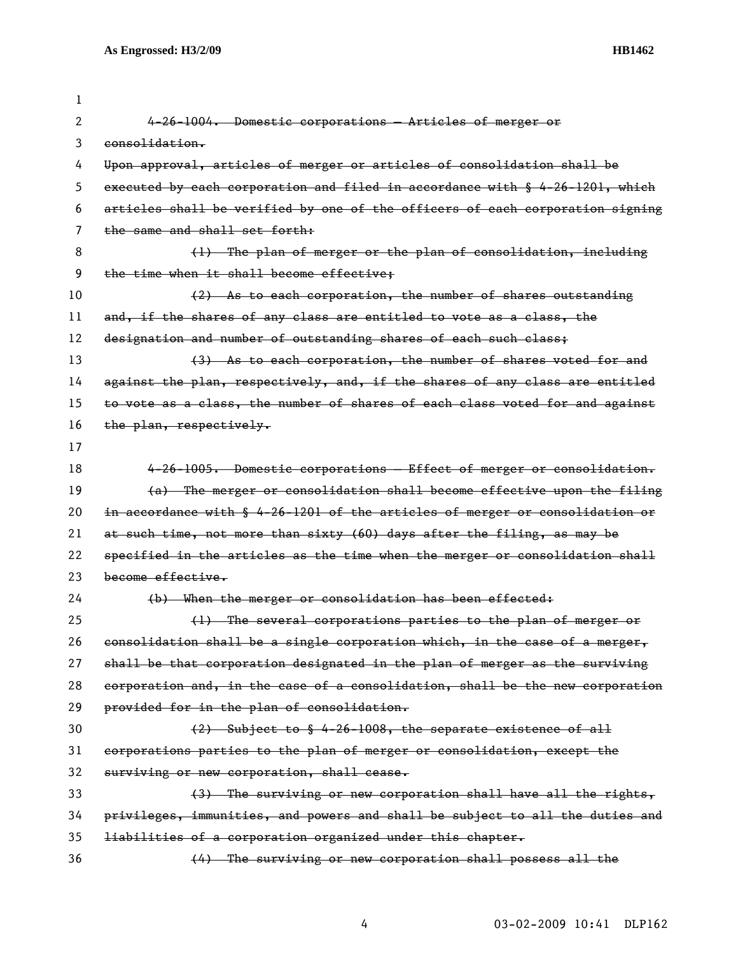7 the same and shall set forth:

3 consolidation.

2 4-26-1004. Domestic corporations — Articles of merger or 4 Upon approval, articles of merger or articles of consolidation shall be 5 executed by each corporation and filed in accordance with § 4-26-1201, which 6 articles shall be verified by one of the officers of each corporation signing 8 (1) The plan of merger or the plan of consolidation, including 9 the time when it shall become effective;

10 (2) As to each corporation, the number of shares outstanding 11 and, if the shares of any class are entitled to vote as a class, the

12 designation and number of outstanding shares of each such class;

13 (3) As to each corporation, the number of shares voted for and 14 against the plan, respectively, and, if the shares of any class are entitled 15 to vote as a class, the number of shares of each class voted for and against 16 the plan, respectively.

17

1

18 4-26-1005. Domestic corporations — Effect of merger or consolidation. 19 (a) The merger or consolidation shall become effective upon the filing 20 in accordance with § 4-26-1201 of the articles of merger or consolidation or 21 at such time, not more than sixty (60) days after the filing, as may be 22 specified in the articles as the time when the merger or consolidation shall 23 become effective.

24 (b) When the merger or consolidation has been effected:

25 (1) The several corporations parties to the plan of merger or 26 consolidation shall be a single corporation which, in the case of a merger, 27 shall be that corporation designated in the plan of merger as the surviving 28 corporation and, in the case of a consolidation, shall be the new corporation 29 provided for in the plan of consolidation.

| 30 | $(2)$ Subject to $\frac{6}{5}$ 4-26-1008, the separate existence of all    |
|----|----------------------------------------------------------------------------|
|    | 31 corporations parties to the plan of merger or consolidation, except the |
|    | 32 surviving or new corporation, shall cease.                              |

33 (3) The surviving or new corporation shall have all the rights, 34 privileges, immunities, and powers and shall be subject to all the duties and 35 liabilities of a corporation organized under this chapter.

36 (4) The surviving or new corporation shall possess all the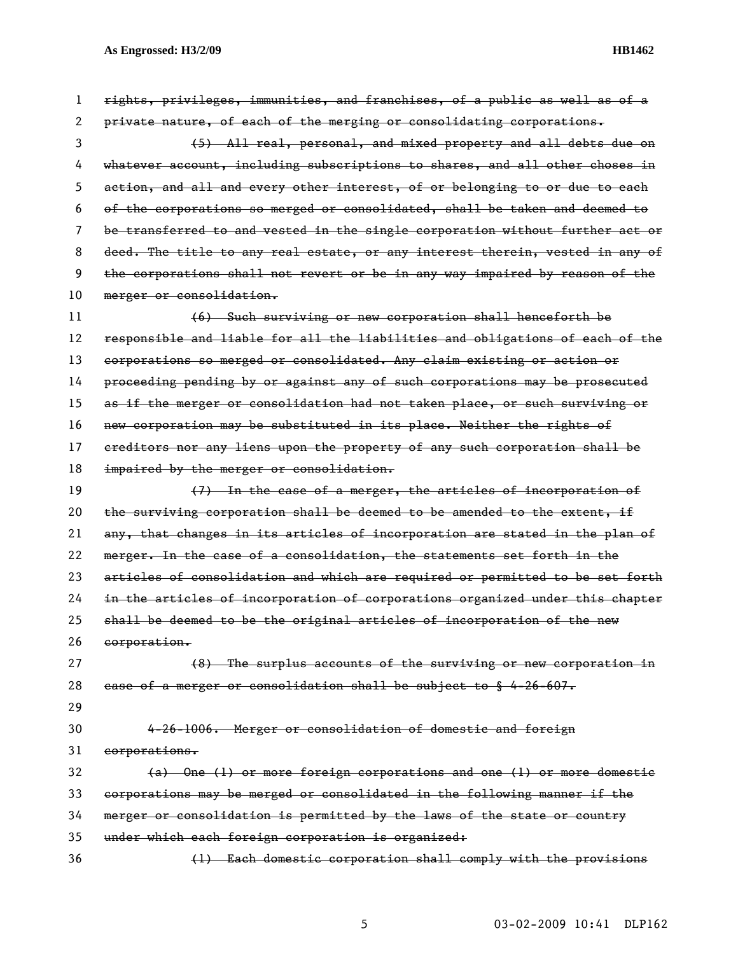| $\mathbf{1}$ | rights, privileges, immunities, and franchises, of a public as well as of a   |
|--------------|-------------------------------------------------------------------------------|
| 2            | private nature, of each of the merging or consolidating corporations.         |
| 3            | (5) All real, personal, and mixed property and all debts due on               |
| 4            | whatever account, including subscriptions to shares, and all other choses in  |
| 5            | action, and all and every other interest, of or belonging to or due to each   |
| 6            | of the corporations so merged or consolidated, shall be taken and deemed to   |
| 7            | be transferred to and vested in the single corporation without further act or |
| 8            | deed. The title to any real estate, or any interest therein, vested in any of |
| 9            | the corporations shall not revert or be in any way impaired by reason of the  |
| 10           | merger or consolidation.                                                      |
| 11           | (6) Such surviving or new corporation shall henceforth be                     |
| 12           | responsible and liable for all the liabilities and obligations of each of the |
| 13           | corporations so merged or consolidated. Any claim existing or action or       |
| 14           | proceeding pending by or against any of such corporations may be prosecuted   |
| 15           | as if the merger or consolidation had not taken place, or such surviving or   |
| 16           | new corporation may be substituted in its place. Neither the rights of        |
| 17           | ereditors nor any liens upon the property of any such corporation shall be    |
| 18           | impaired by the merger or consolidation.                                      |
| 19           | (7) In the case of a merger, the articles of incorporation of                 |
|              |                                                                               |
| 20           | the surviving corporation shall be deemed to be amended to the extent, if     |
| 21           | any, that changes in its articles of incorporation are stated in the plan of  |
| 22           | merger. In the case of a consolidation, the statements set forth in the       |
| 23           | articles of consolidation and which are required or permitted to be set forth |
| 24           | in the articles of incorporation of corporations organized under this chapter |
| 25           | shall be deemed to be the original articles of incorporation of the new       |
| 26           | corporation.                                                                  |
| 27           | (8) The surplus accounts of the surviving or new corporation in               |
| 28           | ease of a merger or consolidation shall be subject to § 4-26-607.             |
| 29           |                                                                               |
| 30           | 4-26-1006. Merger or consolidation of domestic and foreign                    |
| 31           | corporations.                                                                 |
| 32           | (a) One (1) or more foreign corporations and one (1) or more domestic         |
| 33           | corporations may be merged or consolidated in the following manner if the     |
| 34           | merger or consolidation is permitted by the laws of the state or country      |
| 35           | under which each foreign corporation is organized:                            |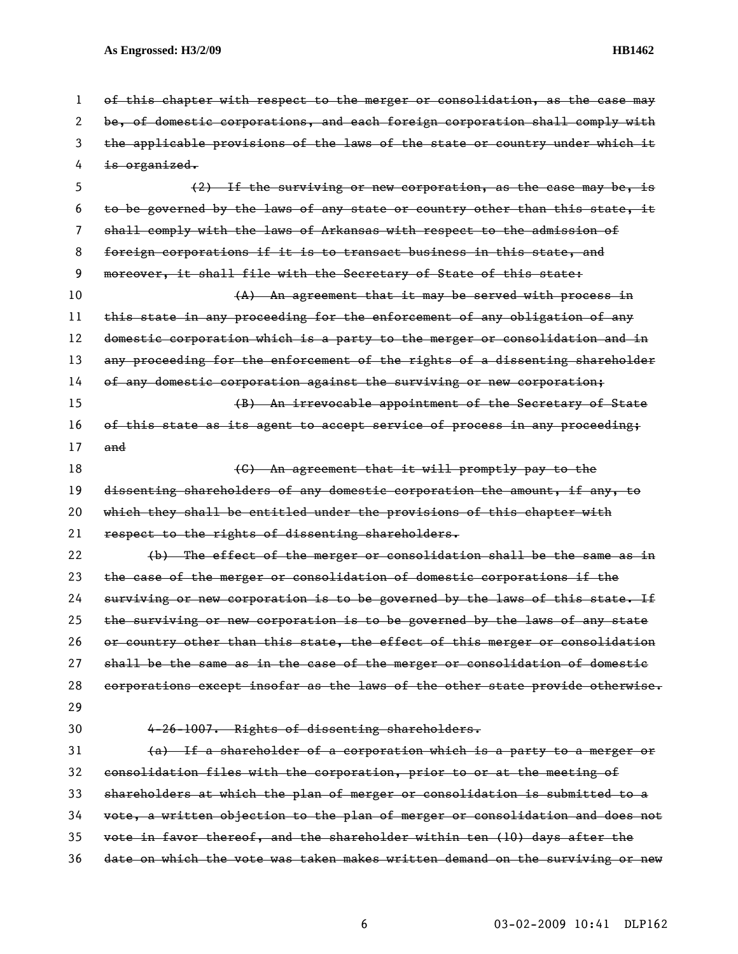1 of this chapter with respect to the merger or consolidation, as the case may 2 be, of domestic corporations, and each foreign corporation shall comply with 3 the applicable provisions of the laws of the state or country under which it 4 <del>is organized.</del> 5 (2) If the surviving or new corporation, as the case may be, is 6 to be governed by the laws of any state or country other than this state, it 7 shall comply with the laws of Arkansas with respect to the admission of 8 foreign corporations if it is to transact business in this state, and 9 moreover, it shall file with the Secretary of State of this state: 10 (A) An agreement that it may be served with process in 11 this state in any proceeding for the enforcement of any obligation of any 12 domestic corporation which is a party to the merger or consolidation and in 13 any proceeding for the enforcement of the rights of a dissenting shareholder 14 of any domestic corporation against the surviving or new corporation; 15 (B) An irrevocable appointment of the Secretary of State 16 of this state as its agent to accept service of process in any proceeding; 17 and 18 (C) An agreement that it will promptly pay to the 19 dissenting shareholders of any domestic corporation the amount, if any, to 20 which they shall be entitled under the provisions of this chapter with 21 respect to the rights of dissenting shareholders. 22 (b) The effect of the merger or consolidation shall be the same as in 23 the case of the merger or consolidation of domestic corporations if the 24 surviving or new corporation is to be governed by the laws of this state. If 25 the surviving or new corporation is to be governed by the laws of any state 26 or country other than this state, the effect of this merger or consolidation 27 shall be the same as in the case of the merger or consolidation of domestic 28 corporations except insofar as the laws of the other state provide otherwise. 29 30 4-26-1007. Rights of dissenting shareholders. 31 (a) If a shareholder of a corporation which is a party to a merger or 32 consolidation files with the corporation, prior to or at the meeting of 33 shareholders at which the plan of merger or consolidation is submitted to a 34 vote, a written objection to the plan of merger or consolidation and does not 35 vote in favor thereof, and the shareholder within ten (10) days after the 36 date on which the vote was taken makes written demand on the surviving or new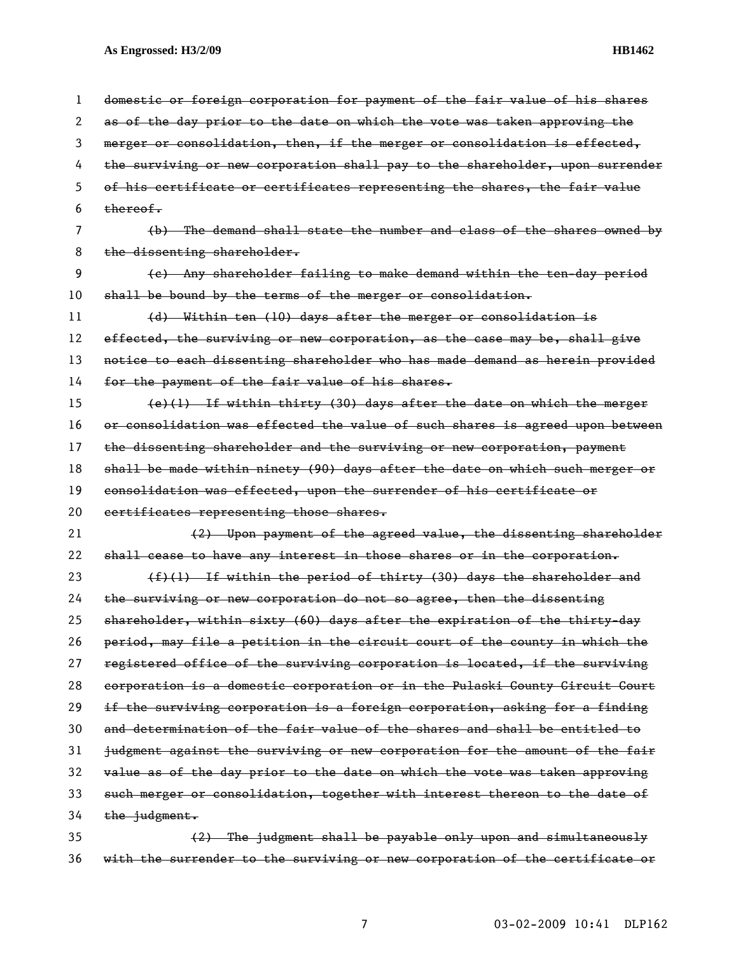1 domestic or foreign corporation for payment of the fair value of his shares 2 as of the day prior to the date on which the vote was taken approving the 3 merger or consolidation, then, if the merger or consolidation is effected, 4 the surviving or new corporation shall pay to the shareholder, upon surrender 5 of his certificate or certificates representing the shares, the fair value  $6$  thereof. 7 (b) The demand shall state the number and class of the shares owned by 8 the dissenting shareholder. 9 (c) Any shareholder failing to make demand within the ten-day period 10 shall be bound by the terms of the merger or consolidation. 11 (d) Within ten (10) days after the merger or consolidation is 12 effected, the surviving or new corporation, as the case may be, shall give 13 notice to each dissenting shareholder who has made demand as herein provided 14 for the payment of the fair value of his shares. 15 (e)(1) If within thirty (30) days after the date on which the merger 16 or consolidation was effected the value of such shares is agreed upon between 17 the dissenting shareholder and the surviving or new corporation, payment 18 shall be made within ninety (90) days after the date on which such merger or 19 consolidation was effected, upon the surrender of his certificate or 20 certificates representing those shares. 21 (2) Upon payment of the agreed value, the dissenting shareholder 22 shall cease to have any interest in those shares or in the corporation. 23  $(f)(1)$  If within the period of thirty (30) days the shareholder and 24 the surviving or new corporation do not so agree, then the dissenting 25 shareholder, within sixty (60) days after the expiration of the thirty-day 26 period, may file a petition in the circuit court of the county in which the 27 registered office of the surviving corporation is located, if the surviving 28 corporation is a domestic corporation or in the Pulaski County Circuit Court 29 if the surviving corporation is a foreign corporation, asking for a finding 30 and determination of the fair value of the shares and shall be entitled to 31 judgment against the surviving or new corporation for the amount of the fair 32 value as of the day prior to the date on which the vote was taken approving 33 such merger or consolidation, together with interest thereon to the date of  $34$  the judgment. 35 (2) The judgment shall be payable only upon and simultaneously 36 with the surrender to the surviving or new corporation of the certificate or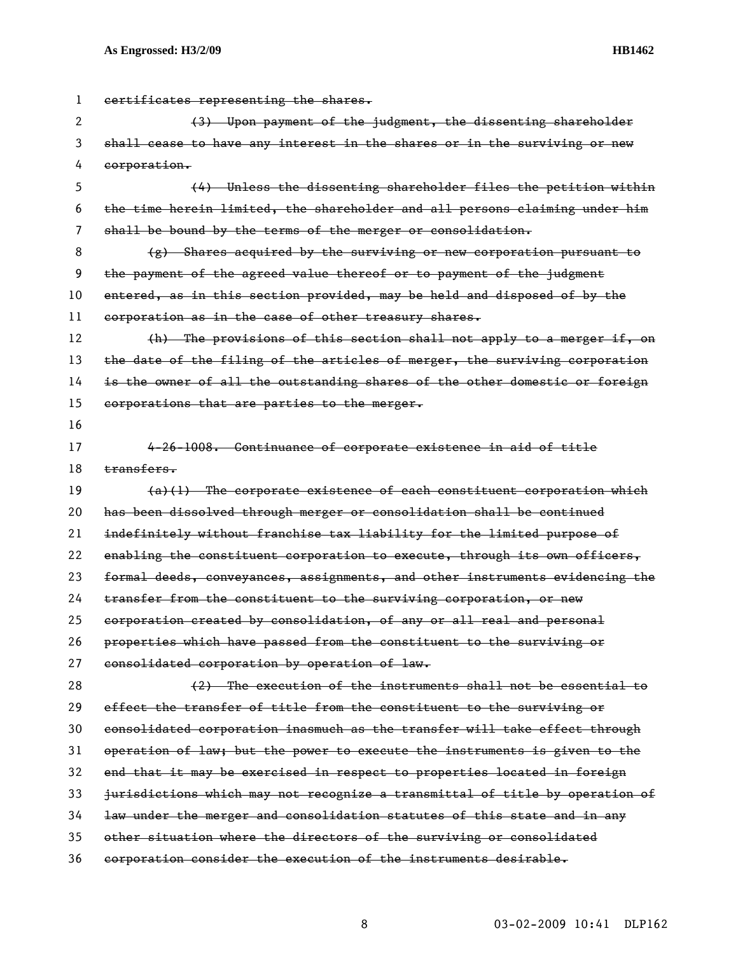| 1  | certificates representing the shares.                                        |
|----|------------------------------------------------------------------------------|
| 2  | (3) Upon payment of the judgment, the dissenting shareholder                 |
| 3  | shall cease to have any interest in the shares or in the surviving or new    |
| 4  | corporation.                                                                 |
| 5  | (4) Unless the dissenting shareholder files the petition within              |
| 6  | the time herein limited, the shareholder and all persons claiming under him  |
| 7  | shall be bound by the terms of the merger or consolidation.                  |
| 8  | $(g)$ Shares acquired by the surviving or new corporation pursuant to        |
| 9  | the payment of the agreed value thereof or to payment of the judgment        |
| 10 | entered, as in this section provided, may be held and disposed of by the     |
| 11 | corporation as in the case of other treasury shares.                         |
| 12 | (h) The provisions of this section shall not apply to a merger if, on        |
| 13 | the date of the filing of the articles of merger, the surviving corporation  |
| 14 | is the owner of all the outstanding shares of the other domestic or foreign  |
| 15 | corporations that are parties to the merger.                                 |
| 16 |                                                                              |
| 17 | 4-26-1008. Continuance of corporate existence in aid of title                |
| 18 | transfers.                                                                   |
| 19 | $(a)(1)$ The corporate existence of each constituent corporation which       |
| 20 | has been dissolved through merger or consolidation shall be continued        |
| 21 | indefinitely without franchise tax liability for the limited purpose of      |
| 22 | enabling the constituent corporation to execute, through its own officers,   |
| 23 | formal deeds, conveyances, assignments, and other instruments evidencing the |
| 24 | transfer from the constituent to the surviving corporation, or new           |
| 25 | corporation created by consolidation, of any or all real and personal        |
| 26 | properties which have passed from the constituent to the surviving or        |
| 27 | consolidated corporation by operation of law.                                |
| 28 | (2) The execution of the instruments shall not be essential to               |
| 29 | effect the transfer of title from the constituent to the surviving or        |
| 30 | consolidated corporation inasmuch as the transfer will take effect through   |
| 31 | operation of law; but the power to execute the instruments is given to the   |
| 32 | end that it may be exercised in respect to properties located in foreign     |
| 33 | jurisdictions which may not recognize a transmittal of title by operation of |
| 34 | law under the merger and consolidation statutes of this state and in any     |
| 35 | other situation where the directors of the surviving or consolidated         |
| 36 | corporation consider the execution of the instruments desirable.             |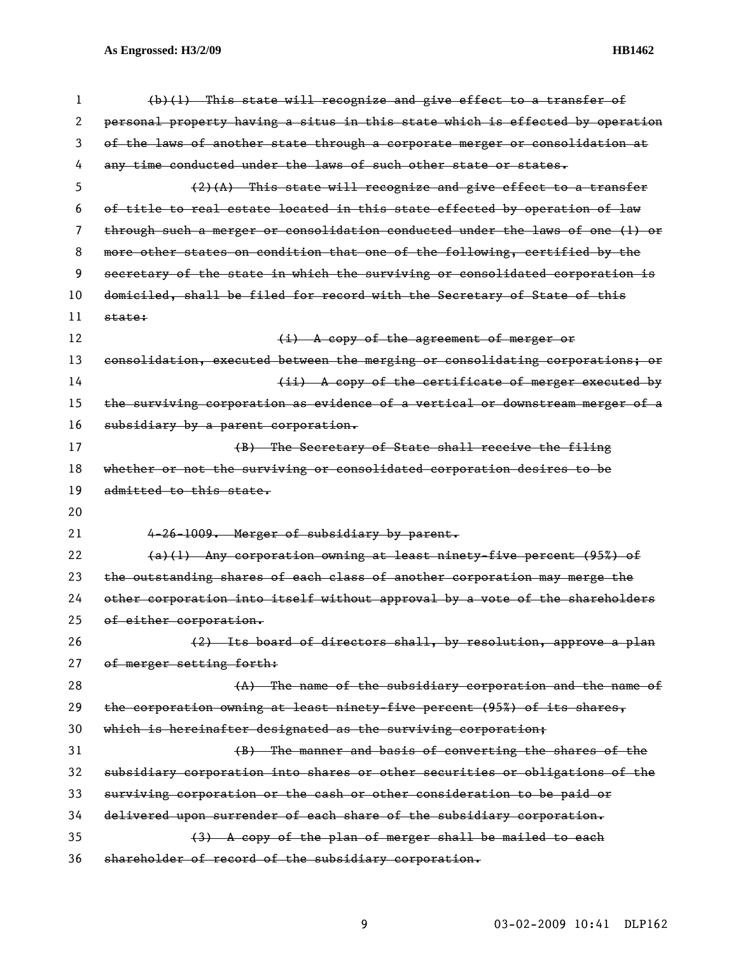| 1  | (b)(1) This state will recognize and give effect to a transfer of             |
|----|-------------------------------------------------------------------------------|
| 2  | personal property having a situs in this state which is effected by operation |
| 3  | of the laws of another state through a corporate merger or consolidation at   |
| 4  | any time conducted under the laws of such other state or states.              |
| 5  | $(2)$ $(A)$ This state will recognize and give effect to a transfer           |
| 6  | of title to real estate located in this state effected by operation of law    |
| 7  | through such a merger or consolidation conducted under the laws of one (1) or |
| 8  | more other states on condition that one of the following, certified by the    |
| 9  | secretary of the state in which the surviving or consolidated corporation is  |
| 10 | domiciled, shall be filed for record with the Secretary of State of this      |
| 11 | state:                                                                        |
| 12 | (i) A copy of the agreement of merger or                                      |
| 13 | consolidation, executed between the merging or consolidating corporations; or |
| 14 | (ii) A copy of the certificate of merger executed by                          |
| 15 | the surviving corporation as evidence of a vertical or downstream merger of a |
| 16 | subsidiary by a parent corporation.                                           |
| 17 | (B) The Secretary of State shall receive the filing                           |
| 18 | whether or not the surviving or consolidated corporation desires to be        |
|    |                                                                               |
| 19 | admitted to this state.                                                       |
| 20 |                                                                               |
| 21 | 4-26-1009. Merger of subsidiary by parent.                                    |
| 22 | (a)(1) Any corporation owning at least ninety-five percent (95%) of           |
| 23 | the outstanding shares of each class of another corporation may merge the     |
| 24 | other corporation into itself without approval by a vote of the shareholders  |
| 25 | of either corporation.                                                        |
| 26 | (2) Its board of directors shall, by resolution, approve a plan               |
| 27 | of merger setting forth:                                                      |
| 28 | (A) The name of the subsidiary corporation and the name of                    |
| 29 | the corporation owning at least ninety-five percent (95%) of its shares,      |
| 30 | which is hereinafter designated as the surviving corporation;                 |
| 31 | (B) The manner and basis of converting the shares of the                      |
| 32 | subsidiary corporation into shares or other securities or obligations of the  |
| 33 | surviving corporation or the cash or other consideration to be paid or        |
| 34 | delivered upon surrender of each share of the subsidiary corporation.         |
| 35 | (3) A copy of the plan of merger shall be mailed to each                      |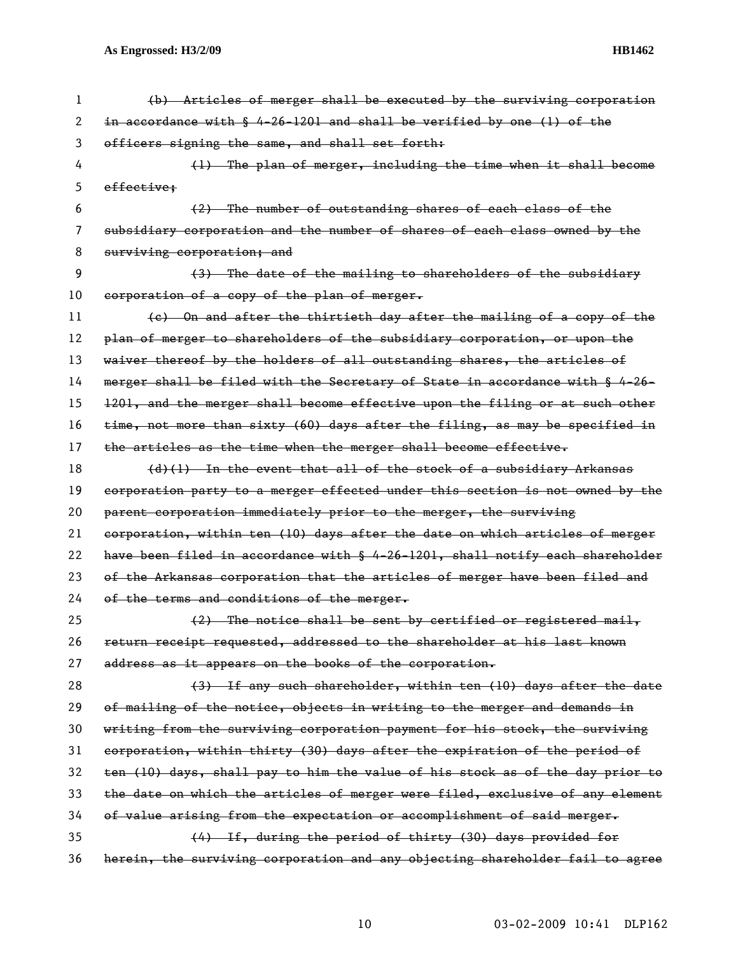| 1. | (b) Articles of merger shall be executed by the surviving corporation         |
|----|-------------------------------------------------------------------------------|
| 2  | in accordance with § 4-26-1201 and shall be verified by one (1) of the        |
| 3  | officers signing the same, and shall set forth:                               |
| 4  | (1) The plan of merger, including the time when it shall become               |
| 5  | effective:                                                                    |
| 6  | (2) The number of outstanding shares of each class of the                     |
| 7  | subsidiary corporation and the number of shares of each class owned by the    |
| 8  | surviving corporation; and                                                    |
| 9  | (3) The date of the mailing to shareholders of the subsidiary                 |
| 10 | corporation of a copy of the plan of merger.                                  |
| 11 | (e) On and after the thirtieth day after the mailing of a copy of the         |
| 12 | plan of merger to shareholders of the subsidiary corporation, or upon the     |
| 13 | waiver thereof by the holders of all outstanding shares, the articles of      |
| 14 | merger shall be filed with the Secretary of State in accordance with § 4-26-  |
| 15 | 1201, and the merger shall become effective upon the filing or at such other  |
| 16 | time, not more than sixty (60) days after the filing, as may be specified in  |
| 17 | the articles as the time when the merger shall become effective.              |
| 18 | $(d)$ (1) In the event that all of the stock of a subsidiary Arkansas         |
| 19 | corporation party to a merger effected under this section is not owned by the |
| 20 | parent corporation immediately prior to the merger, the surviving             |
| 21 | corporation, within ten (10) days after the date on which articles of merger  |
| 22 | have been filed in accordance with § 4-26-1201, shall notify each shareholder |
| 23 | of the Arkansas corporation that the articles of merger have been filed and   |
| 24 | of the terms and conditions of the merger.                                    |
| 25 | $(2)$ The notice shall be sent by certified or registered mail,               |
| 26 | return receipt requested, addressed to the shareholder at his last known      |
| 27 | address as it appears on the books of the corporation.                        |
| 28 | (3) If any such shareholder, within ten (10) days after the date              |
| 29 | of mailing of the notice, objects in writing to the merger and demands in     |
| 30 | writing from the surviving corporation payment for his stock, the surviving   |
| 31 | corporation, within thirty (30) days after the expiration of the period of    |
| 32 | ten (10) days, shall pay to him the value of his stock as of the day prior to |
| 33 | the date on which the articles of merger were filed, exclusive of any element |
| 34 | of value arising from the expectation or accomplishment of said merger.       |
| 35 | (4) If, during the period of thirty (30) days provided for                    |
| 36 | herein, the surviving corporation and any objecting shareholder fail to agree |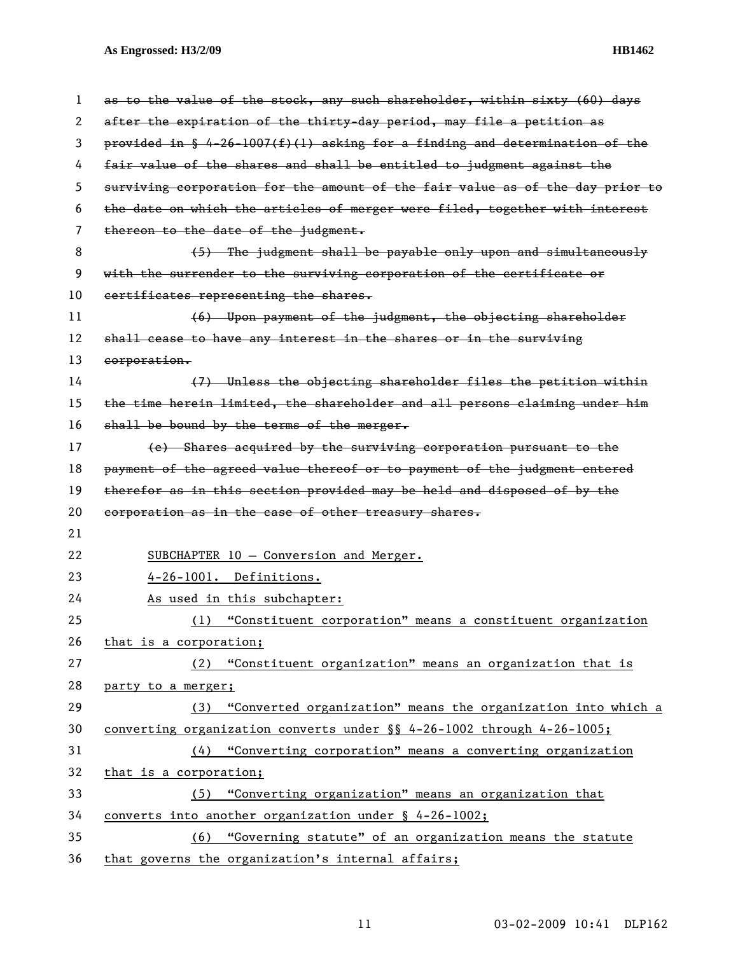| 1  | as to the value of the stock, any such shareholder, within sixty (60) days    |
|----|-------------------------------------------------------------------------------|
| 2  | after the expiration of the thirty day period, may file a petition as         |
| 3  | provided in § 4-26-1007(f)(1) asking for a finding and determination of the   |
| 4  | fair value of the shares and shall be entitled to judgment against the        |
| 5  | surviving corporation for the amount of the fair value as of the day prior to |
| 6  | the date on which the articles of merger were filed, together with interest   |
| 7  | thereon to the date of the judgment.                                          |
| 8  | (5) The judgment shall be payable only upon and simultaneously                |
| 9  | with the surrender to the surviving corporation of the certificate or         |
| 10 | certificates representing the shares.                                         |
| 11 | (6) Upon payment of the judgment, the objecting shareholder                   |
| 12 | shall cease to have any interest in the shares or in the surviving            |
| 13 | corporation.                                                                  |
| 14 | (7) Unless the objecting shareholder files the petition within                |
| 15 | the time herein limited, the shareholder and all persons claiming under him   |
| 16 | shall be bound by the terms of the merger.                                    |
| 17 | (e) Shares acquired by the surviving corporation pursuant to the              |
| 18 | payment of the agreed value thereof or to payment of the judgment entered     |
| 19 | therefor as in this section provided may be held and disposed of by the       |
| 20 | corporation as in the case of other treasury shares.                          |
| 21 |                                                                               |
| 22 | SUBCHAPTER 10 - Conversion and Merger.                                        |
| 23 | 4-26-1001. Definitions.                                                       |
| 24 | As used in this subchapter:                                                   |
| 25 | "Constituent corporation" means a constituent organization<br>(1)             |
| 26 | that is a corporation;                                                        |
| 27 | (2) "Constituent organization" means an organization that is                  |
| 28 | party to a merger;                                                            |
| 29 | (3) "Converted organization" means the organization into which a              |
| 30 | converting organization converts under $\S$ 4-26-1002 through 4-26-1005;      |
| 31 | (4) "Converting corporation" means a converting organization                  |
| 32 | that is a corporation;                                                        |
| 33 | "Converting organization" means an organization that<br>(5)                   |
| 34 | converts into another organization under § 4-26-1002;                         |
| 35 | "Governing statute" of an organization means the statute<br>(6)               |
| 36 | that governs the organization's internal affairs;                             |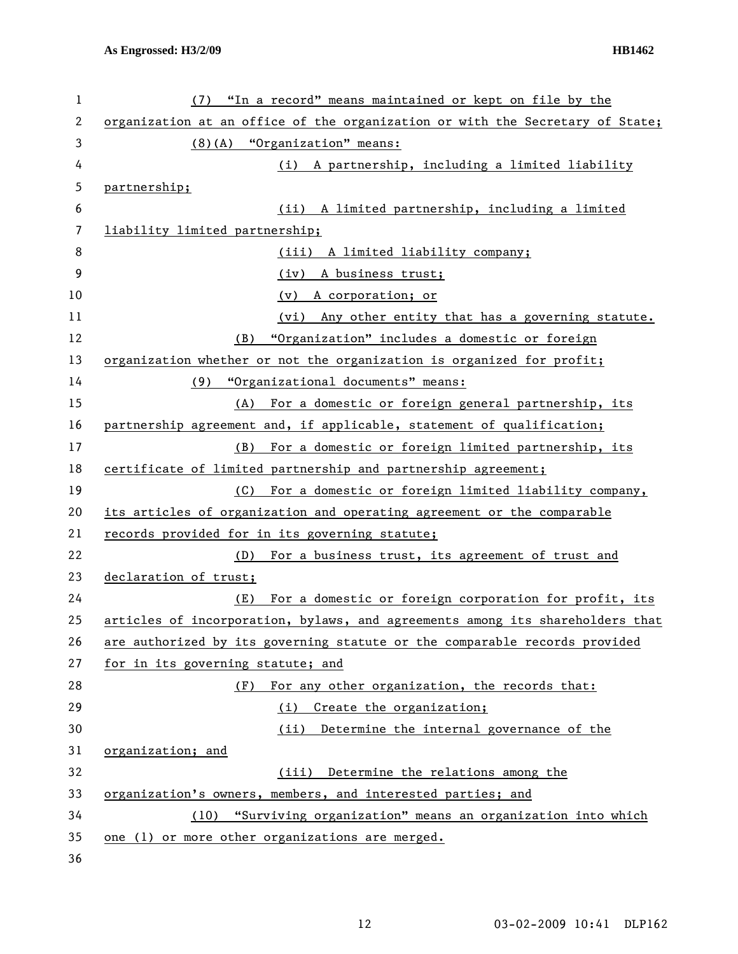| 1  | (7) "In a record" means maintained or kept on file by the                     |
|----|-------------------------------------------------------------------------------|
| 2  | organization at an office of the organization or with the Secretary of State; |
| 3  | $(8)$ (A) "Organization" means:                                               |
| 4  | (i) A partnership, including a limited liability                              |
| 5  | partnership;                                                                  |
| 6  | (ii) A limited partnership, including a limited                               |
| 7  | liability limited partnership;                                                |
| 8  | (iii) A limited liability company;                                            |
| 9  | (iv) A business trust;                                                        |
| 10 | A corporation; or<br>(v)                                                      |
| 11 | (vi) Any other entity that has a governing statute.                           |
| 12 | "Organization" includes a domestic or foreign<br>(B)                          |
| 13 | organization whether or not the organization is organized for profit;         |
| 14 | (9) "Organizational documents" means:                                         |
| 15 | (A) For a domestic or foreign general partnership, its                        |
| 16 | partnership agreement and, if applicable, statement of qualification;         |
| 17 | (B) For a domestic or foreign limited partnership, its                        |
| 18 | certificate of limited partnership and partnership agreement;                 |
| 19 | (C) For a domestic or foreign limited liability company,                      |
| 20 | its articles of organization and operating agreement or the comparable        |
| 21 | records provided for in its governing statute;                                |
| 22 | (D)<br>For a business trust, its agreement of trust and                       |
| 23 | declaration of trust;                                                         |
| 24 | For a domestic or foreign corporation for profit, its<br>(E)                  |
| 25 | articles of incorporation, bylaws, and agreements among its shareholders that |
| 26 | are authorized by its governing statute or the comparable records provided    |
| 27 | for in its governing statute; and                                             |
| 28 | For any other organization, the records that:<br>(F)                          |
| 29 | (i)<br>Create the organization;                                               |
| 30 | Determine the internal governance of the<br>(ii)                              |
| 31 | organization; and                                                             |
| 32 | (iii) Determine the relations among the                                       |
| 33 | organization's owners, members, and interested parties; and                   |
| 34 | "Surviving organization" means an organization into which<br>(10)             |
| 35 | one (1) or more other organizations are merged.                               |
| 36 |                                                                               |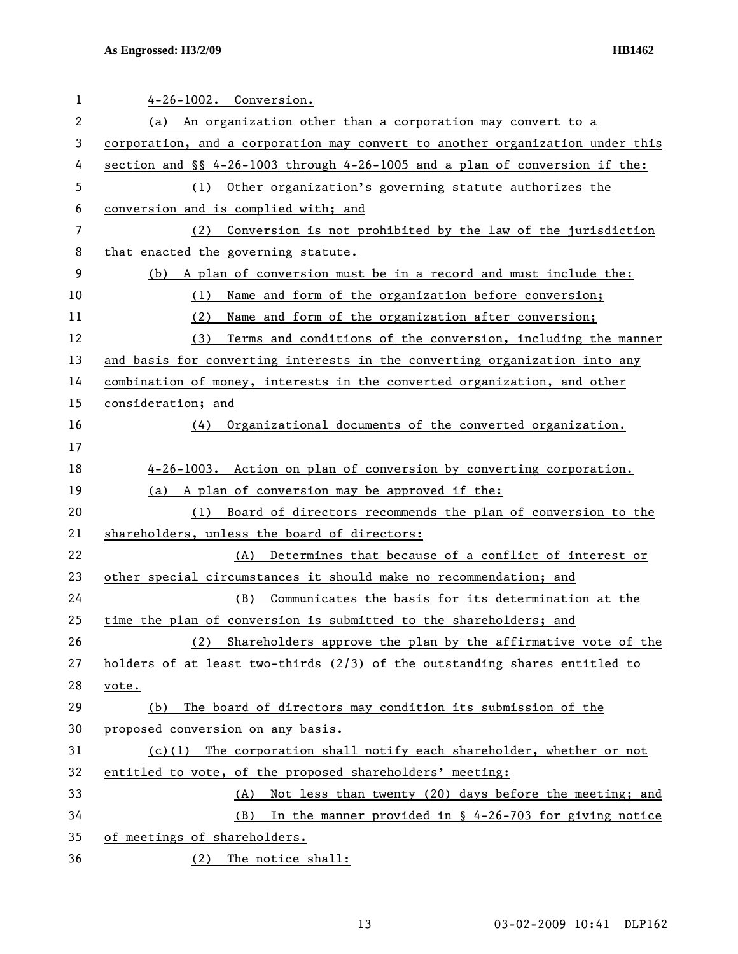| $\mathbf 1$ | $4-26-1002$ . Conversion.                                                     |
|-------------|-------------------------------------------------------------------------------|
| 2           | An organization other than a corporation may convert to a<br>(a)              |
| 3           | corporation, and a corporation may convert to another organization under this |
| 4           | section and $\S$ 4-26-1003 through 4-26-1005 and a plan of conversion if the: |
| 5           | (1) Other organization's governing statute authorizes the                     |
| 6           | conversion and is complied with; and                                          |
| 7           | (2) Conversion is not prohibited by the law of the jurisdiction               |
| 8           | that enacted the governing statute.                                           |
| 9           | (b) A plan of conversion must be in a record and must include the:            |
| 10          | Name and form of the organization before conversion;<br>(1)                   |
| 11          | Name and form of the organization after conversion;<br>(2)                    |
| 12          | Terms and conditions of the conversion, including the manner<br>(3)           |
| 13          | and basis for converting interests in the converting organization into any    |
| 14          | combination of money, interests in the converted organization, and other      |
| 15          | consideration; and                                                            |
| 16          | Organizational documents of the converted organization.<br>(4)                |
| 17          |                                                                               |
| 18          | 4-26-1003. Action on plan of conversion by converting corporation.            |
| 19          | (a) A plan of conversion may be approved if the:                              |
| 20          | Board of directors recommends the plan of conversion to the<br>(1)            |
| 21          | shareholders, unless the board of directors:                                  |
| 22          | Determines that because of a conflict of interest or<br>(A)                   |
| 23          | other special circumstances it should make no recommendation; and             |
| 24          | Communicates the basis for its determination at the<br>(B)                    |
| 25          | time the plan of conversion is submitted to the shareholders; and             |
| 26          | Shareholders approve the plan by the affirmative vote of the<br>(2)           |
| 27          | holders of at least two-thirds (2/3) of the outstanding shares entitled to    |
| 28          | vote.                                                                         |
| 29          | The board of directors may condition its submission of the<br>(b)             |
| 30          | proposed conversion on any basis.                                             |
| 31          | $(c)(1)$ The corporation shall notify each shareholder, whether or not        |
| 32          | entitled to vote, of the proposed shareholders' meeting:                      |
| 33          | Not less than twenty (20) days before the meeting; and<br>(A)                 |
| 34          | In the manner provided in § 4-26-703 for giving notice<br>(B)                 |
| 35          | of meetings of shareholders.                                                  |
| 36          | (2)<br>The notice shall:                                                      |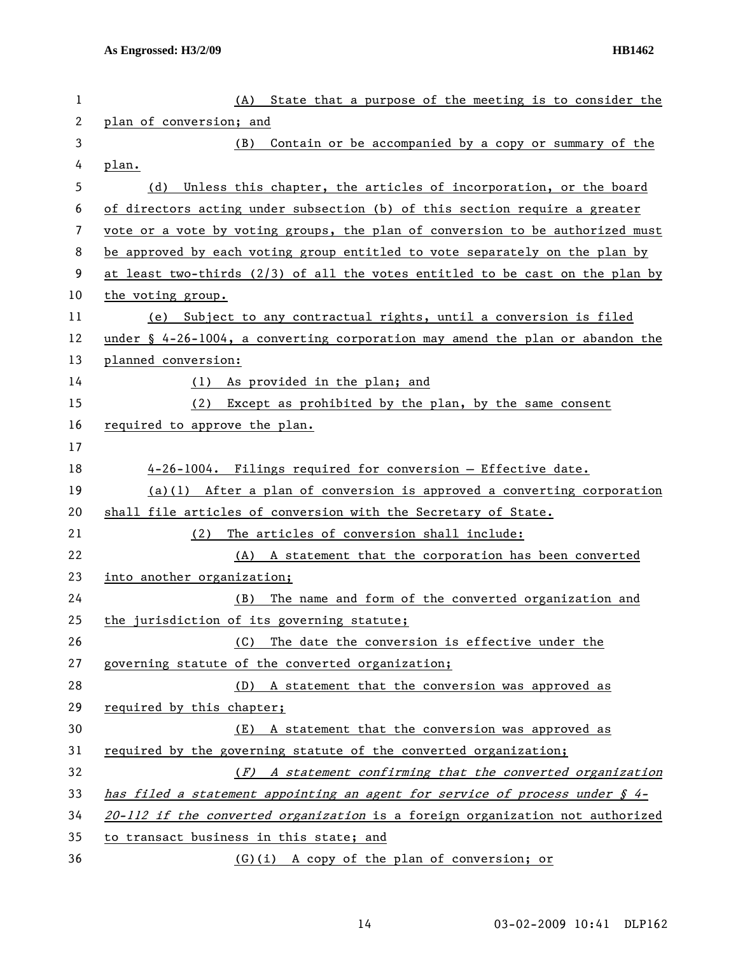| $\mathbf{1}$ | State that a purpose of the meeting is to consider the<br>(A)                             |
|--------------|-------------------------------------------------------------------------------------------|
| 2            | plan of conversion; and                                                                   |
| 3            | Contain or be accompanied by a copy or summary of the<br>(B)                              |
| 4            | plan.                                                                                     |
| 5            | (d) Unless this chapter, the articles of incorporation, or the board                      |
| 6            | of directors acting under subsection (b) of this section require a greater                |
| 7            | vote or a vote by voting groups, the plan of conversion to be authorized must             |
| 8            | be approved by each voting group entitled to vote separately on the plan by               |
| 9            | at least two-thirds $(2/3)$ of all the votes entitled to be cast on the plan by           |
| 10           | the voting group.                                                                         |
| 11           | (e) Subject to any contractual rights, until a conversion is filed                        |
| 12           | under $\frac{1}{2}$ 4-26-1004, a converting corporation may amend the plan or abandon the |
| 13           | planned conversion:                                                                       |
| 14           | (1) As provided in the plan; and                                                          |
| 15           | (2)<br>Except as prohibited by the plan, by the same consent                              |
| 16           | required to approve the plan.                                                             |
| 17           |                                                                                           |
| 18           | 4-26-1004. Filings required for conversion - Effective date.                              |
| 19           | $(a)(1)$ After a plan of conversion is approved a converting corporation                  |
| 20           | shall file articles of conversion with the Secretary of State.                            |
| 21           | The articles of conversion shall include:<br>(2)                                          |
| 22           | (A) A statement that the corporation has been converted                                   |
| 23           | into another organization;                                                                |
| 24           | The name and form of the converted organization and<br>(B)                                |
| 25           | the jurisdiction of its governing statute;                                                |
| 26           | The date the conversion is effective under the<br>(C)                                     |
| 27           | governing statute of the converted organization;                                          |
| 28           | (D) A statement that the conversion was approved as                                       |
| 29           | required by this chapter;                                                                 |
| 30           | (E) A statement that the conversion was approved as                                       |
| 31           | required by the governing statute of the converted organization;                          |
| 32           | $(F)$ A statement confirming that the converted organization                              |
| 33           | has filed a statement appointing an agent for service of process under $\oint$ 4-         |
| 34           | 20-112 if the converted organization is a foreign organization not authorized             |
| 35           | to transact business in this state; and                                                   |
| 36           | (G)(i) A copy of the plan of conversion; or                                               |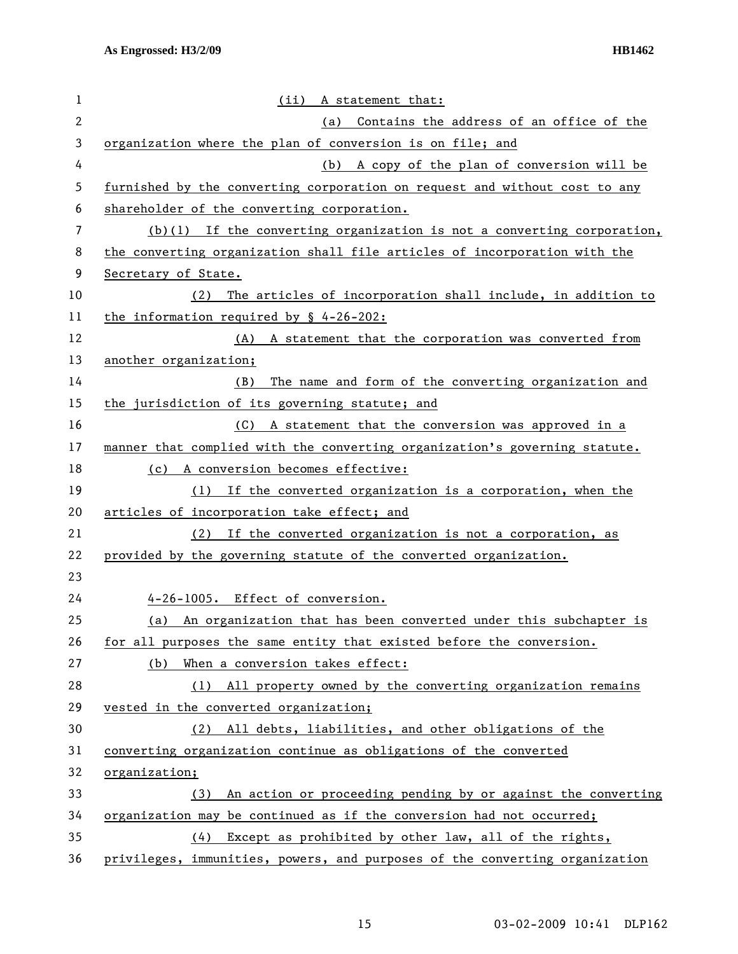| 1            | (ii) A statement that:                                                      |
|--------------|-----------------------------------------------------------------------------|
| $\mathbf{2}$ | Contains the address of an office of the<br>(a)                             |
| 3            | organization where the plan of conversion is on file; and                   |
| 4            | A copy of the plan of conversion will be<br>(b)                             |
| 5            | furnished by the converting corporation on request and without cost to any  |
| 6            | shareholder of the converting corporation.                                  |
| 7            | $(b)(1)$ If the converting organization is not a converting corporation,    |
| 8            | the converting organization shall file articles of incorporation with the   |
| 9            | Secretary of State.                                                         |
| 10           | The articles of incorporation shall include, in addition to<br>(2)          |
| 11           | the information required by $\frac{6}{5}$ 4-26-202:                         |
| 12           | (A) A statement that the corporation was converted from                     |
| 13           | another organization;                                                       |
| 14           | The name and form of the converting organization and<br>(B)                 |
| 15           | the jurisdiction of its governing statute; and                              |
| 16           | (C) A statement that the conversion was approved in a                       |
| 17           | manner that complied with the converting organization's governing statute.  |
| 18           | (c) A conversion becomes effective:                                         |
| 19           | If the converted organization is a corporation, when the<br>(1)             |
| 20           | articles of incorporation take effect; and                                  |
| 21           | If the converted organization is not a corporation, as<br>(2)               |
| 22           | provided by the governing statute of the converted organization.            |
| 23           |                                                                             |
| 24           | 4-26-1005. Effect of conversion.                                            |
| 25           | (a) An organization that has been converted under this subchapter is        |
| 26           | for all purposes the same entity that existed before the conversion.        |
| 27           | When a conversion takes effect:<br>(b)                                      |
| 28           | (1) All property owned by the converting organization remains               |
| 29           | vested in the converted organization;                                       |
| 30           | All debts, liabilities, and other obligations of the<br>(2)                 |
| 31           | converting organization continue as obligations of the converted            |
| 32           | organization;                                                               |
| 33           | (3) An action or proceeding pending by or against the converting            |
| 34           | organization may be continued as if the conversion had not occurred;        |
| 35           | Except as prohibited by other law, all of the rights,<br>(4)                |
| 36           | privileges, immunities, powers, and purposes of the converting organization |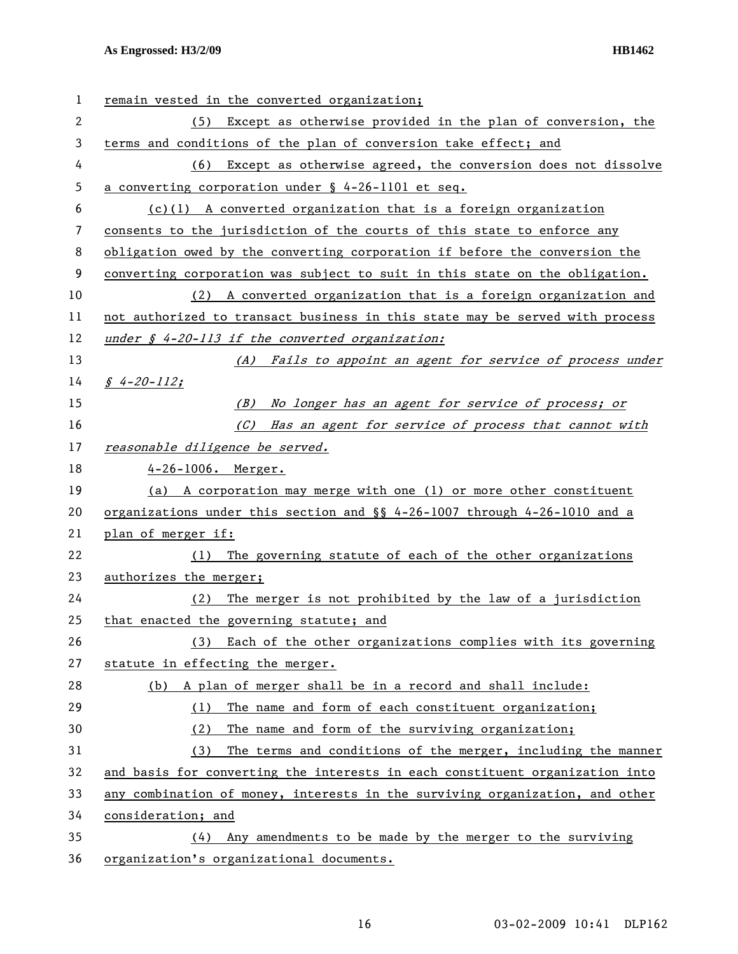| 1  | remain vested in the converted organization;                                 |
|----|------------------------------------------------------------------------------|
| 2  | Except as otherwise provided in the plan of conversion, the<br>(5)           |
| 3  | terms and conditions of the plan of conversion take effect; and              |
| 4  | (6) Except as otherwise agreed, the conversion does not dissolve             |
| 5  | a converting corporation under $\S$ 4-26-1101 et seq.                        |
| 6  | $(c)(1)$ A converted organization that is a foreign organization             |
| 7  | consents to the jurisdiction of the courts of this state to enforce any      |
| 8  | obligation owed by the converting corporation if before the conversion the   |
| 9  | converting corporation was subject to suit in this state on the obligation.  |
| 10 | (2) A converted organization that is a foreign organization and              |
| 11 | not authorized to transact business in this state may be served with process |
| 12 | under $\oint$ 4-20-113 if the converted organization:                        |
| 13 | (A) Fails to appoint an agent for service of process under                   |
| 14 | $$4-20-112;$                                                                 |
| 15 | No longer has an agent for service of process; or<br>(B)                     |
| 16 | (C) Has an agent for service of process that cannot with                     |
| 17 | reasonable diligence be served.                                              |
| 18 | $4-26-1006$ . Merger.                                                        |
| 19 | (a) A corporation may merge with one (1) or more other constituent           |
| 20 | organizations under this section and $\S$ 4-26-1007 through 4-26-1010 and a  |
| 21 | plan of merger if:                                                           |
| 22 | The governing statute of each of the other organizations<br>(1)              |
| 23 | authorizes the merger;                                                       |
| 24 | The merger is not prohibited by the law of a jurisdiction<br>(2)             |
| 25 | that enacted the governing statute; and                                      |
| 26 | Each of the other organizations complies with its governing<br>(3)           |
| 27 | statute in effecting the merger.                                             |
| 28 | (b) A plan of merger shall be in a record and shall include:                 |
| 29 | The name and form of each constituent organization;<br>(1)                   |
| 30 | The name and form of the surviving organization;<br>(2)                      |
| 31 | The terms and conditions of the merger, including the manner<br>(3)          |
| 32 | and basis for converting the interests in each constituent organization into |
| 33 | any combination of money, interests in the surviving organization, and other |
| 34 | consideration; and                                                           |
| 35 | Any amendments to be made by the merger to the surviving<br>(4)              |
| 36 | organization's organizational documents.                                     |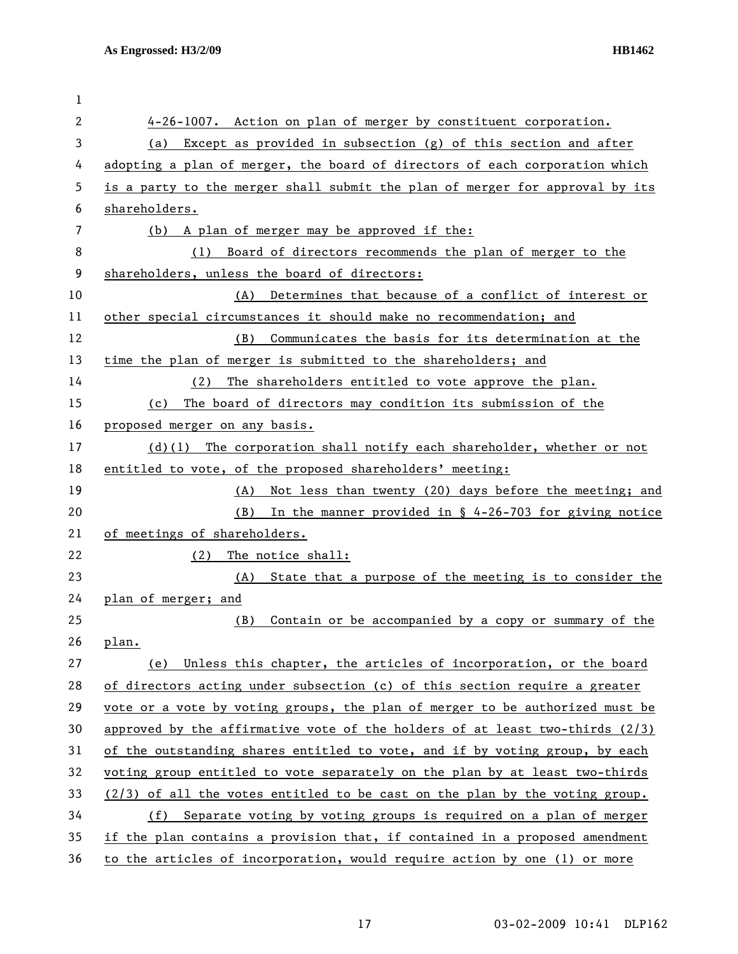| 1            |                                                                                |
|--------------|--------------------------------------------------------------------------------|
| $\mathbf{2}$ | 4-26-1007. Action on plan of merger by constituent corporation.                |
| 3            | (a) Except as provided in subsection (g) of this section and after             |
| 4            | adopting a plan of merger, the board of directors of each corporation which    |
| 5            | is a party to the merger shall submit the plan of merger for approval by its   |
| 6            | shareholders.                                                                  |
| 7            | (b) A plan of merger may be approved if the:                                   |
| 8            | Board of directors recommends the plan of merger to the<br>(1)                 |
| 9            | shareholders, unless the board of directors:                                   |
| 10           | Determines that because of a conflict of interest or<br>(A)                    |
| 11           | other special circumstances it should make no recommendation; and              |
| 12           | Communicates the basis for its determination at the<br>(B)                     |
| 13           | time the plan of merger is submitted to the shareholders; and                  |
| 14           | The shareholders entitled to vote approve the plan.<br>(2)                     |
| 15           | The board of directors may condition its submission of the<br>(c)              |
| 16           | proposed merger on any basis.                                                  |
| 17           | $(d)(1)$ The corporation shall notify each shareholder, whether or not         |
| 18           | entitled to vote, of the proposed shareholders' meeting:                       |
| 19           | Not less than twenty (20) days before the meeting; and<br>(A)                  |
| 20           | In the manner provided in $\S$ 4-26-703 for giving notice<br>(B)               |
| 21           | of meetings of shareholders.                                                   |
| 22           | The notice shall:<br>(2)                                                       |
| 23           | State that a purpose of the meeting is to consider the<br>(A)                  |
| 24           | plan of merger; and                                                            |
| 25           | Contain or be accompanied by a copy or summary of the<br>(B)                   |
| 26           | plan.                                                                          |
| 27           | Unless this chapter, the articles of incorporation, or the board<br>(e)        |
| 28           | of directors acting under subsection (c) of this section require a greater     |
| 29           | vote or a vote by voting groups, the plan of merger to be authorized must be   |
| 30           | approved by the affirmative vote of the holders of at least two-thirds $(2/3)$ |
| 31           | of the outstanding shares entitled to vote, and if by voting group, by each    |
| 32           | voting group entitled to vote separately on the plan by at least two-thirds    |
| 33           | $(2/3)$ of all the votes entitled to be cast on the plan by the voting group.  |
| 34           | (f)<br>Separate voting by voting groups is required on a plan of merger        |
| 35           | if the plan contains a provision that, if contained in a proposed amendment    |
| 36           | to the articles of incorporation, would require action by one (1) or more      |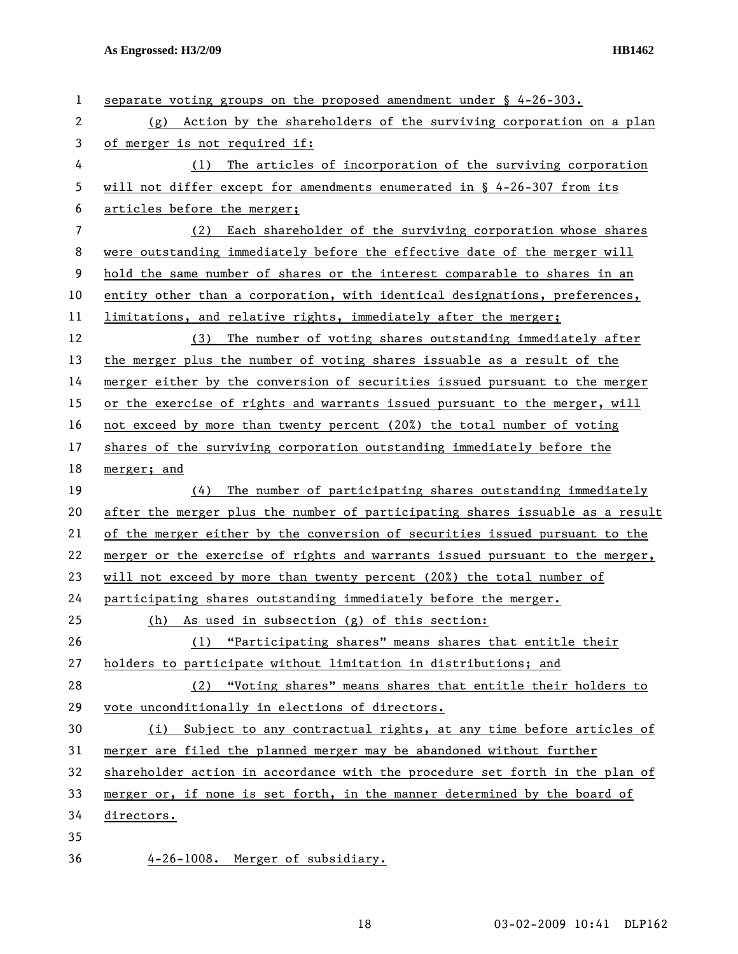| 1  | separate voting groups on the proposed amendment under $\S$ 4-26-303.         |
|----|-------------------------------------------------------------------------------|
| 2  | (g) Action by the shareholders of the surviving corporation on a plan         |
| 3  | of merger is not required if:                                                 |
| 4  | The articles of incorporation of the surviving corporation<br>(1)             |
| 5  | will not differ except for amendments enumerated in $\S$ 4-26-307 from its    |
| 6  | articles before the merger;                                                   |
| 7  | (2) Each shareholder of the surviving corporation whose shares                |
| 8  | were outstanding immediately before the effective date of the merger will     |
| 9  | hold the same number of shares or the interest comparable to shares in an     |
| 10 | entity other than a corporation, with identical designations, preferences,    |
| 11 | limitations, and relative rights, immediately after the merger;               |
| 12 | The number of voting shares outstanding immediately after<br>(3)              |
| 13 | the merger plus the number of voting shares issuable as a result of the       |
| 14 | merger either by the conversion of securities issued pursuant to the merger   |
| 15 | or the exercise of rights and warrants issued pursuant to the merger, will    |
| 16 | not exceed by more than twenty percent (20%) the total number of voting       |
| 17 | shares of the surviving corporation outstanding immediately before the        |
| 18 | merger; and                                                                   |
| 19 | (4)<br>The number of participating shares outstanding immediately             |
| 20 | after the merger plus the number of participating shares issuable as a result |
| 21 | of the merger either by the conversion of securities issued pursuant to the   |
| 22 | merger or the exercise of rights and warrants issued pursuant to the merger,  |
| 23 | will not exceed by more than twenty percent (20%) the total number of         |
| 24 | participating shares outstanding immediately before the merger.               |
| 25 | As used in subsection (g) of this section:<br>(h)                             |
| 26 | (1) "Participating shares" means shares that entitle their                    |
| 27 | holders to participate without limitation in distributions; and               |
| 28 | (2) "Voting shares" means shares that entitle their holders to                |
| 29 | vote unconditionally in elections of directors.                               |
| 30 | (i) Subject to any contractual rights, at any time before articles of         |
| 31 | merger are filed the planned merger may be abandoned without further          |
| 32 | shareholder action in accordance with the procedure set forth in the plan of  |
| 33 | merger or, if none is set forth, in the manner determined by the board of     |
| 34 |                                                                               |
|    | directors.                                                                    |
| 35 |                                                                               |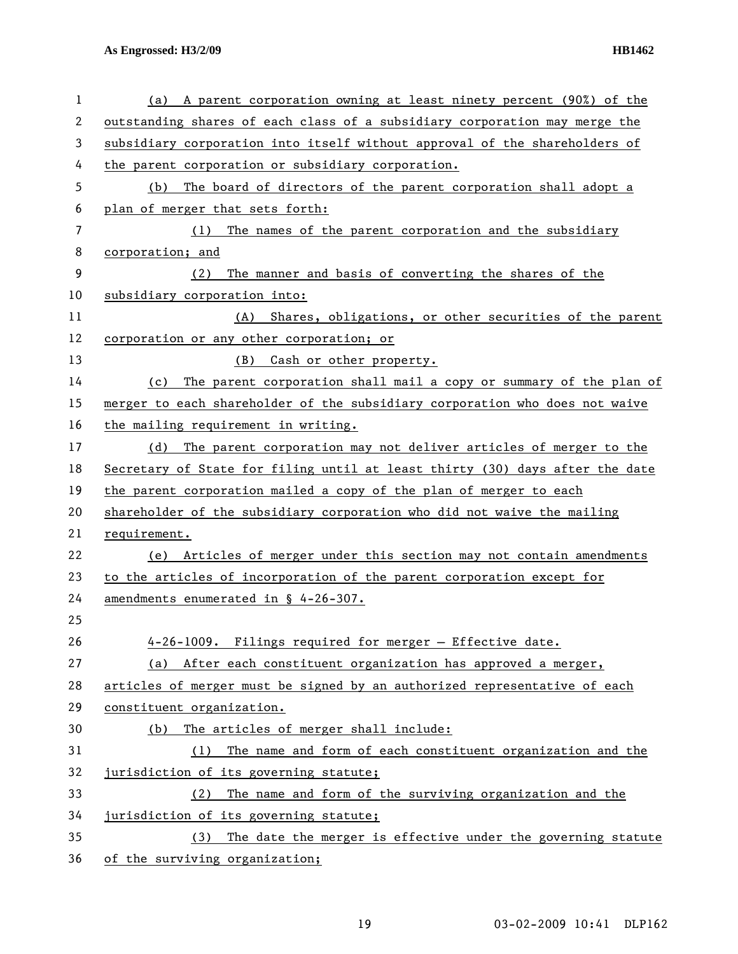| 1  | A parent corporation owning at least ninety percent (90%) of the<br>(a)      |
|----|------------------------------------------------------------------------------|
| 2  | outstanding shares of each class of a subsidiary corporation may merge the   |
| 3  | subsidiary corporation into itself without approval of the shareholders of   |
| 4  | the parent corporation or subsidiary corporation.                            |
| 5  | The board of directors of the parent corporation shall adopt a<br>(b)        |
| 6  | plan of merger that sets forth:                                              |
| 7  | (1) The names of the parent corporation and the subsidiary                   |
| 8  | corporation; and                                                             |
| 9  | The manner and basis of converting the shares of the<br>(2)                  |
| 10 | subsidiary corporation into:                                                 |
| 11 | Shares, obligations, or other securities of the parent<br>(A)                |
| 12 | corporation or any other corporation; or                                     |
| 13 | (B)<br>Cash or other property.                                               |
| 14 | The parent corporation shall mail a copy or summary of the plan of<br>(c)    |
| 15 | merger to each shareholder of the subsidiary corporation who does not waive  |
| 16 | the mailing requirement in writing.                                          |
| 17 | (d) The parent corporation may not deliver articles of merger to the         |
| 18 | Secretary of State for filing until at least thirty (30) days after the date |
| 19 | the parent corporation mailed a copy of the plan of merger to each           |
| 20 | shareholder of the subsidiary corporation who did not waive the mailing      |
| 21 | requirement.                                                                 |
| 22 | Articles of merger under this section may not contain amendments<br>(e)      |
| 23 | to the articles of incorporation of the parent corporation except for        |
| 24 | amendments enumerated in $\frac{1}{2}$ 4-26-307.                             |
| 25 |                                                                              |
| 26 | 4-26-1009. Filings required for merger - Effective date.                     |
| 27 | After each constituent organization has approved a merger,<br>(a)            |
| 28 | articles of merger must be signed by an authorized representative of each    |
| 29 | constituent organization.                                                    |
| 30 | The articles of merger shall include:<br>(b)                                 |
| 31 | The name and form of each constituent organization and the<br>(1)            |
| 32 | jurisdiction of its governing statute;                                       |
| 33 | The name and form of the surviving organization and the<br>(2)               |
| 34 | jurisdiction of its governing statute;                                       |
| 35 | The date the merger is effective under the governing statute<br>(3)          |
| 36 | of the surviving organization;                                               |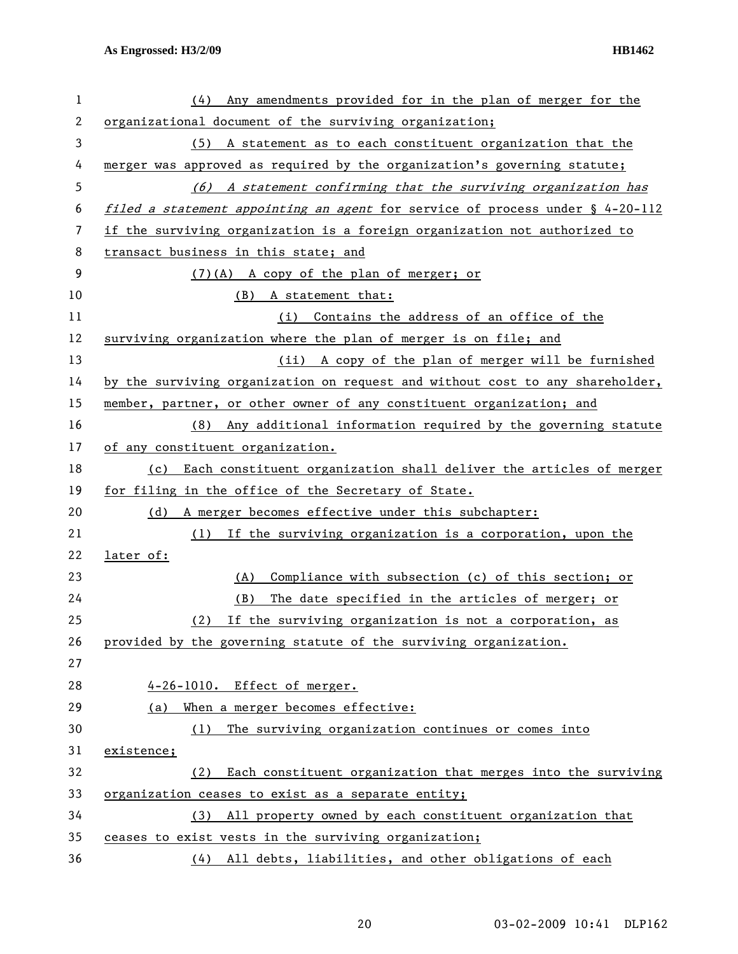| 1  | Any amendments provided for in the plan of merger for the<br>(4)              |
|----|-------------------------------------------------------------------------------|
| 2  | organizational document of the surviving organization;                        |
| 3  | (5) A statement as to each constituent organization that the                  |
| 4  | merger was approved as required by the organization's governing statute;      |
| 5  | (6) A statement confirming that the surviving organization has                |
| 6  | filed a statement appointing an agent for service of process under § 4-20-112 |
| 7  | if the surviving organization is a foreign organization not authorized to     |
| 8  | transact business in this state; and                                          |
| 9  | (7)(A) A copy of the plan of merger; or                                       |
| 10 | (B) A statement that:                                                         |
| 11 | (i) Contains the address of an office of the                                  |
| 12 | surviving organization where the plan of merger is on file; and               |
| 13 | (ii) A copy of the plan of merger will be furnished                           |
| 14 | by the surviving organization on request and without cost to any shareholder, |
| 15 | member, partner, or other owner of any constituent organization; and          |
| 16 | (8) Any additional information required by the governing statute              |
| 17 | of any constituent organization.                                              |
| 18 | Each constituent organization shall deliver the articles of merger<br>(c)     |
| 19 | for filing in the office of the Secretary of State.                           |
| 20 | A merger becomes effective under this subchapter:<br>(d)                      |
| 21 | (1) If the surviving organization is a corporation, upon the                  |
| 22 | later of:                                                                     |
| 23 | Compliance with subsection (c) of this section; or<br>(A)                     |
| 24 | The date specified in the articles of merger; or<br>(B)                       |
| 25 | (2)<br>If the surviving organization is not a corporation, as                 |
| 26 | provided by the governing statute of the surviving organization.              |
| 27 |                                                                               |
| 28 | 4-26-1010. Effect of merger.                                                  |
| 29 | When a merger becomes effective:<br>(a)                                       |
| 30 | The surviving organization continues or comes into<br>(1)                     |
| 31 | existence;                                                                    |
| 32 | Each constituent organization that merges into the surviving<br>(2)           |
| 33 | organization ceases to exist as a separate entity;                            |
| 34 | (3) All property owned by each constituent organization that                  |
| 35 | ceases to exist vests in the surviving organization;                          |
| 36 | (4) All debts, liabilities, and other obligations of each                     |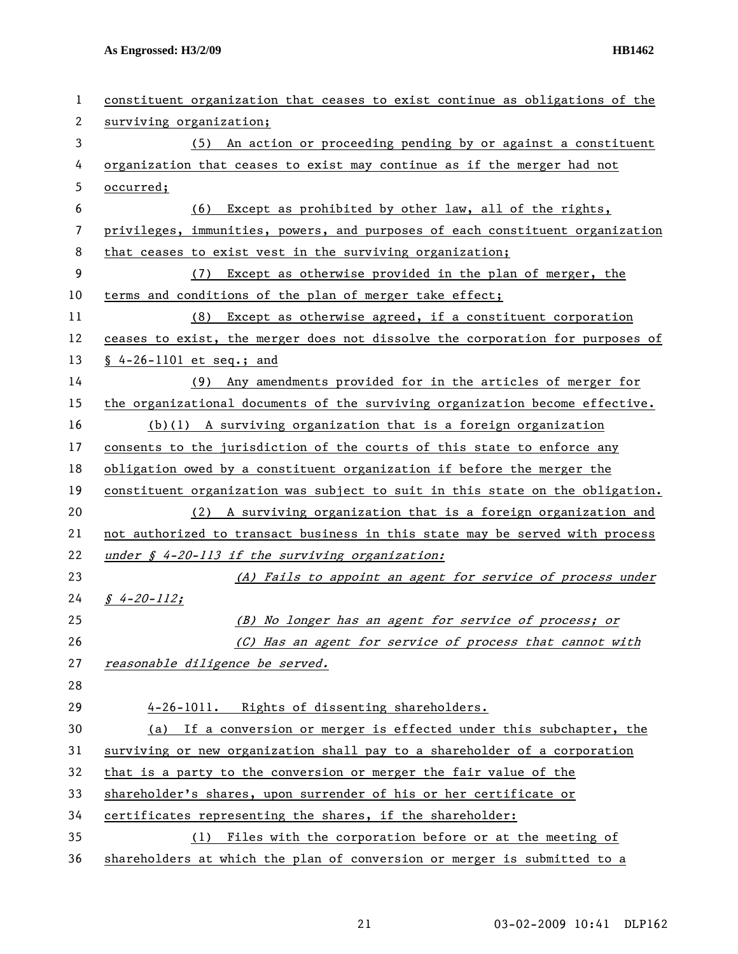| 1  | constituent organization that ceases to exist continue as obligations of the  |
|----|-------------------------------------------------------------------------------|
| 2  | surviving organization;                                                       |
| 3  | (5) An action or proceeding pending by or against a constituent               |
| 4  | organization that ceases to exist may continue as if the merger had not       |
| 5  | occurred;                                                                     |
| 6  | Except as prohibited by other law, all of the rights,<br>(6)                  |
| 7  | privileges, immunities, powers, and purposes of each constituent organization |
| 8  | that ceases to exist vest in the surviving organization;                      |
| 9  | (7) Except as otherwise provided in the plan of merger, the                   |
| 10 | terms and conditions of the plan of merger take effect;                       |
| 11 | (8) Except as otherwise agreed, if a constituent corporation                  |
| 12 | ceases to exist, the merger does not dissolve the corporation for purposes of |
| 13 | $$4-26-1101$ et seq.; and                                                     |
| 14 | (9) Any amendments provided for in the articles of merger for                 |
| 15 | the organizational documents of the surviving organization become effective.  |
| 16 | $(b)(1)$ A surviving organization that is a foreign organization              |
| 17 | consents to the jurisdiction of the courts of this state to enforce any       |
| 18 | obligation owed by a constituent organization if before the merger the        |
| 19 | constituent organization was subject to suit in this state on the obligation. |
| 20 | (2) A surviving organization that is a foreign organization and               |
| 21 | not authorized to transact business in this state may be served with process  |
| 22 | under § 4-20-113 if the surviving organization:                               |
| 23 | (A) Fails to appoint an agent for service of process under                    |
| 24 | $$4-20-112;$                                                                  |
| 25 | (B) No longer has an agent for service of process; or                         |
| 26 | (C) Has an agent for service of process that cannot with                      |
| 27 | reasonable diligence be served.                                               |
| 28 |                                                                               |
| 29 | 4-26-1011. Rights of dissenting shareholders.                                 |
| 30 | (a) If a conversion or merger is effected under this subchapter, the          |
| 31 | surviving or new organization shall pay to a shareholder of a corporation     |
| 32 | that is a party to the conversion or merger the fair value of the             |
| 33 | shareholder's shares, upon surrender of his or her certificate or             |
| 34 | certificates representing the shares, if the shareholder:                     |
| 35 | Files with the corporation before or at the meeting of<br>(1)                 |
| 36 | shareholders at which the plan of conversion or merger is submitted to a      |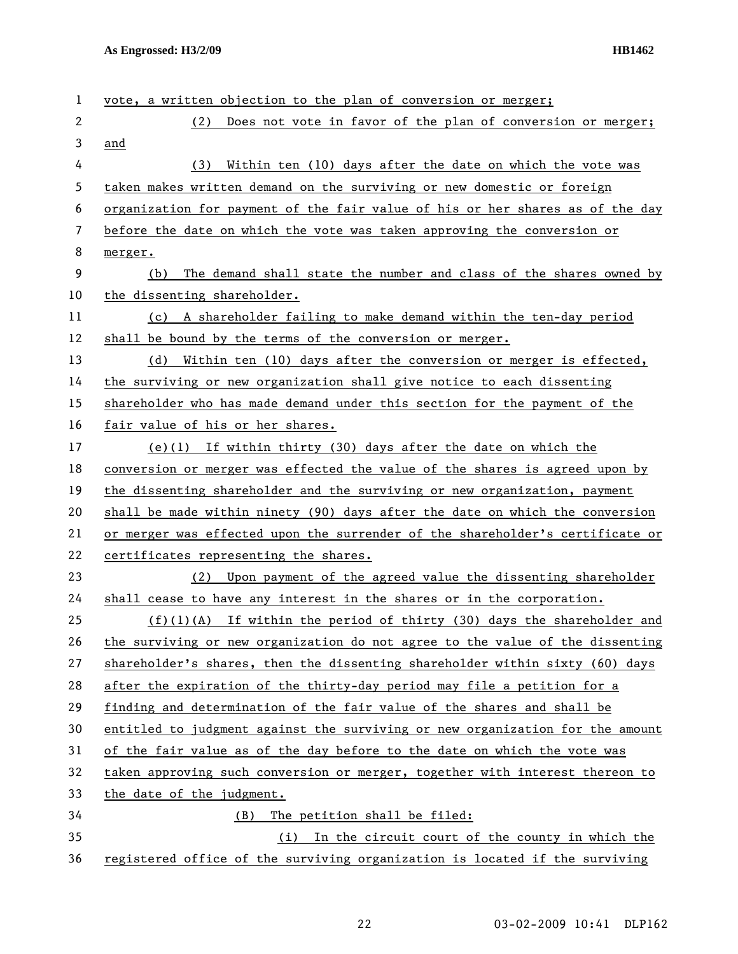| 1              | vote, a written objection to the plan of conversion or merger;                |
|----------------|-------------------------------------------------------------------------------|
| $\overline{2}$ | (2) Does not vote in favor of the plan of conversion or merger;               |
| 3              | and                                                                           |
| 4              | Within ten (10) days after the date on which the vote was<br>(3)              |
| 5              | taken makes written demand on the surviving or new domestic or foreign        |
| 6              | organization for payment of the fair value of his or her shares as of the day |
| 7              | before the date on which the vote was taken approving the conversion or       |
| 8              | merger.                                                                       |
| 9              | The demand shall state the number and class of the shares owned by<br>(b)     |
| 10             | the dissenting shareholder.                                                   |
| 11             | A shareholder failing to make demand within the ten-day period<br>(c)         |
| 12             | shall be bound by the terms of the conversion or merger.                      |
| 13             | Within ten (10) days after the conversion or merger is effected,<br>(d)       |
| 14             | the surviving or new organization shall give notice to each dissenting        |
| 15             | shareholder who has made demand under this section for the payment of the     |
| 16             | fair value of his or her shares.                                              |
| 17             | (e)(1) If within thirty (30) days after the date on which the                 |
| 18             | conversion or merger was effected the value of the shares is agreed upon by   |
| 19             | the dissenting shareholder and the surviving or new organization, payment     |
| 20             | shall be made within ninety (90) days after the date on which the conversion  |
| 21             | or merger was effected upon the surrender of the shareholder's certificate or |
| 22             | certificates representing the shares.                                         |
| 23             | Upon payment of the agreed value the dissenting shareholder<br>(2)            |
| 24             | shall cease to have any interest in the shares or in the corporation.         |
| 25             | $(f)(1)(A)$ If within the period of thirty (30) days the shareholder and      |
| 26             | the surviving or new organization do not agree to the value of the dissenting |
| 27             | shareholder's shares, then the dissenting shareholder within sixty (60) days  |
| 28             | after the expiration of the thirty-day period may file a petition for a       |
| 29             | finding and determination of the fair value of the shares and shall be        |
| 30             | entitled to judgment against the surviving or new organization for the amount |
| 31             | of the fair value as of the day before to the date on which the vote was      |
| 32             | taken approving such conversion or merger, together with interest thereon to  |
| 33             | the date of the judgment.                                                     |
| 34             | The petition shall be filed:<br>(B)                                           |
| 35             | (i) In the circuit court of the county in which the                           |
| 36             | registered office of the surviving organization is located if the surviving   |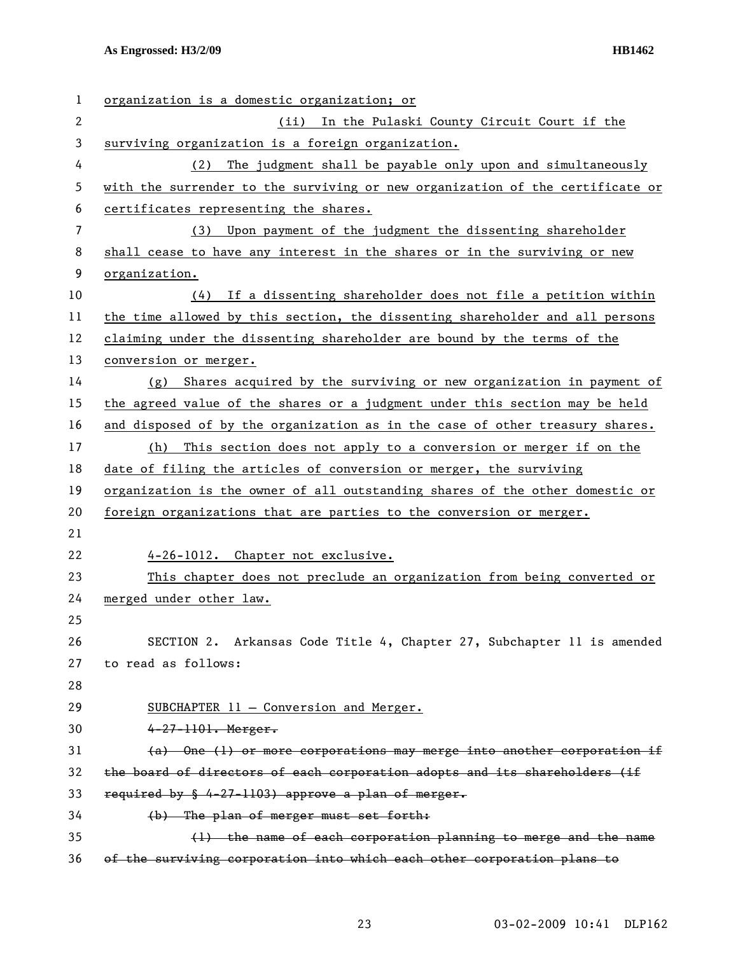| 1              | organization is a domestic organization; or                                   |
|----------------|-------------------------------------------------------------------------------|
| $\overline{c}$ | (ii) In the Pulaski County Circuit Court if the                               |
| 3              | surviving organization is a foreign organization.                             |
| 4              | The judgment shall be payable only upon and simultaneously<br>(2)             |
| 5              | with the surrender to the surviving or new organization of the certificate or |
| 6              | certificates representing the shares.                                         |
| 7              | Upon payment of the judgment the dissenting shareholder<br>(3)                |
| 8              | shall cease to have any interest in the shares or in the surviving or new     |
| 9              | organization.                                                                 |
| 10             | If a dissenting shareholder does not file a petition within<br>(4)            |
| 11             | the time allowed by this section, the dissenting shareholder and all persons  |
| 12             | claiming under the dissenting shareholder are bound by the terms of the       |
| 13             | conversion or merger.                                                         |
| 14             | Shares acquired by the surviving or new organization in payment of<br>(g)     |
| 15             | the agreed value of the shares or a judgment under this section may be held   |
| 16             | and disposed of by the organization as in the case of other treasury shares.  |
| 17             | This section does not apply to a conversion or merger if on the<br>(h)        |
| 18             | date of filing the articles of conversion or merger, the surviving            |
| 19             | organization is the owner of all outstanding shares of the other domestic or  |
| 20             | foreign organizations that are parties to the conversion or merger.           |
| 21             |                                                                               |
| 22             | 4-26-1012. Chapter not exclusive.                                             |
| 23             | This chapter does not preclude an organization from being converted or        |
| 24             | merged under other law.                                                       |
| 25             |                                                                               |
| 26             | SECTION 2. Arkansas Code Title 4, Chapter 27, Subchapter 11 is amended        |
| 27             | to read as follows:                                                           |
| 28             |                                                                               |
| 29             | SUBCHAPTER 11 - Conversion and Merger.                                        |
| 30             | $4 - 27 - 1101$ . Merger.                                                     |
| 31             | $(a)$ One (1) or more corporations may merge into another corporation if      |
| 32             | the board of directors of each corporation adopts and its shareholders (if    |
| 33             | required by $\frac{1}{2}$ 4-27-1103) approve a plan of merger.                |
| 34             | (b) The plan of merger must set forth:                                        |
| 35             | (1) the name of each corporation planning to merge and the name               |
| 36             | of the surviving corporation into which each other corporation plans to       |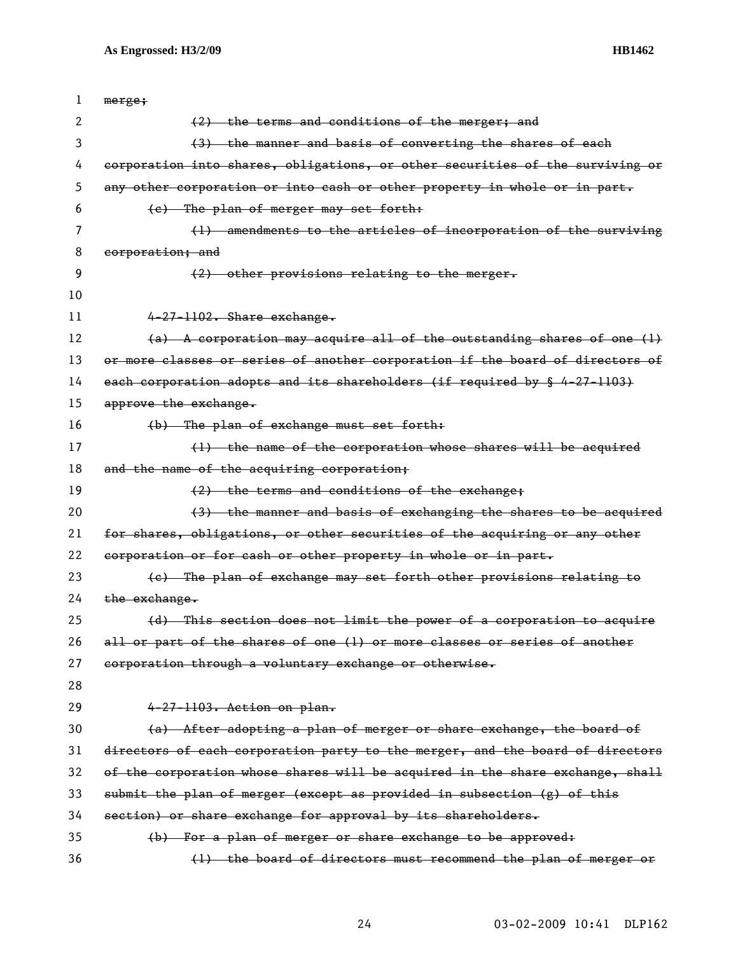| 1  | merge;                                                                        |
|----|-------------------------------------------------------------------------------|
| 2  | (2) the terms and conditions of the merger; and                               |
| 3  | (3) the manner and basis of converting the shares of each                     |
| 4  | corporation into shares, obligations, or other securities of the surviving or |
| 5  | any other corporation or into cash or other property in whole or in part.     |
| 6  | (e) The plan of merger may set forth:                                         |
| 7  | (1) amendments to the articles of incorporation of the surviving              |
| 8  | corporation; and                                                              |
| 9  | (2) other provisions relating to the merger.                                  |
| 10 |                                                                               |
| 11 | 4-27-1102. Share exchange.                                                    |
| 12 | (a) A corporation may acquire all of the outstanding shares of one (1)        |
| 13 | or more classes or series of another corporation if the board of directors of |
| 14 | each corporation adopts and its shareholders (if required by § 4-27-1103)     |
| 15 | approve the exchange.                                                         |
| 16 | (b) The plan of exchange must set forth:                                      |
| 17 | (1) the name of the corporation whose shares will be acquired                 |
| 18 | and the name of the acquiring corporation;                                    |
| 19 | $(2)$ the terms and conditions of the exchange;                               |
| 20 | (3) the manner and basis of exchanging the shares to be acquired              |
| 21 | for shares, obligations, or other securities of the acquiring or any other    |
| 22 | corporation or for cash or other property in whole or in part.                |
| 23 | (e) The plan of exchange may set forth other provisions relating to           |
| 24 | the exchange.                                                                 |
| 25 | (d) This section does not limit the power of a corporation to acquire         |
| 26 | all or part of the shares of one (1) or more classes or series of another     |
| 27 | corporation through a voluntary exchange or otherwise.                        |
| 28 |                                                                               |
| 29 | 4-27-1103. Action on plan.                                                    |
| 30 | (a) After adopting a plan of merger or share exchange, the board of           |
| 31 | directors of each corporation party to the merger, and the board of directors |
| 32 | of the corporation whose shares will be acquired in the share exchange, shall |
| 33 | submit the plan of merger (except as provided in subsection (g) of this       |
| 34 | section) or share exchange for approval by its shareholders.                  |
| 35 | (b) For a plan of merger or share exchange to be approved:                    |
| 36 | (1) the board of directors must recommend the plan of merger or               |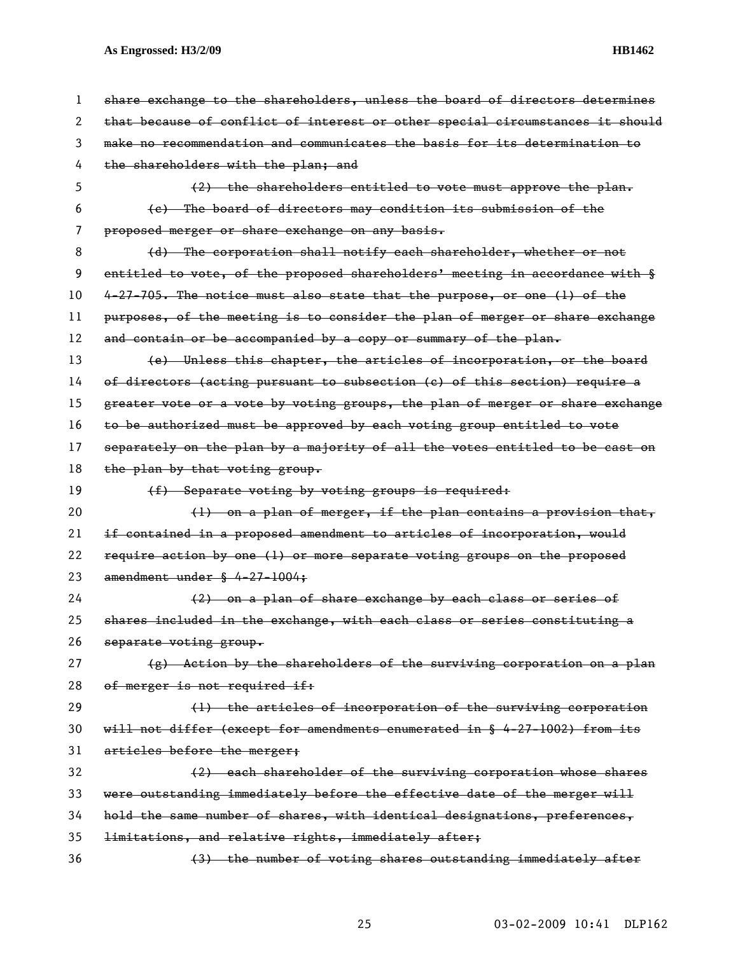| 1  | share exchange to the shareholders, unless the board of directors determines           |
|----|----------------------------------------------------------------------------------------|
| 2  | that because of conflict of interest or other special circumstances it should          |
| 3  | make no recommendation and communicates the basis for its determination to             |
| 4  | the shareholders with the plan; and                                                    |
| 5  | $(2)$ the shareholders entitled to vote must approve the plan.                         |
| 6  | (e) The board of directors may condition its submission of the                         |
| 7  | proposed merger or share exchange on any basis.                                        |
| 8  | (d) The corporation shall notify each shareholder, whether or not                      |
| 9  | entitled to vote, of the proposed shareholders' meeting in accordance with §           |
| 10 | 4-27-705. The notice must also state that the purpose, or one (1) of the               |
| 11 | purposes, of the meeting is to consider the plan of merger or share exchange           |
| 12 | and contain or be accompanied by a copy or summary of the plan.                        |
| 13 | (e) Unless this chapter, the articles of incorporation, or the board                   |
| 14 | of directors (acting pursuant to subsection (c) of this section) require a             |
| 15 | greater vote or a vote by voting groups, the plan of merger or share exchange          |
| 16 | to be authorized must be approved by each voting group entitled to vote                |
| 17 | separately on the plan by a majority of all the votes entitled to be cast on           |
| 18 | the plan by that voting group.                                                         |
| 19 | (f) Separate voting by voting groups is required:                                      |
| 20 | $(1)$ on a plan of merger, if the plan contains a provision that,                      |
| 21 | if contained in a proposed amendment to articles of incorporation, would               |
| 22 | require action by one (1) or more separate voting groups on the proposed               |
| 23 | amendment under $§$ 4-27-1004;                                                         |
| 24 | (2) on a plan of share exchange by each class or series of                             |
| 25 | shares included in the exchange, with each class or series constituting a              |
| 26 | separate voting group.                                                                 |
| 27 | (g) Action by the shareholders of the surviving corporation on a plan                  |
| 28 | of merger is not required if:                                                          |
| 29 | (1) the articles of incorporation of the surviving corporation                         |
| 30 | will not differ (except for amendments enumerated in $\frac{1}{2}$ 4-27-1002) from its |
| 31 | articles before the merger;                                                            |
| 32 | (2) each shareholder of the surviving corporation whose shares                         |
| 33 | were outstanding immediately before the effective date of the merger will              |
| 34 | hold the same number of shares, with identical designations, preferences,              |
| 35 | limitations, and relative rights, immediately after;                                   |
| 36 | (3) the number of voting shares outstanding immediately after                          |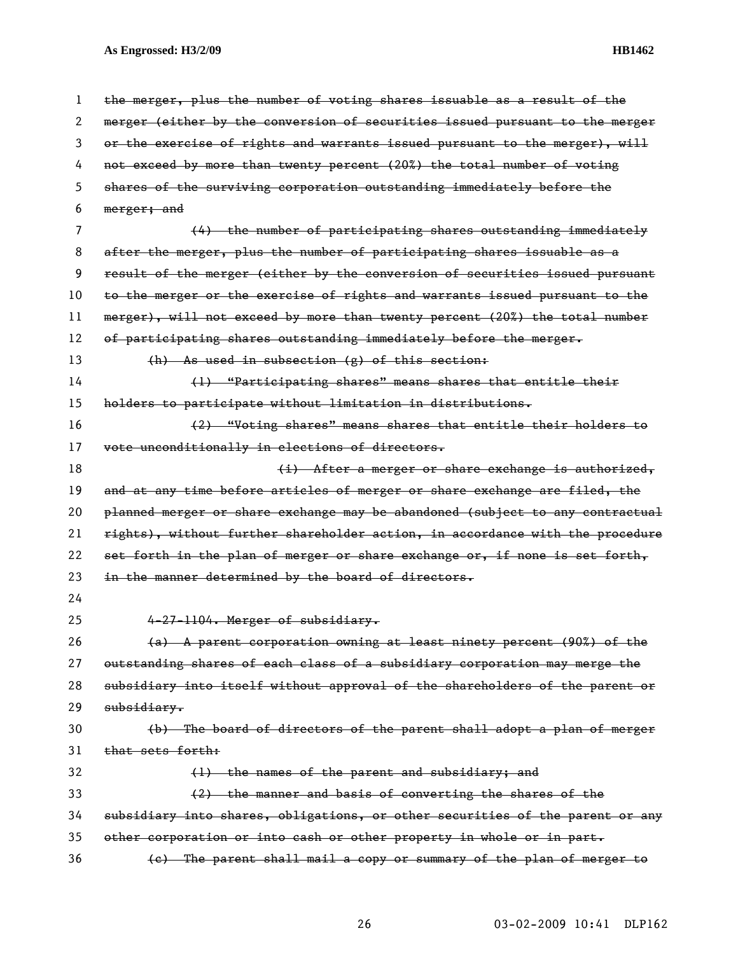| 1  | the merger, plus the number of voting shares issuable as a result of the      |
|----|-------------------------------------------------------------------------------|
| 2  | merger (either by the conversion of securities issued pursuant to the merger  |
| 3  | or the exercise of rights and warrants issued pursuant to the merger), will   |
| 4  | not exceed by more than twenty percent (20%) the total number of voting       |
| 5  | shares of the surviving corporation outstanding immediately before the        |
| 6  | merger; and                                                                   |
| 7  | (4) the number of participating shares outstanding immediately                |
| 8  | after the merger, plus the number of participating shares issuable as a       |
| 9  | result of the merger (either by the conversion of securities issued pursuant  |
| 10 | to the merger or the exercise of rights and warrants issued pursuant to the   |
| 11 | merger), will not exceed by more than twenty percent (20%) the total number   |
| 12 | of participating shares outstanding immediately before the merger.            |
| 13 | $(h)$ As used in subsection (g) of this section:                              |
| 14 | (1) "Participating shares" means shares that entitle their                    |
| 15 | holders to participate without limitation in distributions.                   |
| 16 | (2) "Voting shares" means shares that entitle their holders to                |
| 17 | vote unconditionally in elections of directors.                               |
| 18 | (i) After a merger or share exchange is authorized,                           |
| 19 | and at any time before articles of merger or share exchange are filed, the    |
| 20 | planned merger or share exchange may be abandoned (subject to any contractual |
| 21 | rights), without further shareholder action, in accordance with the procedure |
| 22 | set forth in the plan of merger or share exchange or, if none is set forth,   |
| 23 | in the manner determined by the board of directors.                           |
| 24 |                                                                               |
| 25 | 4-27-1104. Merger of subsidiary.                                              |
| 26 | (a) A parent corporation owning at least ninety percent (90%) of the          |
| 27 | outstanding shares of each class of a subsidiary corporation may merge the    |
| 28 | subsidiary into itself without approval of the shareholders of the parent or  |
| 29 | subsidiary.                                                                   |
| 30 | (b) The board of directors of the parent shall adopt a plan of merger         |
| 31 | that sets forth:                                                              |
| 32 | (1) the names of the parent and subsidiary; and                               |
| 33 | (2) the manner and basis of converting the shares of the                      |
| 34 | subsidiary into shares, obligations, or other securities of the parent or any |
| 35 | other corporation or into cash or other property in whole or in part.         |
| 36 | (e) The parent shall mail a copy or summary of the plan of merger to          |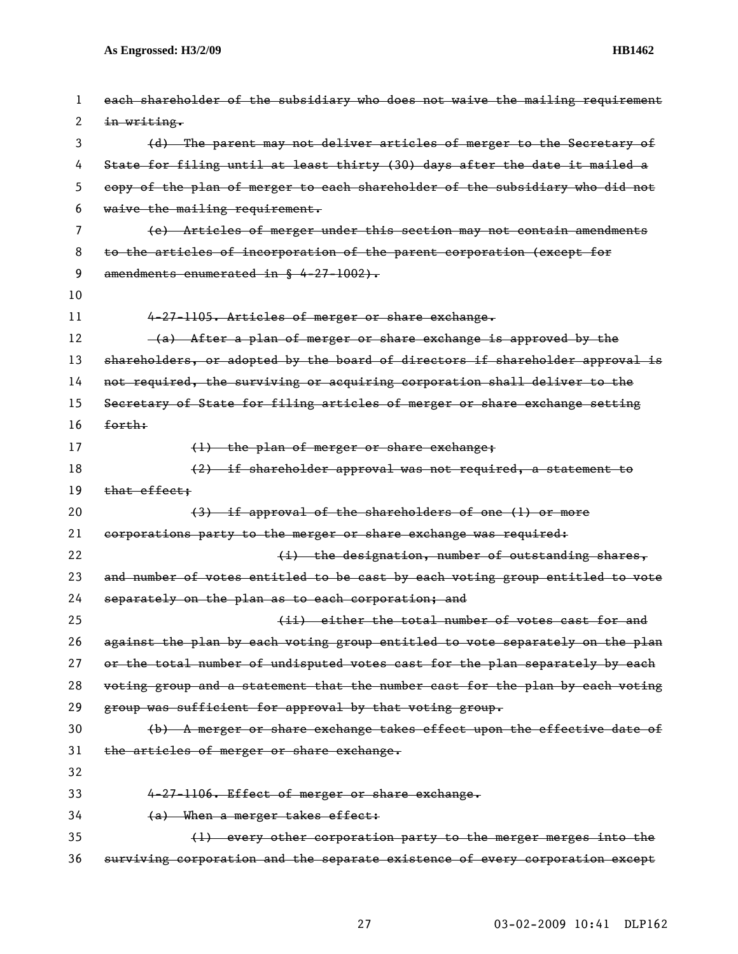| 1  | each shareholder of the subsidiary who does not waive the mailing requirement |
|----|-------------------------------------------------------------------------------|
| 2  | in writing.                                                                   |
| 3  | (d) The parent may not deliver articles of merger to the Secretary of         |
| 4  | State for filing until at least thirty (30) days after the date it mailed a   |
| 5  | copy of the plan of merger to each shareholder of the subsidiary who did not  |
| 6  | waive the mailing requirement.                                                |
| 7  | (e) Articles of merger under this section may not contain amendments          |
| 8  | to the articles of incorporation of the parent corporation (except for        |
| 9  | amendments enumerated in § 4-27-1002).                                        |
| 10 |                                                                               |
| 11 | 4-27-1105. Articles of merger or share exchange.                              |
| 12 | -(a) After a plan of merger or share exchange is approved by the              |
| 13 | shareholders, or adopted by the board of directors if shareholder approval is |
| 14 | not required, the surviving or acquiring corporation shall deliver to the     |
| 15 | Secretary of State for filing articles of merger or share exchange setting    |
| 16 | forth:                                                                        |
| 17 | (1) the plan of merger or share exchange;                                     |
| 18 | (2) if shareholder approval was not required, a statement to                  |
| 19 | that effect;                                                                  |
| 20 | (3) if approval of the shareholders of one (1) or more                        |
| 21 | corporations party to the merger or share exchange was required:              |
| 22 | (i) the designation, number of outstanding shares,                            |
| 23 | and number of votes entitled to be cast by each voting group entitled to vote |
| 24 | separately on the plan as to each corporation; and                            |
| 25 | (ii) either the total number of votes east for and                            |
| 26 | against the plan by each voting group entitled to vote separately on the plan |
| 27 | or the total number of undisputed votes cast for the plan separately by each  |
| 28 | voting group and a statement that the number cast for the plan by each voting |
| 29 | group was sufficient for approval by that voting group.                       |
| 30 | (b) A merger or share exchange takes effect upon the effective date of        |
| 31 | the articles of merger or share exchange.                                     |
| 32 |                                                                               |
| 33 | 4-27-1106. Effect of merger or share exchange.                                |
| 34 |                                                                               |
|    | (a) When a merger takes effect:                                               |
| 35 | (1) every other corporation party to the merger merges into the               |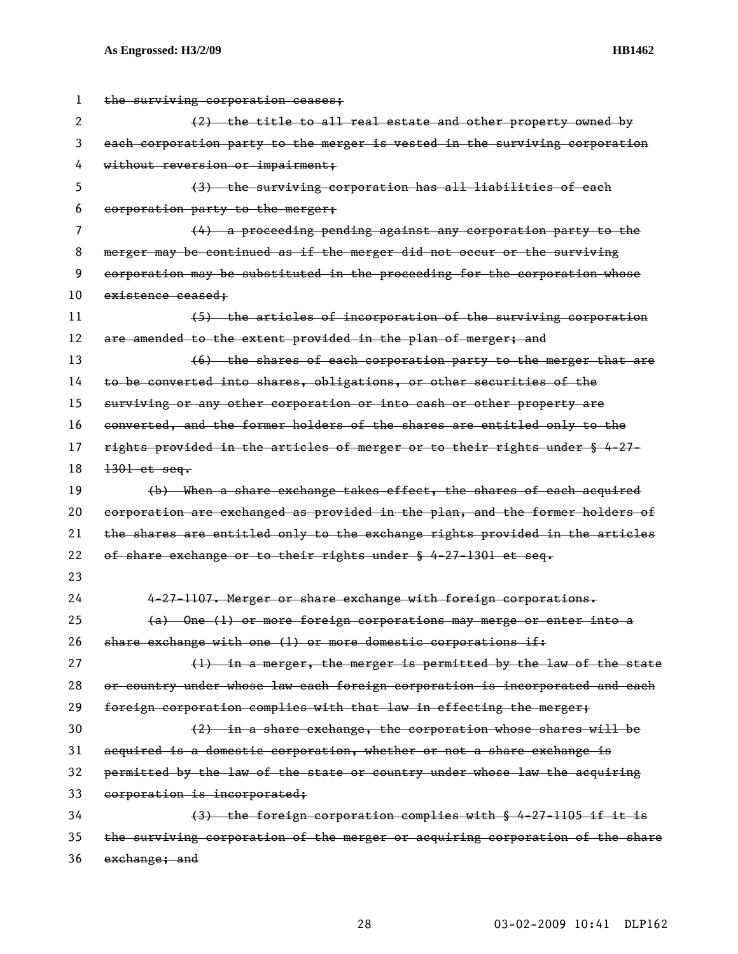| 1  | the surviving corporation ceases;                                             |
|----|-------------------------------------------------------------------------------|
| 2  | (2) the title to all real estate and other property owned by                  |
| 3  | each corporation party to the merger is vested in the surviving corporation   |
| 4  | without reversion or impairment;                                              |
| 5  | (3) the surviving corporation has all liabilities of each                     |
| 6  | corporation party to the merger;                                              |
| 7  | (4) a proceeding pending against any corporation party to the                 |
| 8  | merger may be continued as if the merger did not occur or the surviving       |
| 9  | corporation may be substituted in the proceeding for the corporation whose    |
| 10 | existence ceased:                                                             |
| 11 | (5) the articles of incorporation of the surviving corporation                |
| 12 | are amended to the extent provided in the plan of merger; and                 |
| 13 | (6) the shares of each corporation party to the merger that are               |
| 14 | to be converted into shares, obligations, or other securities of the          |
| 15 | surviving or any other corporation or into cash or other property are         |
| 16 | converted, and the former holders of the shares are entitled only to the      |
| 17 | rights provided in the articles of merger or to their rights under § 4-27-    |
| 18 | $1301$ et seq.                                                                |
| 19 | (b) When a share exchange takes effect, the shares of each acquired           |
| 20 | corporation are exchanged as provided in the plan, and the former holders of  |
| 21 | the shares are entitled only to the exchange rights provided in the articles  |
| 22 | of share exchange or to their rights under § 4-27-1301 et seq.                |
| 23 |                                                                               |
| 24 | 4-27-1107. Merger or share exchange with foreign corporations.                |
| 25 | (a) One (1) or more foreign corporations may merge or enter into a            |
| 26 | share exchange with one (1) or more domestic corporations if:                 |
| 27 | (1) in a merger, the merger is permitted by the law of the state              |
| 28 | or country under whose law each foreign corporation is incorporated and each  |
| 29 | foreign corporation complies with that law in effecting the merger;           |
| 30 | $(2)$ in a share exchange, the corporation whose shares will be               |
| 31 | acquired is a domestic corporation, whether or not a share exchange is        |
| 32 | permitted by the law of the state or country under whose law the acquiring    |
| 33 | corporation is incorporated;                                                  |
| 34 | (3) the foreign corporation complies with § 4-27-1105 if it is                |
| 35 | the surviving corporation of the merger or acquiring corporation of the share |
| 36 | exchange; and                                                                 |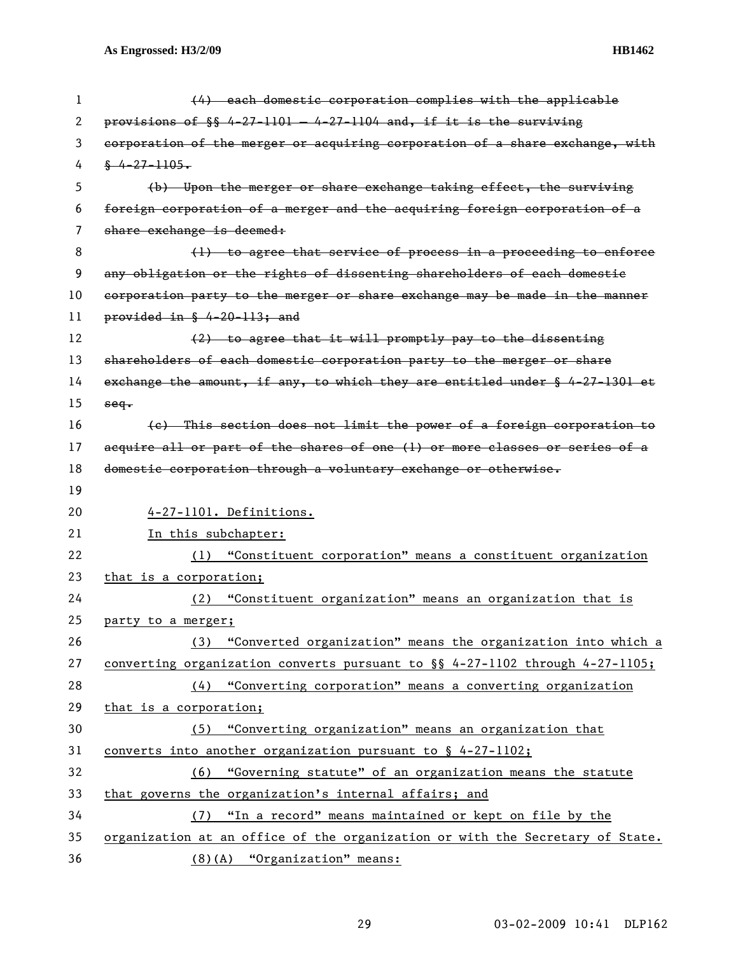| 1  | (4) each domestic corporation complies with the applicable                               |
|----|------------------------------------------------------------------------------------------|
| 2  | provisions of $\S$ 4-27-1101 - 4-27-1104 and, if it is the surviving                     |
| 3  | corporation of the merger or acquiring corporation of a share exchange, with             |
| 4  | $\frac{6}{3}$ 4-27-1105.                                                                 |
| 5  | (b) Upon the merger or share exchange taking effect, the surviving                       |
| 6  | foreign corporation of a merger and the acquiring foreign corporation of a               |
| 7  | share exchange is deemed:                                                                |
| 8  | (1) to agree that service of process in a proceeding to enforce                          |
| 9  | any obligation or the rights of dissenting shareholders of each domestic                 |
| 10 | corporation party to the merger or share exchange may be made in the manner              |
| 11 | provided in $\frac{6}{5}$ 4-20-113; and                                                  |
| 12 | (2) to agree that it will promptly pay to the dissenting                                 |
| 13 | shareholders of each domestic corporation party to the merger or share                   |
| 14 | exchange the amount, if any, to which they are entitled under $\frac{1}{2}$ 4-27-1301 et |
| 15 | $seq$ .                                                                                  |
| 16 | (e) This section does not limit the power of a foreign corporation to                    |
| 17 | acquire all or part of the shares of one (1) or more classes or series of a              |
| 18 | domestic corporation through a voluntary exchange or otherwise.                          |
| 19 |                                                                                          |
| 20 | 4-27-1101. Definitions.                                                                  |
| 21 | In this subchapter:                                                                      |
| 22 | "Constituent corporation" means a constituent organization<br>(1)                        |
| 23 | that is a corporation;                                                                   |
| 24 | "Constituent organization" means an organization that is<br>(2)                          |
| 25 | party to a merger;                                                                       |
| 26 | (3) "Converted organization" means the organization into which a                         |
| 27 | converting organization converts pursuant to $\S$ 4-27-1102 through 4-27-1105;           |
| 28 | (4) "Converting corporation" means a converting organization                             |
| 29 | that is a corporation;                                                                   |
| 30 | (5) "Converting organization" means an organization that                                 |
| 31 | converts into another organization pursuant to $\S$ 4-27-1102;                           |
| 32 | (6) "Governing statute" of an organization means the statute                             |
| 33 | that governs the organization's internal affairs; and                                    |
| 34 | (7) "In a record" means maintained or kept on file by the                                |
| 35 | organization at an office of the organization or with the Secretary of State.            |
| 36 | (8)(A) "Organization" means:                                                             |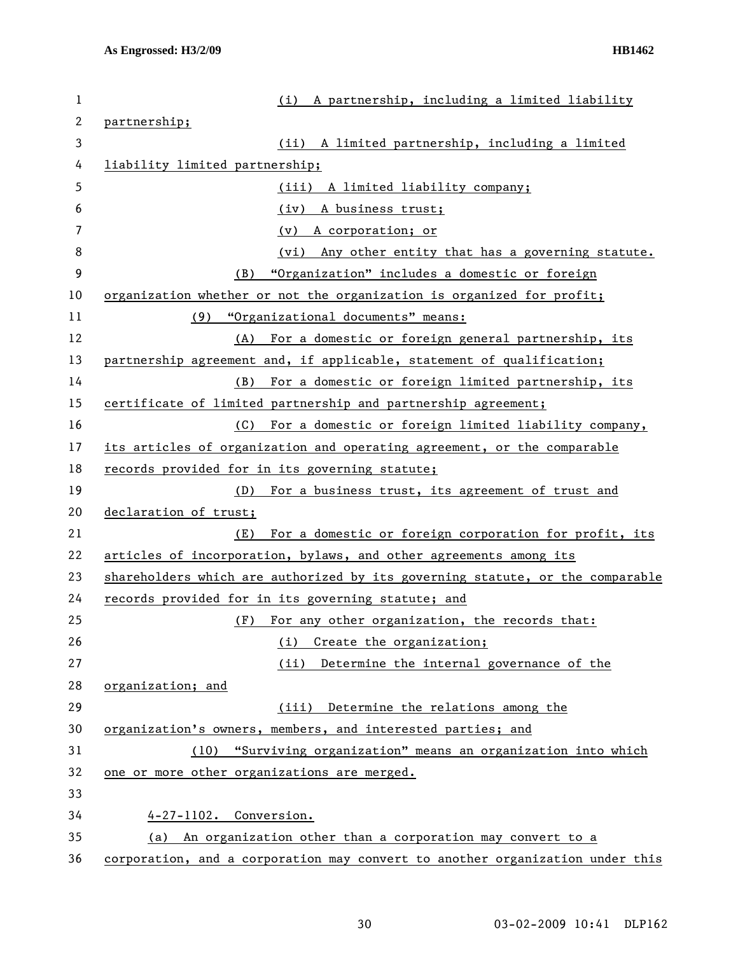| 1            | (i) A partnership, including a limited liability                              |
|--------------|-------------------------------------------------------------------------------|
| $\mathbf{2}$ | partnership;                                                                  |
| 3            | A limited partnership, including a limited<br>(ii)                            |
| 4            | liability limited partnership;                                                |
| 5            | (iii) A limited liability company;                                            |
| 6            | A business trust;<br>(iv)                                                     |
| 7            | (v) A corporation; or                                                         |
| 8            | (vi) Any other entity that has a governing statute.                           |
| 9            | "Organization" includes a domestic or foreign<br>(B)                          |
| 10           | organization whether or not the organization is organized for profit;         |
| 11           | (9) "Organizational documents" means:                                         |
| 12           | (A) For a domestic or foreign general partnership, its                        |
| 13           | partnership agreement and, if applicable, statement of qualification;         |
| 14           | For a domestic or foreign limited partnership, its<br>(B)                     |
| 15           | certificate of limited partnership and partnership agreement;                 |
| 16           | (C) For a domestic or foreign limited liability company,                      |
| 17           | its articles of organization and operating agreement, or the comparable       |
| 18           | records provided for in its governing statute;                                |
| 19           | (D) For a business trust, its agreement of trust and                          |
| 20           | declaration of trust;                                                         |
| 21           | For a domestic or foreign corporation for profit, its<br>(E)                  |
| 22           | articles of incorporation, bylaws, and other agreements among its             |
| 23           | shareholders which are authorized by its governing statute, or the comparable |
| 24           | records provided for in its governing statute; and                            |
| 25           | For any other organization, the records that:<br>(F)                          |
| 26           | Create the organization;<br>(i)                                               |
| 27           | (ii)<br>Determine the internal governance of the                              |
| 28           | organization; and                                                             |
| 29           | (iii) Determine the relations among the                                       |
| 30           | organization's owners, members, and interested parties; and                   |
| 31           | "Surviving organization" means an organization into which<br>(10)             |
| 32           | one or more other organizations are merged.                                   |
| 33           |                                                                               |
| 34           | 4-27-1102. Conversion.                                                        |
| 35           | An organization other than a corporation may convert to a<br>(a)              |
| 36           | corporation, and a corporation may convert to another organization under this |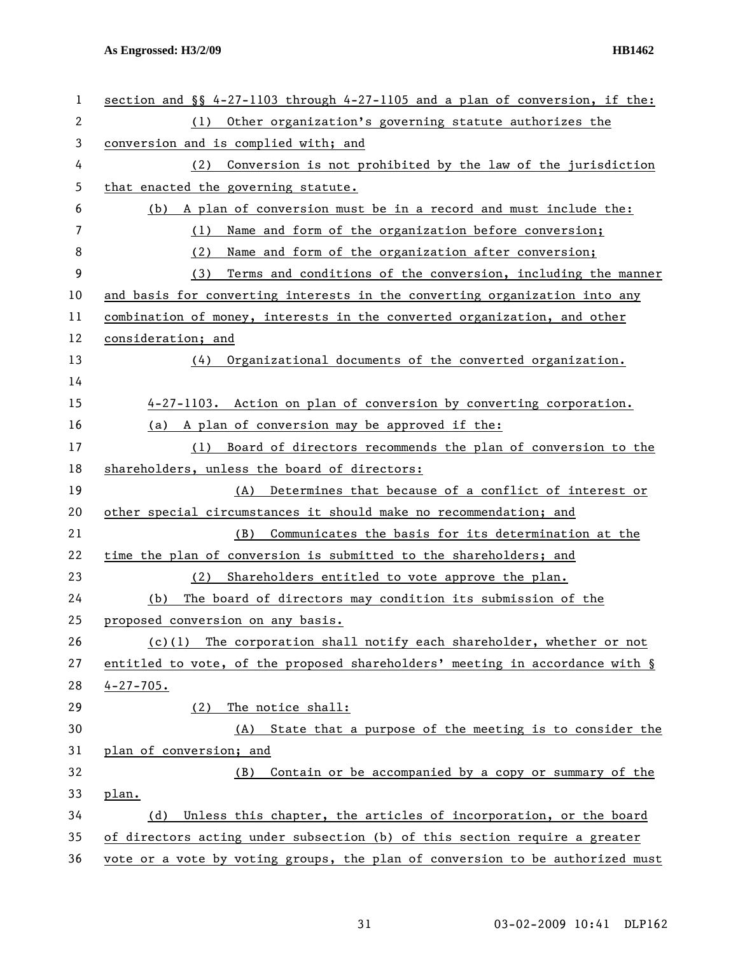| 1  | section and $\S$ 4-27-1103 through 4-27-1105 and a plan of conversion, if the: |
|----|--------------------------------------------------------------------------------|
| 2  | Other organization's governing statute authorizes the<br>(1)                   |
| 3  | conversion and is complied with; and                                           |
| 4  | Conversion is not prohibited by the law of the jurisdiction<br>(2)             |
| 5  | that enacted the governing statute.                                            |
| 6  | (b) A plan of conversion must be in a record and must include the:             |
| 7  | (1) Name and form of the organization before conversion;                       |
| 8  | (2)<br>Name and form of the organization after conversion;                     |
| 9  | Terms and conditions of the conversion, including the manner<br>(3)            |
| 10 | and basis for converting interests in the converting organization into any     |
| 11 | combination of money, interests in the converted organization, and other       |
| 12 | consideration; and                                                             |
| 13 | Organizational documents of the converted organization.<br>(4)                 |
| 14 |                                                                                |
| 15 | 4-27-1103. Action on plan of conversion by converting corporation.             |
| 16 | (a) A plan of conversion may be approved if the:                               |
| 17 | Board of directors recommends the plan of conversion to the<br>(1)             |
| 18 | shareholders, unless the board of directors:                                   |
| 19 | (A) Determines that because of a conflict of interest or                       |
| 20 | other special circumstances it should make no recommendation; and              |
| 21 | Communicates the basis for its determination at the<br>(B)                     |
| 22 | time the plan of conversion is submitted to the shareholders; and              |
| 23 | Shareholders entitled to vote approve the plan.<br>(2)                         |
| 24 | The board of directors may condition its submission of the<br>(b)              |
| 25 | proposed conversion on any basis.                                              |
| 26 | $(c)(1)$ The corporation shall notify each shareholder, whether or not         |
| 27 | entitled to vote, of the proposed shareholders' meeting in accordance with §   |
| 28 | $4 - 27 - 705$ .                                                               |
| 29 | The notice shall:<br>(2)                                                       |
| 30 | State that a purpose of the meeting is to consider the<br>(A)                  |
| 31 | plan of conversion; and                                                        |
| 32 | Contain or be accompanied by a copy or summary of the<br>(B)                   |
| 33 | plan.                                                                          |
| 34 | Unless this chapter, the articles of incorporation, or the board<br>(d)        |
| 35 | of directors acting under subsection (b) of this section require a greater     |
| 36 | vote or a vote by voting groups, the plan of conversion to be authorized must  |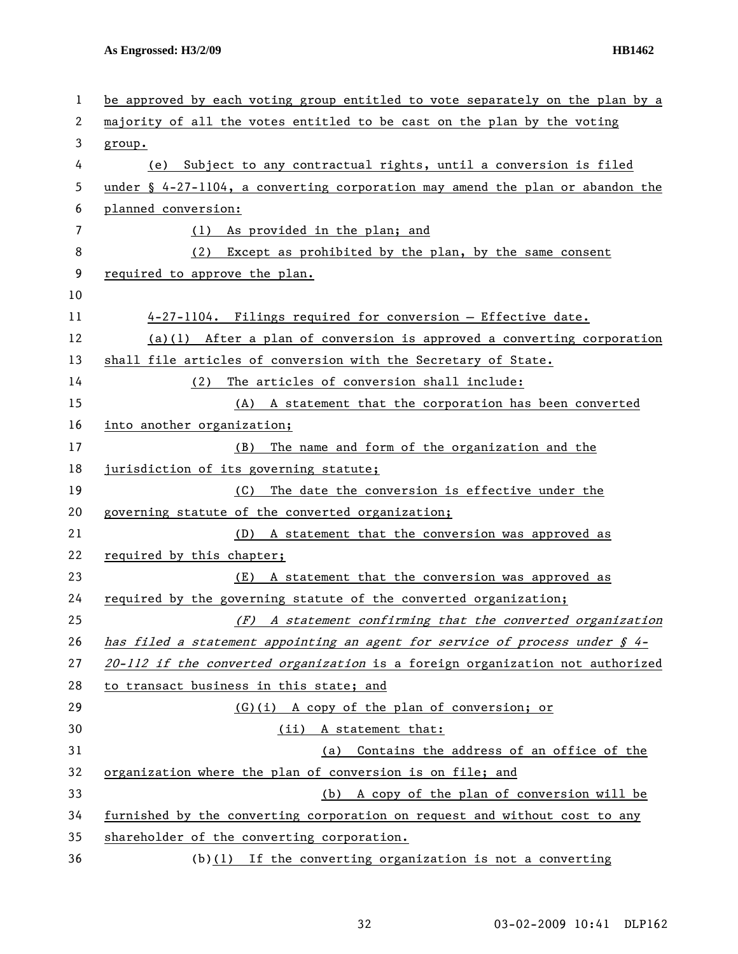| 1  | be approved by each voting group entitled to vote separately on the plan by a             |
|----|-------------------------------------------------------------------------------------------|
| 2  | majority of all the votes entitled to be cast on the plan by the voting                   |
| 3  | group.                                                                                    |
| 4  | (e) Subject to any contractual rights, until a conversion is filed                        |
| 5  | under $\frac{1}{2}$ 4-27-1104, a converting corporation may amend the plan or abandon the |
| 6  | planned conversion:                                                                       |
| 7  | (1) As provided in the plan; and                                                          |
| 8  | (2) Except as prohibited by the plan, by the same consent                                 |
| 9  | required to approve the plan.                                                             |
| 10 |                                                                                           |
| 11 | 4-27-1104. Filings required for conversion - Effective date.                              |
| 12 | $(a)(1)$ After a plan of conversion is approved a converting corporation                  |
| 13 | shall file articles of conversion with the Secretary of State.                            |
| 14 | The articles of conversion shall include:<br>(2)                                          |
| 15 | (A) A statement that the corporation has been converted                                   |
| 16 | into another organization;                                                                |
| 17 | The name and form of the organization and the<br>(B)                                      |
| 18 | jurisdiction of its governing statute;                                                    |
| 19 | The date the conversion is effective under the<br>(C)                                     |
| 20 | governing statute of the converted organization;                                          |
| 21 | A statement that the conversion was approved as<br>(D)                                    |
| 22 | required by this chapter;                                                                 |
| 23 | A statement that the conversion was approved as<br>(E)                                    |
| 24 | required by the governing statute of the converted organization;                          |
| 25 | (F) A statement confirming that the converted organization                                |
| 26 | has filed a statement appointing an agent for service of process under $\oint 4-$         |
| 27 | 20-112 if the converted organization is a foreign organization not authorized             |
| 28 | to transact business in this state; and                                                   |
| 29 | (G)(i) A copy of the plan of conversion; or                                               |
| 30 | (ii) A statement that:                                                                    |
| 31 | Contains the address of an office of the<br>(a)                                           |
| 32 | organization where the plan of conversion is on file; and                                 |
| 33 | (b) A copy of the plan of conversion will be                                              |
| 34 | furnished by the converting corporation on request and without cost to any                |
| 35 | shareholder of the converting corporation.                                                |
| 36 | $(b)(1)$ If the converting organization is not a converting                               |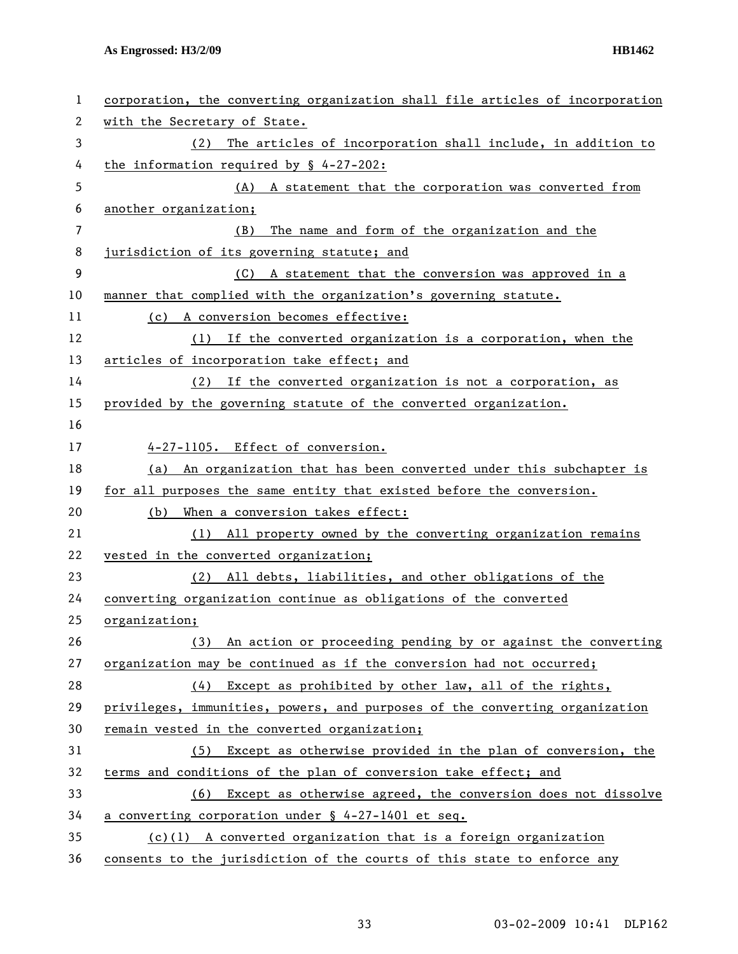| 1  | corporation, the converting organization shall file articles of incorporation |
|----|-------------------------------------------------------------------------------|
| 2  | with the Secretary of State.                                                  |
| 3  | The articles of incorporation shall include, in addition to<br>(2)            |
| 4  | the information required by $\frac{6}{5}$ 4-27-202:                           |
| 5  | (A) A statement that the corporation was converted from                       |
| 6  | another organization;                                                         |
| 7  | The name and form of the organization and the<br>(B)                          |
| 8  | jurisdiction of its governing statute; and                                    |
| 9  | (C) A statement that the conversion was approved in a                         |
| 10 | manner that complied with the organization's governing statute.               |
| 11 | (c) A conversion becomes effective:                                           |
| 12 | If the converted organization is a corporation, when the<br>(1)               |
| 13 | articles of incorporation take effect; and                                    |
| 14 | If the converted organization is not a corporation, as<br>(2)                 |
| 15 | provided by the governing statute of the converted organization.              |
| 16 |                                                                               |
| 17 | 4-27-1105. Effect of conversion.                                              |
| 18 | (a) An organization that has been converted under this subchapter is          |
| 19 | for all purposes the same entity that existed before the conversion.          |
| 20 | When a conversion takes effect:<br>(b)                                        |
| 21 | All property owned by the converting organization remains<br>(1)              |
| 22 | vested in the converted organization;                                         |
| 23 | (2) All debts, liabilities, and other obligations of the                      |
| 24 | converting organization continue as obligations of the converted              |
| 25 | organization;                                                                 |
| 26 | (3) An action or proceeding pending by or against the converting              |
| 27 | organization may be continued as if the conversion had not occurred;          |
| 28 | Except as prohibited by other law, all of the rights,<br>(4)                  |
| 29 | privileges, immunities, powers, and purposes of the converting organization   |
| 30 | remain vested in the converted organization;                                  |
| 31 | (5) Except as otherwise provided in the plan of conversion, the               |
| 32 | terms and conditions of the plan of conversion take effect; and               |
| 33 | (6) Except as otherwise agreed, the conversion does not dissolve              |
| 34 | a converting corporation under § 4-27-1401 et seq.                            |
| 35 | $(c)(1)$ A converted organization that is a foreign organization              |
| 36 | consents to the jurisdiction of the courts of this state to enforce any       |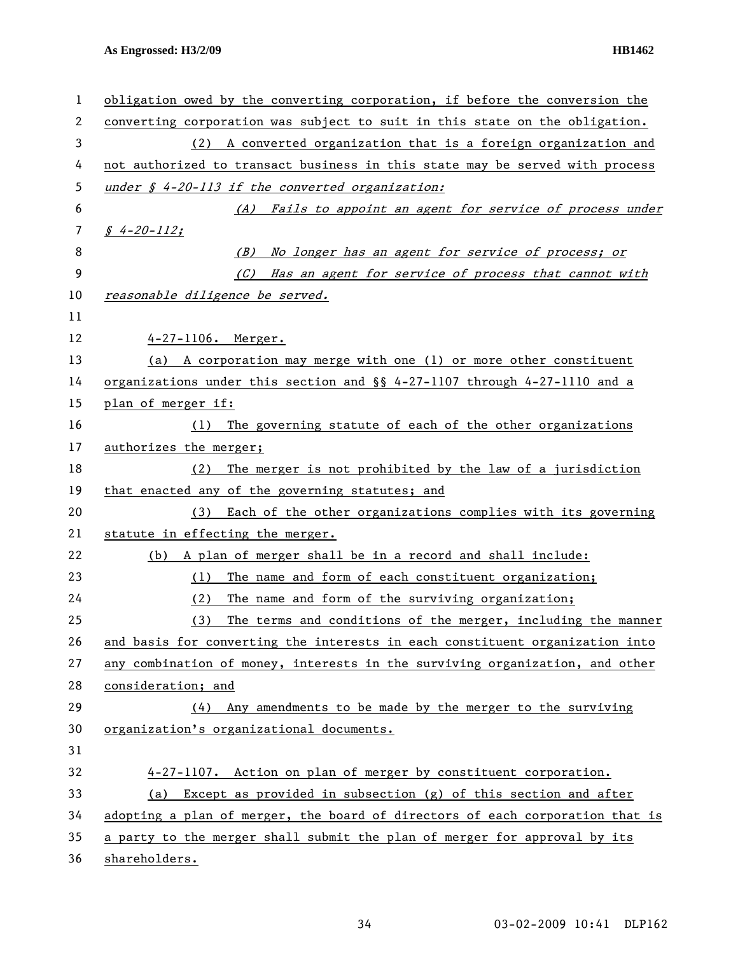| 1  | obligation owed by the converting corporation, if before the conversion the   |
|----|-------------------------------------------------------------------------------|
| 2  | converting corporation was subject to suit in this state on the obligation.   |
| 3  | (2) A converted organization that is a foreign organization and               |
| 4  | not authorized to transact business in this state may be served with process  |
| 5  | under $\oint$ 4-20-113 if the converted organization:                         |
| 6  | (A) Fails to appoint an agent for service of process under                    |
| 7  | $$4-20-112;$                                                                  |
| 8  | (B) No longer has an agent for service of process; or                         |
| 9  | (C) Has an agent for service of process that cannot with                      |
| 10 | reasonable diligence be served.                                               |
| 11 |                                                                               |
| 12 | 4-27-1106. Merger.                                                            |
| 13 | (a) A corporation may merge with one (1) or more other constituent            |
| 14 | organizations under this section and $\S$ 4-27-1107 through 4-27-1110 and a   |
| 15 | plan of merger if:                                                            |
| 16 | The governing statute of each of the other organizations<br>(1)               |
| 17 | authorizes the merger;                                                        |
| 18 | The merger is not prohibited by the law of a jurisdiction<br>(2)              |
| 19 | that enacted any of the governing statutes; and                               |
| 20 | Each of the other organizations complies with its governing<br>(3)            |
| 21 | statute in effecting the merger.                                              |
| 22 | A plan of merger shall be in a record and shall include:<br>(b)               |
| 23 | The name and form of each constituent organization;<br>(1)                    |
| 24 | The name and form of the surviving organization;<br>(2)                       |
| 25 | (3)<br>The terms and conditions of the merger, including the manner           |
| 26 | and basis for converting the interests in each constituent organization into  |
| 27 | any combination of money, interests in the surviving organization, and other  |
| 28 | consideration; and                                                            |
| 29 | Any amendments to be made by the merger to the surviving<br>(4)               |
| 30 | organization's organizational documents.                                      |
| 31 |                                                                               |
| 32 | 4-27-1107. Action on plan of merger by constituent corporation.               |
| 33 | Except as provided in subsection $(g)$ of this section and after<br>(a)       |
| 34 | adopting a plan of merger, the board of directors of each corporation that is |
| 35 | a party to the merger shall submit the plan of merger for approval by its     |
| 36 | shareholders.                                                                 |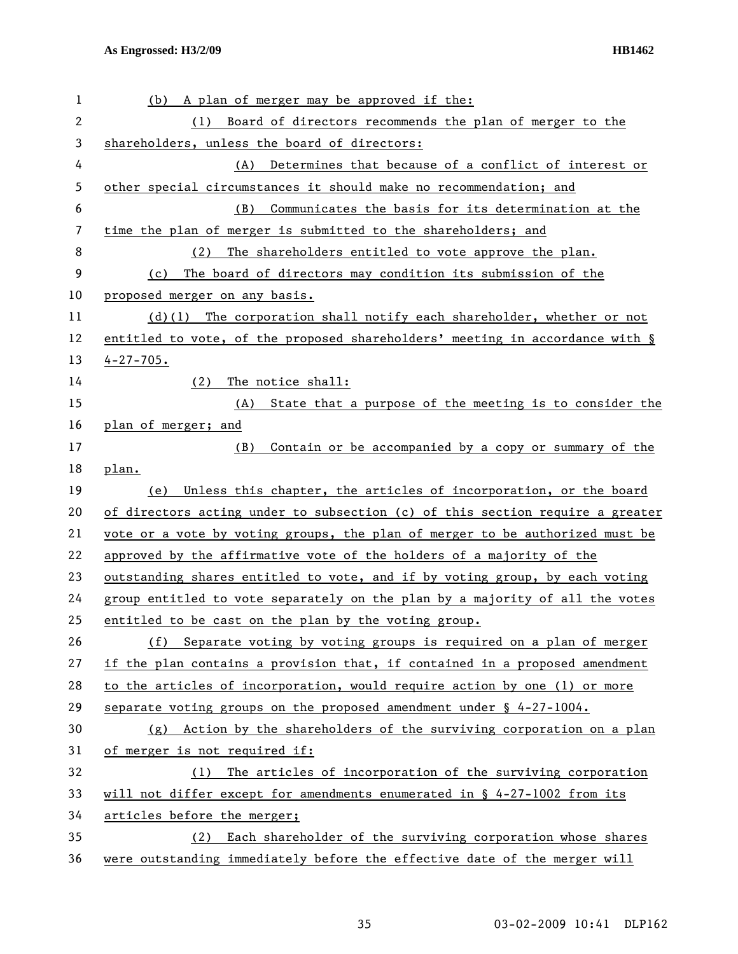| 1  | A plan of merger may be approved if the:<br>(b)                               |
|----|-------------------------------------------------------------------------------|
| 2  | Board of directors recommends the plan of merger to the<br>(1)                |
| 3  | shareholders, unless the board of directors:                                  |
| 4  | (A) Determines that because of a conflict of interest or                      |
| 5  | other special circumstances it should make no recommendation; and             |
| 6  | Communicates the basis for its determination at the<br>(B)                    |
| 7  | time the plan of merger is submitted to the shareholders; and                 |
| 8  | The shareholders entitled to vote approve the plan.<br>(2)                    |
| 9  | The board of directors may condition its submission of the<br>(c)             |
| 10 | proposed merger on any basis.                                                 |
| 11 | $(d)(1)$ The corporation shall notify each shareholder, whether or not        |
| 12 | entitled to vote, of the proposed shareholders' meeting in accordance with §  |
| 13 | $4 - 27 - 705$ .                                                              |
| 14 | (2)<br>The notice shall:                                                      |
| 15 | (A)<br>State that a purpose of the meeting is to consider the                 |
| 16 | plan of merger; and                                                           |
| 17 | Contain or be accompanied by a copy or summary of the<br>(B)                  |
| 18 | plan.                                                                         |
| 19 | (e)<br>Unless this chapter, the articles of incorporation, or the board       |
| 20 | of directors acting under to subsection (c) of this section require a greater |
| 21 | vote or a vote by voting groups, the plan of merger to be authorized must be  |
| 22 | approved by the affirmative vote of the holders of a majority of the          |
| 23 | outstanding shares entitled to vote, and if by voting group, by each voting   |
| 24 | group entitled to vote separately on the plan by a majority of all the votes  |
| 25 | entitled to be cast on the plan by the voting group.                          |
| 26 | (f) Separate voting by voting groups is required on a plan of merger          |
| 27 | if the plan contains a provision that, if contained in a proposed amendment   |
| 28 | to the articles of incorporation, would require action by one (1) or more     |
| 29 | separate voting groups on the proposed amendment under $\S$ 4-27-1004.        |
| 30 | (g) Action by the shareholders of the surviving corporation on a plan         |
| 31 | of merger is not required if:                                                 |
| 32 | The articles of incorporation of the surviving corporation<br>(1)             |
| 33 | will not differ except for amendments enumerated in $\S$ 4-27-1002 from its   |
| 34 | articles before the merger;                                                   |
| 35 | Each shareholder of the surviving corporation whose shares<br>(2)             |
| 36 | were outstanding immediately before the effective date of the merger will     |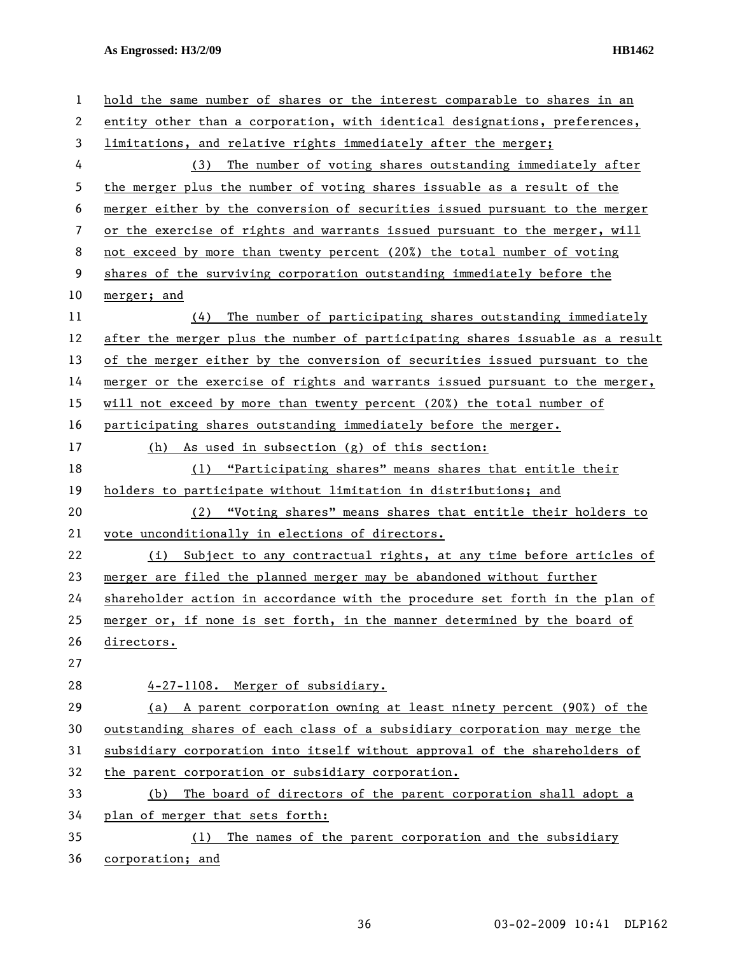| 1  | hold the same number of shares or the interest comparable to shares in an     |
|----|-------------------------------------------------------------------------------|
| 2  | entity other than a corporation, with identical designations, preferences,    |
| 3  | limitations, and relative rights immediately after the merger;                |
| 4  | (3) The number of voting shares outstanding immediately after                 |
| 5  | the merger plus the number of voting shares issuable as a result of the       |
| 6  | merger either by the conversion of securities issued pursuant to the merger   |
| 7  | or the exercise of rights and warrants issued pursuant to the merger, will    |
| 8  | not exceed by more than twenty percent (20%) the total number of voting       |
| 9  | shares of the surviving corporation outstanding immediately before the        |
| 10 | merger; and                                                                   |
| 11 | (4) The number of participating shares outstanding immediately                |
| 12 | after the merger plus the number of participating shares issuable as a result |
| 13 | of the merger either by the conversion of securities issued pursuant to the   |
| 14 | merger or the exercise of rights and warrants issued pursuant to the merger,  |
| 15 | will not exceed by more than twenty percent (20%) the total number of         |
| 16 | participating shares outstanding immediately before the merger.               |
| 17 | As used in subsection (g) of this section:<br>(h)                             |
| 18 | (1) "Participating shares" means shares that entitle their                    |
| 19 | holders to participate without limitation in distributions; and               |
| 20 | (2) "Voting shares" means shares that entitle their holders to                |
| 21 | vote unconditionally in elections of directors.                               |
| 22 | Subject to any contractual rights, at any time before articles of<br>(i)      |
| 23 | merger are filed the planned merger may be abandoned without further          |
| 24 | shareholder action in accordance with the procedure set forth in the plan of  |
| 25 | merger or, if none is set forth, in the manner determined by the board of     |
| 26 | directors.                                                                    |
| 27 |                                                                               |
| 28 | 4-27-1108. Merger of subsidiary.                                              |
| 29 | (a) A parent corporation owning at least ninety percent (90%) of the          |
| 30 | outstanding shares of each class of a subsidiary corporation may merge the    |
| 31 | subsidiary corporation into itself without approval of the shareholders of    |
| 32 | the parent corporation or subsidiary corporation.                             |
| 33 | The board of directors of the parent corporation shall adopt a<br>(b)         |
| 34 | plan of merger that sets forth:                                               |
| 35 | The names of the parent corporation and the subsidiary<br>(1)                 |
| 36 | corporation; and                                                              |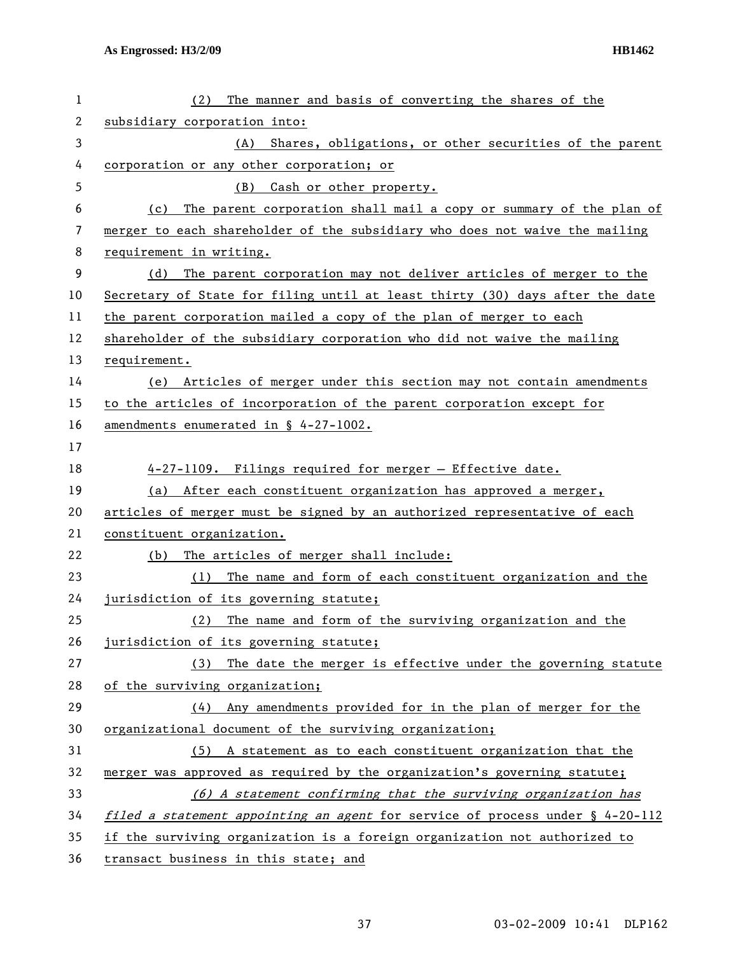| 1  | The manner and basis of converting the shares of the<br>(2)                      |
|----|----------------------------------------------------------------------------------|
| 2  | subsidiary corporation into:                                                     |
| 3  | Shares, obligations, or other securities of the parent<br>(A)                    |
| 4  | corporation or any other corporation; or                                         |
| 5  | Cash or other property.<br>(B)                                                   |
| 6  | The parent corporation shall mail a copy or summary of the plan of<br>(c)        |
| 7  | merger to each shareholder of the subsidiary who does not waive the mailing      |
| 8  | requirement in writing.                                                          |
| 9  | (d) The parent corporation may not deliver articles of merger to the             |
| 10 | Secretary of State for filing until at least thirty (30) days after the date     |
| 11 | the parent corporation mailed a copy of the plan of merger to each               |
| 12 | shareholder of the subsidiary corporation who did not waive the mailing          |
| 13 | requirement.                                                                     |
| 14 | (e) Articles of merger under this section may not contain amendments             |
| 15 | to the articles of incorporation of the parent corporation except for            |
| 16 | amendments enumerated in § 4-27-1002.                                            |
| 17 |                                                                                  |
| 18 | 4-27-1109. Filings required for merger - Effective date.                         |
| 19 | (a) After each constituent organization has approved a merger,                   |
| 20 | articles of merger must be signed by an authorized representative of each        |
| 21 | constituent organization.                                                        |
| 22 | The articles of merger shall include:<br>(b)                                     |
| 23 | The name and form of each constituent organization and the<br>(1)                |
| 24 | jurisdiction of its governing statute;                                           |
| 25 | (2) The name and form of the surviving organization and the                      |
| 26 | jurisdiction of its governing statute;                                           |
| 27 | The date the merger is effective under the governing statute<br>(3)              |
| 28 | of the surviving organization;                                                   |
| 29 | (4) Any amendments provided for in the plan of merger for the                    |
| 30 | organizational document of the surviving organization;                           |
| 31 | (5) A statement as to each constituent organization that the                     |
| 32 | merger was approved as required by the organization's governing statute;         |
| 33 | (6) A statement confirming that the surviving organization has                   |
| 34 | filed a statement appointing an agent for service of process under $\S$ 4-20-112 |
| 35 | if the surviving organization is a foreign organization not authorized to        |
| 36 | transact business in this state; and                                             |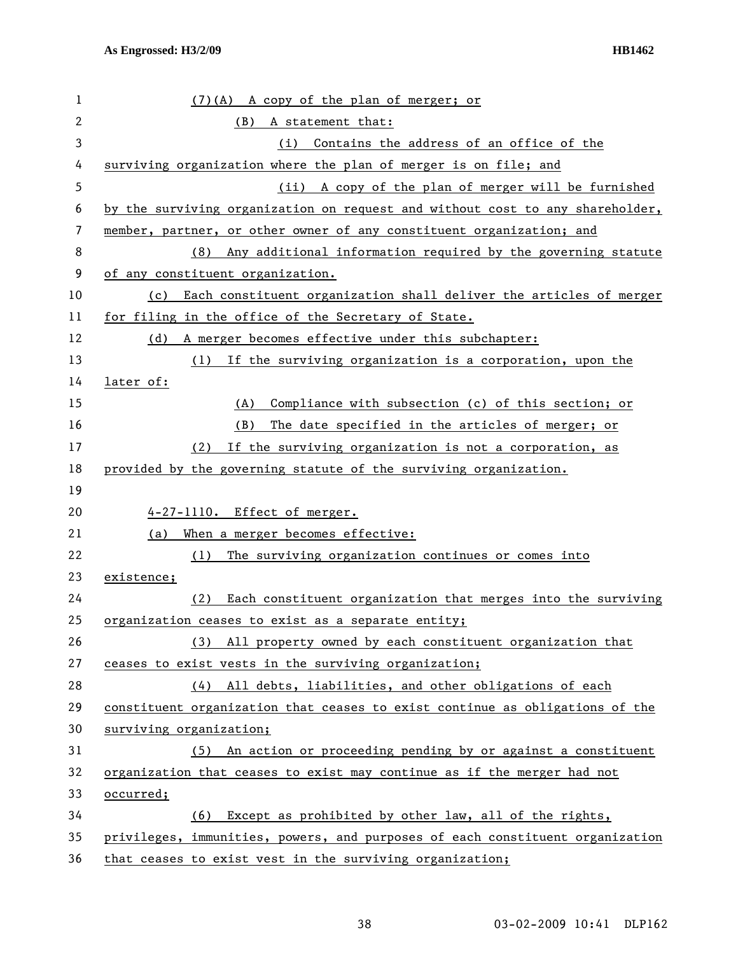| 1            | (7)(A) A copy of the plan of merger; or                                       |
|--------------|-------------------------------------------------------------------------------|
| $\mathbf{2}$ | (B)<br>A statement that:                                                      |
| 3            | (i) Contains the address of an office of the                                  |
| 4            | surviving organization where the plan of merger is on file; and               |
| 5            | (ii) A copy of the plan of merger will be furnished                           |
| 6            | by the surviving organization on request and without cost to any shareholder, |
| 7            | member, partner, or other owner of any constituent organization; and          |
| 8            | Any additional information required by the governing statute<br>(8)           |
| 9            | of any constituent organization.                                              |
| 10           | Each constituent organization shall deliver the articles of merger<br>(c)     |
| 11           | for filing in the office of the Secretary of State.                           |
| 12           | A merger becomes effective under this subchapter:<br>(d)                      |
| 13           | If the surviving organization is a corporation, upon the<br>(1)               |
| 14           | later of:                                                                     |
| 15           | Compliance with subsection (c) of this section; or<br>(A)                     |
| 16           | The date specified in the articles of merger; or<br>(B)                       |
| 17           | If the surviving organization is not a corporation, as<br>(2)                 |
| 18           | provided by the governing statute of the surviving organization.              |
| 19           |                                                                               |
| 20           | 4-27-1110. Effect of merger.                                                  |
| 21           | When a merger becomes effective:<br>(a)                                       |
| 22           | (1)<br>The surviving organization continues or comes into                     |
| 23           | existence;                                                                    |
| 24           | Each constituent organization that merges into the surviving<br>(2)           |
| 25           | organization ceases to exist as a separate entity;                            |
| 26           | (3) All property owned by each constituent organization that                  |
| 27           | ceases to exist vests in the surviving organization;                          |
| 28           | (4) All debts, liabilities, and other obligations of each                     |
| 29           | constituent organization that ceases to exist continue as obligations of the  |
| 30           | surviving organization;                                                       |
| 31           | An action or proceeding pending by or against a constituent<br>(5)            |
| 32           | organization that ceases to exist may continue as if the merger had not       |
| 33           | occurred;                                                                     |
| 34           | (6) Except as prohibited by other law, all of the rights,                     |
| 35           | privileges, immunities, powers, and purposes of each constituent organization |
| 36           | that ceases to exist vest in the surviving organization;                      |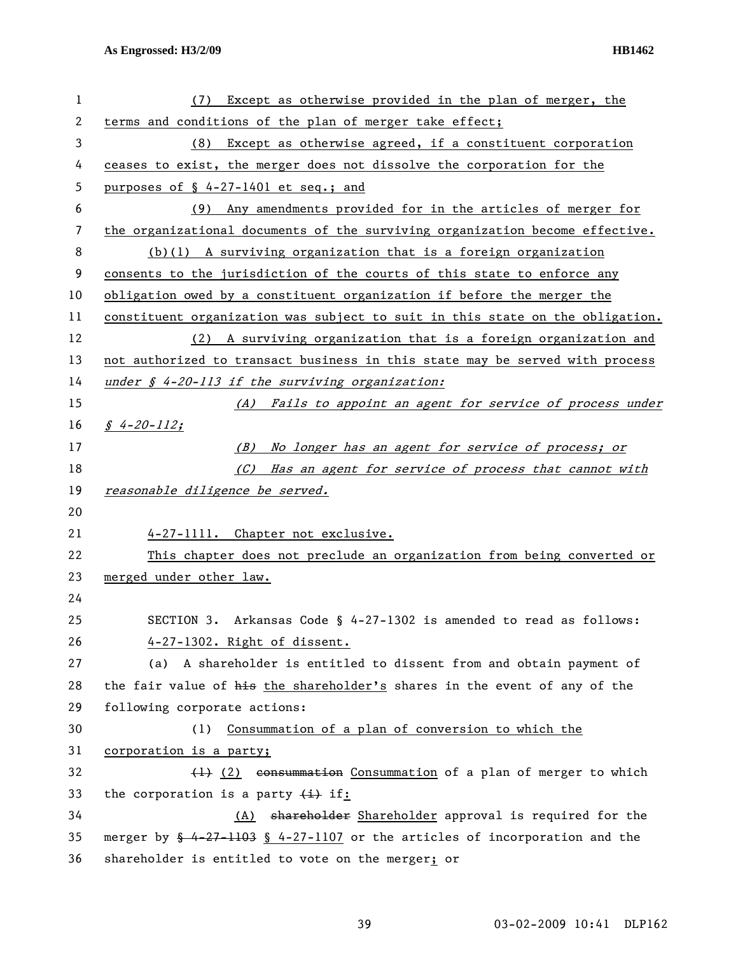| 1  | Except as otherwise provided in the plan of merger, the<br>(7)                         |
|----|----------------------------------------------------------------------------------------|
| 2  | terms and conditions of the plan of merger take effect;                                |
| 3  | Except as otherwise agreed, if a constituent corporation<br>(8)                        |
| 4  | ceases to exist, the merger does not dissolve the corporation for the                  |
| 5  | purposes of $$4-27-1401$ et seq.; and                                                  |
| 6  | (9) Any amendments provided for in the articles of merger for                          |
| 7  | the organizational documents of the surviving organization become effective.           |
| 8  | $(b)(1)$ A surviving organization that is a foreign organization                       |
| 9  | consents to the jurisdiction of the courts of this state to enforce any                |
| 10 | obligation owed by a constituent organization if before the merger the                 |
| 11 | constituent organization was subject to suit in this state on the obligation.          |
| 12 | (2) A surviving organization that is a foreign organization and                        |
| 13 | not authorized to transact business in this state may be served with process           |
| 14 | under $\oint$ 4-20-113 if the surviving organization:                                  |
| 15 | (A) Fails to appoint an agent for service of process under                             |
| 16 | $\int 4 - 20 - 112$ ;                                                                  |
| 17 | (B) No longer has an agent for service of process; or                                  |
| 18 | (C) Has an agent for service of process that cannot with                               |
| 19 | reasonable diligence be served.                                                        |
| 20 |                                                                                        |
| 21 | 4-27-1111. Chapter not exclusive.                                                      |
| 22 | This chapter does not preclude an organization from being converted or                 |
|    |                                                                                        |
| 23 | merged under other law.                                                                |
| 24 |                                                                                        |
| 25 | SECTION 3. Arkansas Code § 4-27-1302 is amended to read as follows:                    |
| 26 | 4-27-1302. Right of dissent.                                                           |
| 27 | A shareholder is entitled to dissent from and obtain payment of<br>(a)                 |
| 28 | the fair value of his the shareholder's shares in the event of any of the              |
| 29 | following corporate actions:                                                           |
| 30 | Consummation of a plan of conversion to which the<br>(1)                               |
| 31 | corporation is a party;                                                                |
| 32 | (1) (2) consummation Consummation of a plan of merger to which                         |
| 33 | the corporation is a party $\overline{(+)}$ if:                                        |
| 34 | (A) shareholder Shareholder approval is required for the                               |
| 35 | merger by $\frac{6}{3}$ 4-27-1103 § 4-27-1107 or the articles of incorporation and the |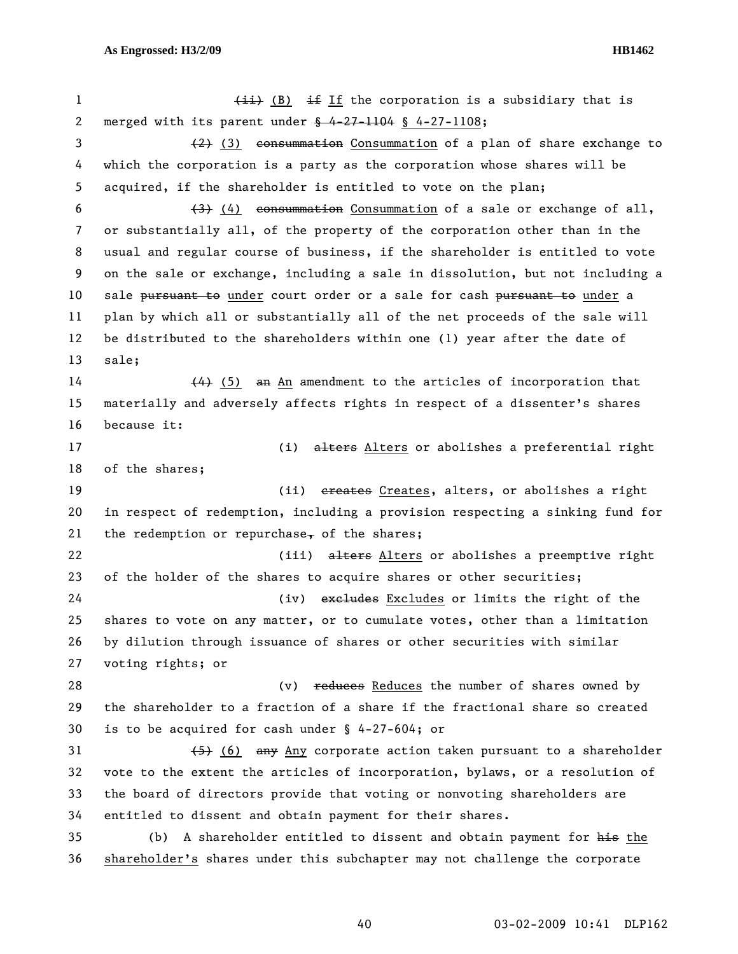1 (ii) (B) if If the corporation is a subsidiary that is 2 merged with its parent under § 4-27-1104 § 4-27-1108; 3 (2) (3) consummation Consummation of a plan of share exchange to 4 which the corporation is a party as the corporation whose shares will be 5 acquired, if the shareholder is entitled to vote on the plan; 6  $(3)$  (4) consummation Consummation of a sale or exchange of all, 7 or substantially all, of the property of the corporation other than in the 8 usual and regular course of business, if the shareholder is entitled to vote 9 on the sale or exchange, including a sale in dissolution, but not including a 10 sale pursuant to under court order or a sale for cash pursuant to under a 11 plan by which all or substantially all of the net proceeds of the sale will 12 be distributed to the shareholders within one (1) year after the date of 13 sale;  $14$  (4) (5) an An amendment to the articles of incorporation that 15 materially and adversely affects rights in respect of a dissenter's shares 16 because it: 17 (i) alters Alters or abolishes a preferential right 18 of the shares; 19 (ii) creates Creates, alters, or abolishes a right 20 in respect of redemption, including a provision respecting a sinking fund for 21 the redemption or repurchase, of the shares; 22 (iii) alters Alters or abolishes a preemptive right 23 of the holder of the shares to acquire shares or other securities; 24 (iv) exeludes Excludes or limits the right of the 25 shares to vote on any matter, or to cumulate votes, other than a limitation 26 by dilution through issuance of shares or other securities with similar 27 voting rights; or 28 (v) reduces Reduces the number of shares owned by 29 the shareholder to a fraction of a share if the fractional share so created 30 is to be acquired for cash under § 4-27-604; or 31 (5) (6) any Any corporate action taken pursuant to a shareholder 32 vote to the extent the articles of incorporation, bylaws, or a resolution of 33 the board of directors provide that voting or nonvoting shareholders are 34 entitled to dissent and obtain payment for their shares. 35 (b) A shareholder entitled to dissent and obtain payment for his the 36 shareholder's shares under this subchapter may not challenge the corporate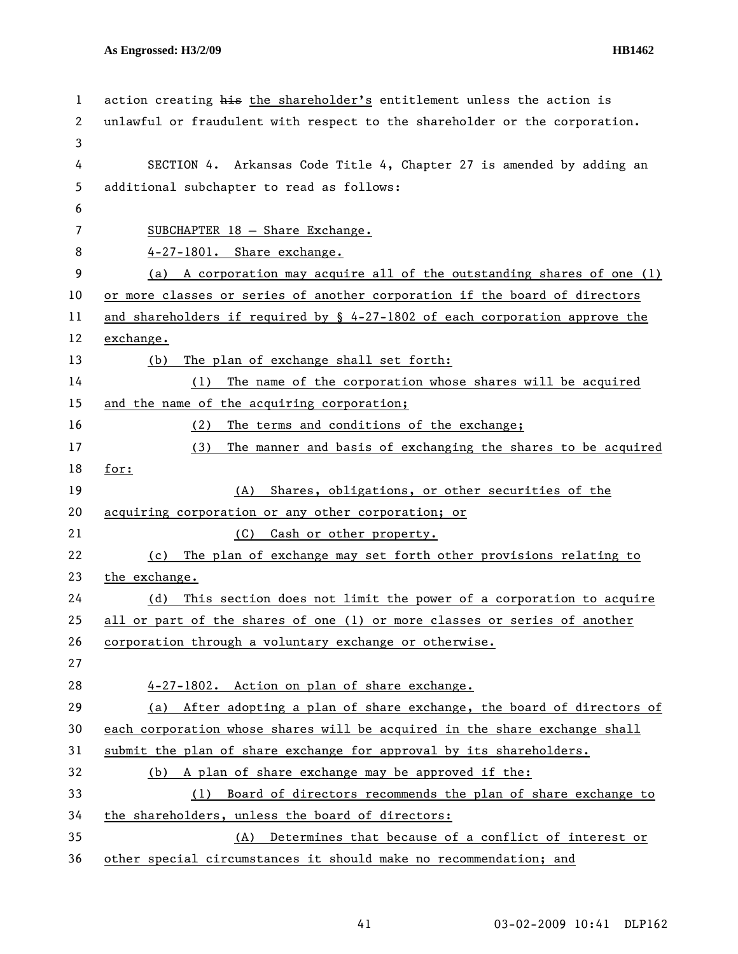| 1  | action creating his the shareholder's entitlement unless the action is         |
|----|--------------------------------------------------------------------------------|
| 2  | unlawful or fraudulent with respect to the shareholder or the corporation.     |
| 3  |                                                                                |
| 4  | SECTION 4. Arkansas Code Title 4, Chapter 27 is amended by adding an           |
| 5  | additional subchapter to read as follows:                                      |
| 6  |                                                                                |
| 7  | SUBCHAPTER $18$ - Share Exchange.                                              |
| 8  | 4-27-1801. Share exchange.                                                     |
| 9  | (a) A corporation may acquire all of the outstanding shares of one (1)         |
| 10 | or more classes or series of another corporation if the board of directors     |
| 11 | and shareholders if required by $\S$ 4-27-1802 of each corporation approve the |
| 12 | exchange.                                                                      |
| 13 | The plan of exchange shall set forth:<br>(b)                                   |
| 14 | The name of the corporation whose shares will be acquired<br>(1)               |
| 15 | and the name of the acquiring corporation;                                     |
| 16 | The terms and conditions of the exchange;<br>(2)                               |
| 17 | The manner and basis of exchanging the shares to be acquired<br>(3)            |
| 18 | for:                                                                           |
| 19 | Shares, obligations, or other securities of the<br>(A)                         |
| 20 | acquiring corporation or any other corporation; or                             |
| 21 | Cash or other property.<br>(C)                                                 |
| 22 | The plan of exchange may set forth other provisions relating to<br>(c)         |
| 23 | the exchange.                                                                  |
| 24 | This section does not limit the power of a corporation to acquire<br>(d)       |
| 25 | all or part of the shares of one (1) or more classes or series of another      |
| 26 | corporation through a voluntary exchange or otherwise.                         |
| 27 |                                                                                |
| 28 | 4-27-1802. Action on plan of share exchange.                                   |
| 29 | (a) After adopting a plan of share exchange, the board of directors of         |
| 30 | each corporation whose shares will be acquired in the share exchange shall     |
| 31 | submit the plan of share exchange for approval by its shareholders.            |
| 32 | (b) A plan of share exchange may be approved if the:                           |
| 33 | Board of directors recommends the plan of share exchange to<br>(1)             |
| 34 | the shareholders, unless the board of directors:                               |
| 35 | (A) Determines that because of a conflict of interest or                       |
| 36 | other special circumstances it should make no recommendation; and              |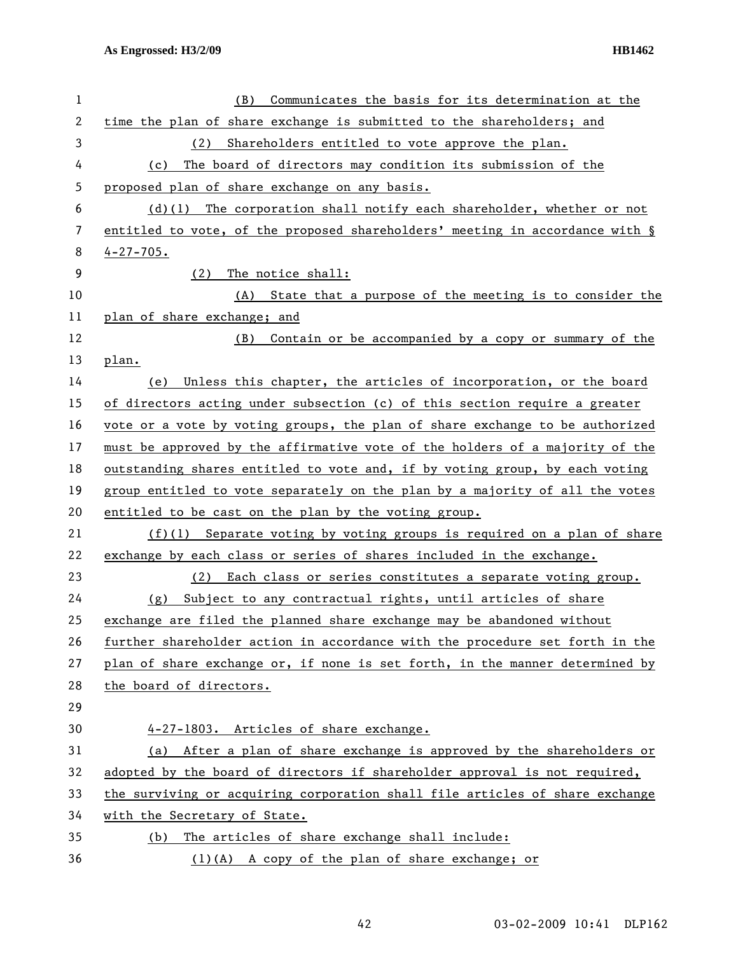| 1  | Communicates the basis for its determination at the<br>(B)                   |
|----|------------------------------------------------------------------------------|
| 2  | time the plan of share exchange is submitted to the shareholders; and        |
| 3  | (2)<br>Shareholders entitled to vote approve the plan.                       |
| 4  | The board of directors may condition its submission of the<br>(c)            |
| 5  | proposed plan of share exchange on any basis.                                |
| 6  | $(d)(1)$ The corporation shall notify each shareholder, whether or not       |
| 7  | entitled to vote, of the proposed shareholders' meeting in accordance with § |
| 8  | $4 - 27 - 705$ .                                                             |
| 9  | The notice shall:<br>(2)                                                     |
| 10 | (A) State that a purpose of the meeting is to consider the                   |
| 11 | plan of share exchange; and                                                  |
| 12 | (B)<br>Contain or be accompanied by a copy or summary of the                 |
| 13 | plan.                                                                        |
| 14 | Unless this chapter, the articles of incorporation, or the board<br>(e)      |
| 15 | of directors acting under subsection (c) of this section require a greater   |
| 16 | vote or a vote by voting groups, the plan of share exchange to be authorized |
| 17 | must be approved by the affirmative vote of the holders of a majority of the |
| 18 | outstanding shares entitled to vote and, if by voting group, by each voting  |
| 19 | group entitled to vote separately on the plan by a majority of all the votes |
| 20 | entitled to be cast on the plan by the voting group.                         |
| 21 | $(f)(1)$ Separate voting by voting groups is required on a plan of share     |
| 22 | exchange by each class or series of shares included in the exchange.         |
| 23 | (2) Each class or series constitutes a separate voting group.                |
| 24 | Subject to any contractual rights, until articles of share<br>(g)            |
| 25 | exchange are filed the planned share exchange may be abandoned without       |
| 26 | further shareholder action in accordance with the procedure set forth in the |
| 27 | plan of share exchange or, if none is set forth, in the manner determined by |
| 28 | the board of directors.                                                      |
| 29 |                                                                              |
| 30 | 4-27-1803. Articles of share exchange.                                       |
| 31 | After a plan of share exchange is approved by the shareholders or<br>(a)     |
| 32 | adopted by the board of directors if shareholder approval is not required,   |
| 33 | the surviving or acquiring corporation shall file articles of share exchange |
| 34 | with the Secretary of State.                                                 |
| 35 | The articles of share exchange shall include:<br>(b)                         |
| 36 | $(1)(A)$ A copy of the plan of share exchange; or                            |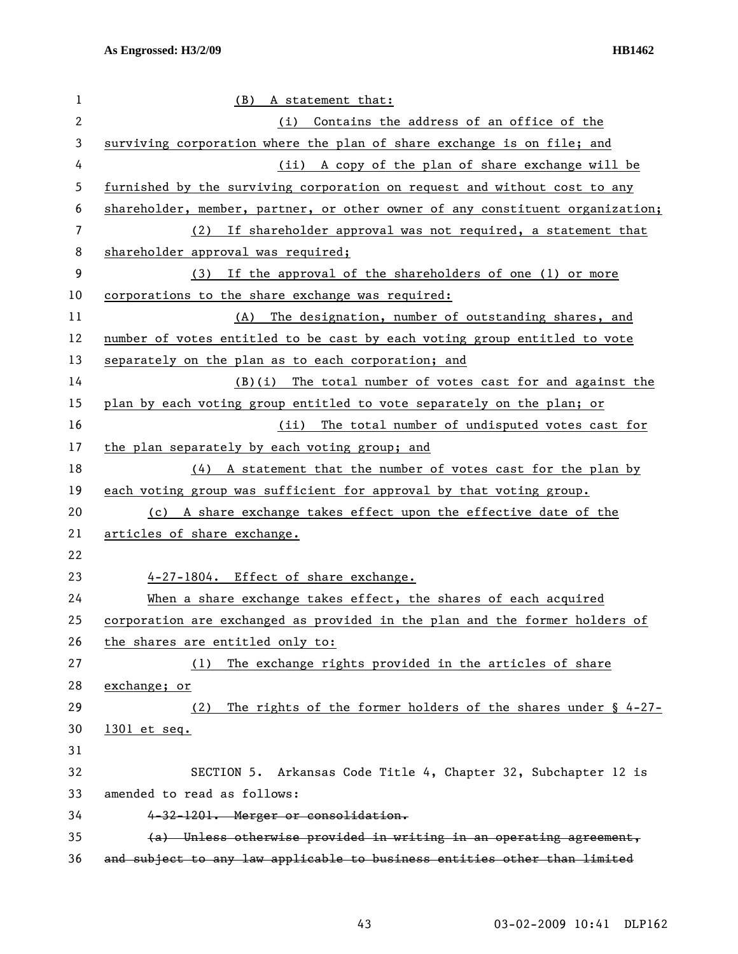| 1              | (B) A statement that:                                                         |
|----------------|-------------------------------------------------------------------------------|
| $\overline{2}$ | (i) Contains the address of an office of the                                  |
| 3              | surviving corporation where the plan of share exchange is on file; and        |
| 4              | (ii) A copy of the plan of share exchange will be                             |
| 5              | furnished by the surviving corporation on request and without cost to any     |
| 6              | shareholder, member, partner, or other owner of any constituent organization; |
| 7              | (2) If shareholder approval was not required, a statement that                |
| 8              | shareholder approval was required;                                            |
| 9              | If the approval of the shareholders of one (1) or more<br>(3)                 |
| 10             | corporations to the share exchange was required:                              |
| 11             | (A) The designation, number of outstanding shares, and                        |
| 12             | number of votes entitled to be cast by each voting group entitled to vote     |
| 13             | separately on the plan as to each corporation; and                            |
| 14             | $(B)(i)$ The total number of votes cast for and against the                   |
| 15             | plan by each voting group entitled to vote separately on the plan; or         |
| 16             | (ii) The total number of undisputed votes cast for                            |
| 17             | the plan separately by each voting group; and                                 |
| 18             | (4) A statement that the number of votes cast for the plan by                 |
| 19             | each voting group was sufficient for approval by that voting group.           |
| 20             | (c) A share exchange takes effect upon the effective date of the              |
| 21             | articles of share exchange.                                                   |
| 22             |                                                                               |
| 23             | 4-27-1804. Effect of share exchange.                                          |
| 24             | When a share exchange takes effect, the shares of each acquired               |
| 25             | corporation are exchanged as provided in the plan and the former holders of   |
| 26             | the shares are entitled only to:                                              |
| 27             | The exchange rights provided in the articles of share<br>(1)                  |
| 28             | exchange; or                                                                  |
| 29             | The rights of the former holders of the shares under $\S$ 4-27-<br>(2)        |
| 30             | 1301 et seq.                                                                  |
| 31             |                                                                               |
| 32             | SECTION 5. Arkansas Code Title 4, Chapter 32, Subchapter 12 is                |
| 33             | amended to read as follows:                                                   |
| 34             | 4-32-1201. Merger or consolidation.                                           |
| 35             | (a) Unless otherwise provided in writing in an operating agreement,           |
| 36             | and subject to any law applicable to business entities other than limited     |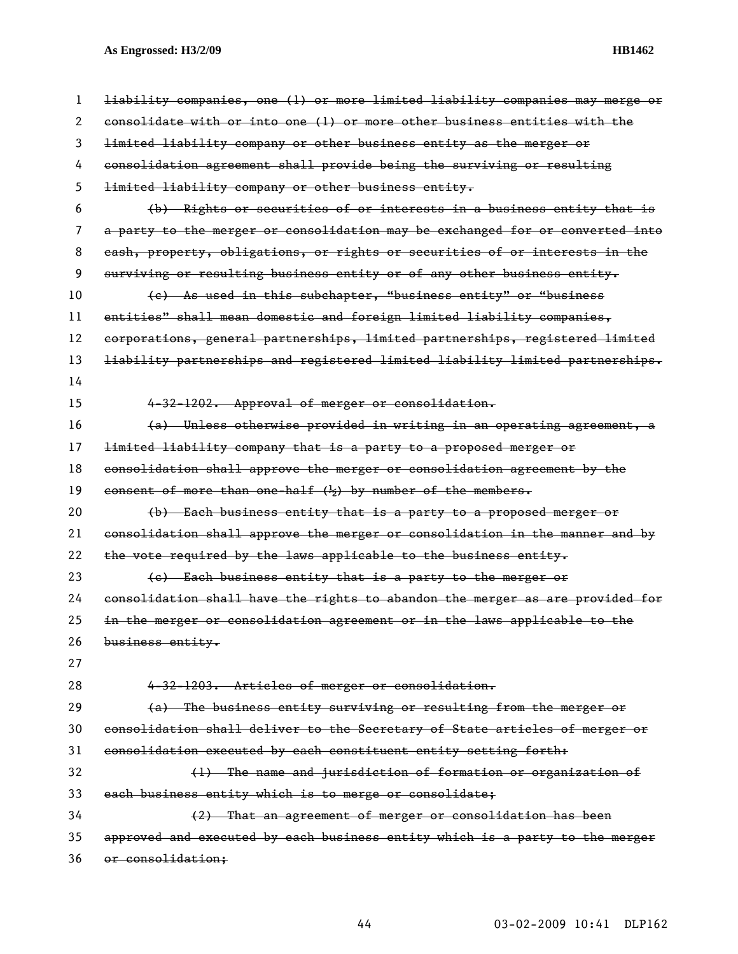| 1  | liability companies, one (1) or more limited liability companies may merge or |
|----|-------------------------------------------------------------------------------|
| 2  | consolidate with or into one (1) or more other business entities with the     |
| 3  | limited liability company or other business entity as the merger or           |
| 4  | consolidation agreement shall provide being the surviving or resulting        |
| 5  | limited liability company or other business entity.                           |
| 6  | (b) Rights or securities of or interests in a business entity that is         |
| 7  | a party to the merger or consolidation may be exchanged for or converted into |
| 8  | eash, property, obligations, or rights or securities of or interests in the   |
| 9  | surviving or resulting business entity or of any other business entity.       |
| 10 | (c) As used in this subchapter, "business entity" or "business                |
| 11 | entities" shall mean domestic and foreign limited liability companies,        |
| 12 | corporations, general partnerships, limited partnerships, registered limited  |
| 13 | liability partnerships and registered limited liability limited partnerships. |
| 14 |                                                                               |
| 15 | 4-32-1202. Approval of merger or consolidation.                               |
| 16 | (a) Unless otherwise provided in writing in an operating agreement, a         |
| 17 | limited liability company that is a party to a proposed merger or             |
| 18 | consolidation shall approve the merger or consolidation agreement by the      |
| 19 | consent of more than one-half $(\frac{1}{2})$ by number of the members.       |
| 20 | (b) Each business entity that is a party to a proposed merger or              |
| 21 | consolidation shall approve the merger or consolidation in the manner and by  |
| 22 | the vote required by the laws applicable to the business entity.              |
| 23 | (e) Each business entity that is a party to the merger or                     |
| 24 | consolidation shall have the rights to abandon the merger as are provided for |
| 25 | in the merger or consolidation agreement or in the laws applicable to the     |
| 26 | business entity.                                                              |
| 27 |                                                                               |
| 28 | 4-32-1203. Articles of merger or consolidation.                               |
| 29 | (a) The business entity surviving or resulting from the merger or             |
| 30 | consolidation shall deliver to the Secretary of State articles of merger or   |
| 31 | consolidation executed by each constituent entity setting forth:              |
| 32 | (1) The name and jurisdiction of formation or organization of                 |
| 33 | each business entity which is to merge or consolidate;                        |
| 34 | (2) That an agreement of merger or consolidation has been                     |
| 35 | approved and executed by each business entity which is a party to the merger  |
| 36 | or consolidation:                                                             |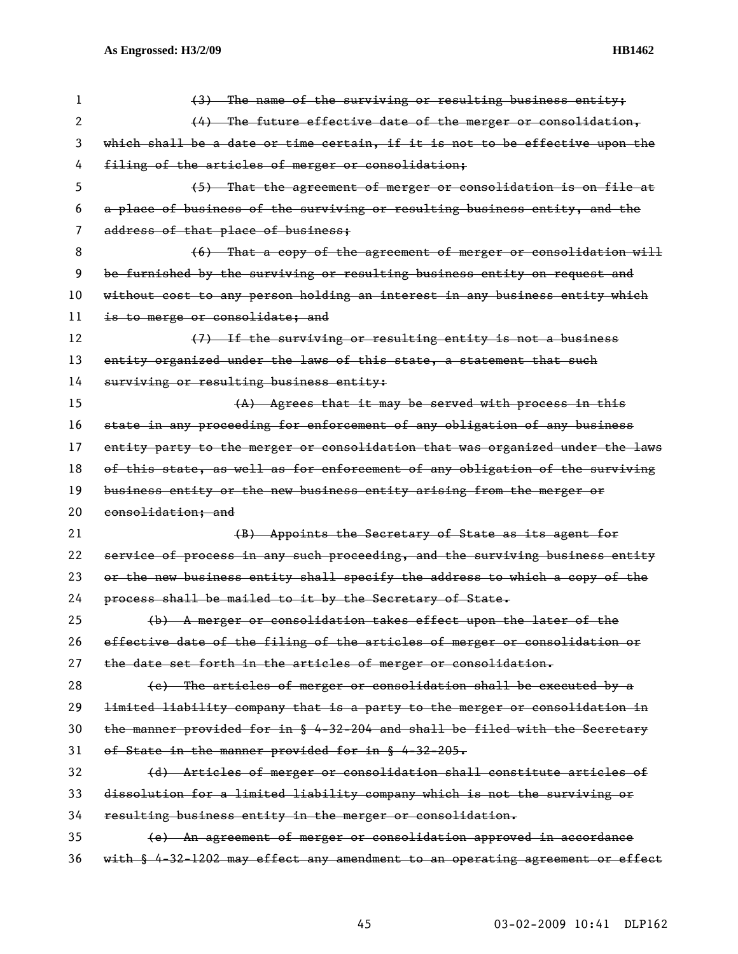| 1  | (3) The name of the surviving or resulting business entity;                   |
|----|-------------------------------------------------------------------------------|
| 2  | $(4)$ The future effective date of the merger or consolidation,               |
| 3  | which shall be a date or time certain, if it is not to be effective upon the  |
| 4  | filing of the articles of merger or consolidation;                            |
| 5  | (5) That the agreement of merger or consolidation is on file at               |
| 6  | a place of business of the surviving or resulting business entity, and the    |
| 7  | address of that place of business;                                            |
| 8  | (6) That a copy of the agreement of merger or consolidation will              |
| 9  | be furnished by the surviving or resulting business entity on request and     |
| 10 | without cost to any person holding an interest in any business entity which   |
| 11 | is to merge or consolidate: and                                               |
| 12 | (7) If the surviving or resulting entity is not a business                    |
| 13 | entity organized under the laws of this state, a statement that such          |
| 14 | surviving or resulting business entity:                                       |
| 15 | (A) Agrees that it may be served with process in this                         |
| 16 | state in any proceeding for enforcement of any obligation of any business     |
| 17 | entity party to the merger or consolidation that was organized under the laws |
| 18 | of this state, as well as for enforcement of any obligation of the surviving  |
| 19 | business entity or the new business entity arising from the merger or         |
| 20 | consolidation; and                                                            |
| 21 | (B) Appoints the Secretary of State as its agent for                          |
| 22 | service of process in any such proceeding, and the surviving business entity  |
| 23 | or the new business entity shall specify the address to which a copy of the   |
| 24 | process shall be mailed to it by the Secretary of State.                      |
| 25 | (b) A merger or consolidation takes effect upon the later of the              |
| 26 | effective date of the filing of the articles of merger or consolidation or    |
| 27 | the date set forth in the articles of merger or consolidation.                |
| 28 | (e) The articles of merger or consolidation shall be executed by a            |
| 29 | limited liability company that is a party to the merger or consolidation in   |
| 30 | the manner provided for in § 4-32-204 and shall be filed with the Secretary   |
| 31 | of State in the manner provided for in § 4-32-205.                            |
| 32 | (d) Articles of merger or consolidation shall constitute articles of          |
| 33 | dissolution for a limited liability company which is not the surviving or     |
| 34 | resulting business entity in the merger or consolidation.                     |
| 35 | (e) An agreement of merger or consolidation approved in accordance            |
| 36 | with § 4-32-1202 may effect any amendment to an operating agreement or effect |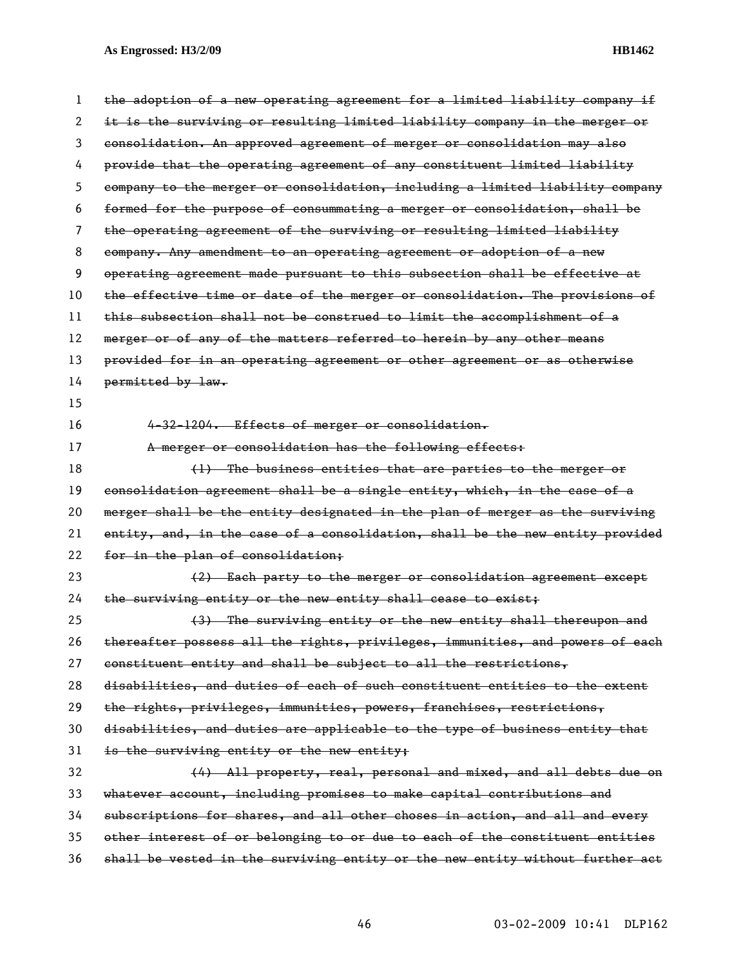| 1                     | the adoption of a new operating agreement for a limited liability company if  |
|-----------------------|-------------------------------------------------------------------------------|
| $\mathbf{2}^{\prime}$ | it is the surviving or resulting limited liability company in the merger or   |
| 3                     | consolidation. An approved agreement of merger or consolidation may also      |
| 4                     | provide that the operating agreement of any constituent limited liability     |
| 5.                    | company to the merger or consolidation, including a limited liability company |
| 6                     | formed for the purpose of consummating a merger or consolidation, shall be    |
| 7                     | the operating agreement of the surviving or resulting limited liability       |
| 8                     | company. Any amendment to an operating agreement or adoption of a new         |
| 9                     | operating agreement made pursuant to this subsection shall be effective at    |
| 10                    | the effective time or date of the merger or consolidation. The provisions of  |
| 11                    | this subsection shall not be construed to limit the accomplishment of a       |
| 12                    | merger or of any of the matters referred to herein by any other means         |
| 13                    | provided for in an operating agreement or other agreement or as otherwise     |
| 14                    | permitted by law.                                                             |
| 15                    |                                                                               |
| 16                    | 4-32-1204. Effects of merger or consolidation.                                |
| 17                    | A merger or consolidation has the following effects:                          |
| 18                    | (1) The business entities that are parties to the merger or                   |
| 19                    | consolidation agreement shall be a single entity, which, in the case of a     |
| 20                    | merger shall be the entity designated in the plan of merger as the surviving  |
| 21                    | entity, and, in the case of a consolidation, shall be the new entity provided |
| 22                    | for in the plan of consolidation;                                             |
| 23                    | (2) Each party to the merger or consolidation agreement except                |
| 24                    | the surviving entity or the new entity shall cease to exist;                  |
| 25                    | (3) The surviving entity or the new entity shall thereupon and                |
| 26                    | thereafter possess all the rights, privileges, immunities, and powers of each |
| 27                    | constituent entity and shall be subject to all the restrictions,              |
| 28                    | disabilities, and duties of each of such constituent entities to the extent   |
| 29                    | the rights, privileges, immunities, powers, franchises, restrictions,         |
| 30                    | disabilities, and duties are applicable to the type of business entity that   |
| 31                    | is the surviving entity or the new entity;                                    |
| 32                    | (4) All property, real, personal and mixed, and all debts due on              |
| 33                    | whatever account, including promises to make capital contributions and        |
| 34                    | subscriptions for shares, and all other choses in action, and all and every   |
| 35                    | other interest of or belonging to or due to each of the constituent entities  |
| 36                    | shall be vested in the surviving entity or the new entity without further act |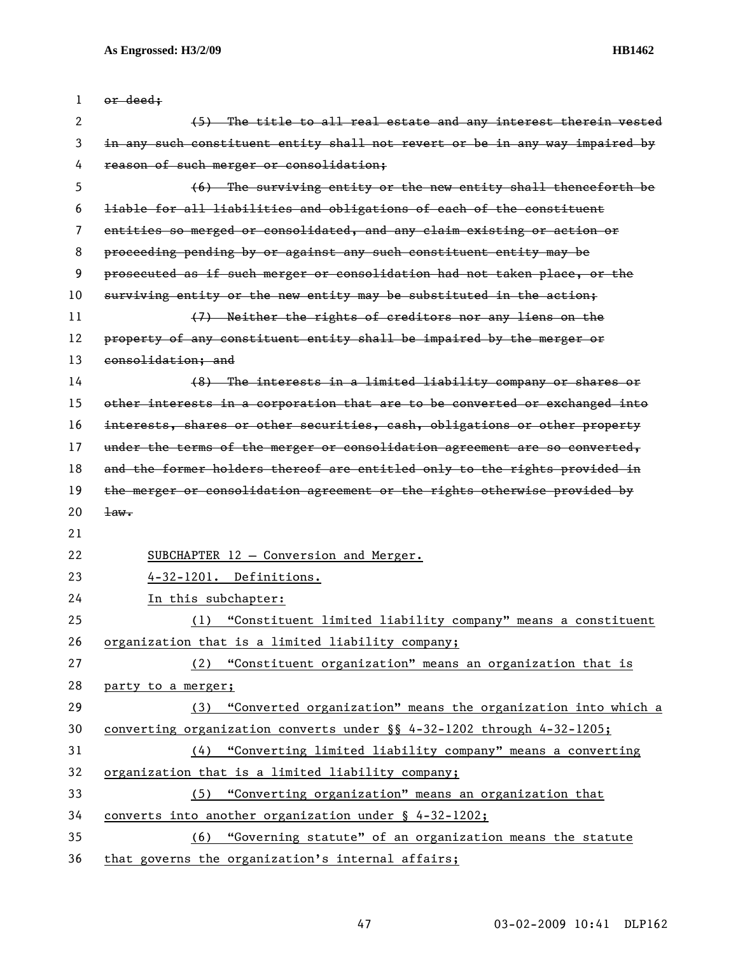| 1  | or deed;                                                                     |
|----|------------------------------------------------------------------------------|
| 2  | (5) The title to all real estate and any interest therein vested             |
| 3  | in any such constituent entity shall not revert or be in any way impaired by |
| 4  | reason of such merger or consolidation;                                      |
| 5  | (6) The surviving entity or the new entity shall thenceforth be              |
| 6  | liable for all liabilities and obligations of each of the constituent        |
| 7  | entities so merged or consolidated, and any claim existing or action or      |
| 8  | proceeding pending by or against any such constituent entity may be          |
| 9  | prosecuted as if such merger or consolidation had not taken place, or the    |
| 10 | surviving entity or the new entity may be substituted in the action;         |
| 11 | (7) Neither the rights of creditors nor any liens on the                     |
| 12 | property of any constituent entity shall be impaired by the merger or        |
| 13 | consolidation; and                                                           |
| 14 | (8) The interests in a limited liability company or shares or                |
| 15 | other interests in a corporation that are to be converted or exchanged into  |
| 16 | interests, shares or other securities, eash, obligations or other property   |
| 17 | under the terms of the merger or consolidation agreement are so converted,   |
| 18 | and the former holders thereof are entitled only to the rights provided in   |
| 19 | the merger or consolidation agreement or the rights otherwise provided by    |
| 20 | $\pm$ aw.                                                                    |
| 21 |                                                                              |
| 22 | SUBCHAPTER 12 - Conversion and Merger.                                       |
| 23 | 4-32-1201. Definitions.                                                      |
| 24 | In this subchapter:                                                          |
| 25 | "Constituent limited liability company" means a constituent<br>(1)           |
| 26 | organization that is a limited liability company;                            |
| 27 | (2) "Constituent organization" means an organization that is                 |
| 28 | party to a merger;                                                           |
| 29 | (3) "Converted organization" means the organization into which a             |
| 30 | converting organization converts under $\S$ 4-32-1202 through 4-32-1205;     |
| 31 | "Converting limited liability company" means a converting<br>(4)             |
| 32 | organization that is a limited liability company;                            |
| 33 | "Converting organization" means an organization that<br>(5)                  |
| 34 | converts into another organization under $\frac{1}{2}$ 4-32-1202;            |
| 35 | "Governing statute" of an organization means the statute<br>(6)              |
| 36 | that governs the organization's internal affairs;                            |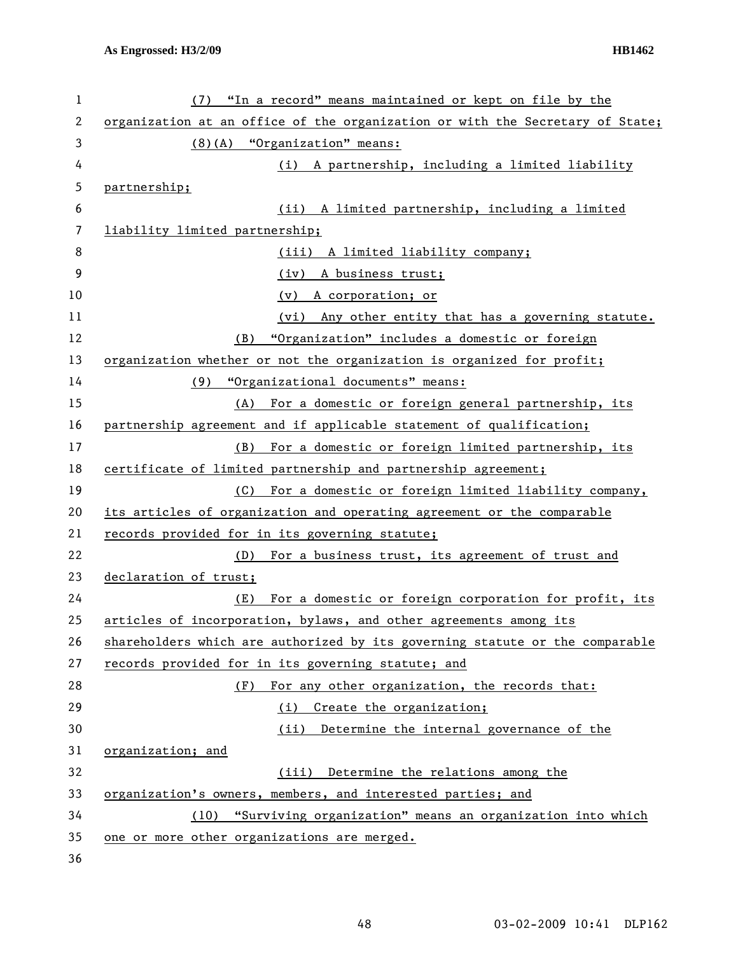| $\mathbf 1$ | (7) "In a record" means maintained or kept on file by the                     |
|-------------|-------------------------------------------------------------------------------|
| 2           | organization at an office of the organization or with the Secretary of State; |
| 3           | $(8)$ (A) "Organization" means:                                               |
| 4           | A partnership, including a limited liability<br>(i)                           |
| 5           | partnership;                                                                  |
| 6           | (ii) A limited partnership, including a limited                               |
| 7           | liability limited partnership;                                                |
| 8           | A limited liability company;<br>(iii)                                         |
| 9           | (iv) A business trust;                                                        |
| 10          | A corporation; or<br>(v)                                                      |
| 11          | Any other entity that has a governing statute.<br>(vi)                        |
| 12          | "Organization" includes a domestic or foreign<br>(B)                          |
| 13          | organization whether or not the organization is organized for profit;         |
| 14          | (9) "Organizational documents" means:                                         |
| 15          | For a domestic or foreign general partnership, its<br>(A)                     |
| 16          | partnership_agreement_and_if_applicable_statement_of_qualification;           |
| 17          | For a domestic or foreign limited partnership, its<br>(B)                     |
| 18          | certificate of limited partnership and partnership agreement;                 |
| 19          | For a domestic or foreign limited liability company,<br>(C)                   |
| 20          | its articles of organization and operating agreement or the comparable        |
| 21          | records provided for in its governing statute;                                |
| 22          | For a business trust, its agreement of trust and<br>(D)                       |
| 23          | declaration of trust;                                                         |
| 24          | For a domestic or foreign corporation for profit, its<br>(E)                  |
| 25          | articles of incorporation, bylaws, and other agreements among its             |
| 26          | shareholders which are authorized by its governing statute or the comparable  |
| 27          | records provided for in its governing statute; and                            |
| 28          | For any other organization, the records that:<br>(F)                          |
| 29          | Create the organization;<br>(i)                                               |
| 30          | Determine the internal governance of the<br>(ii)                              |
| 31          | organization; and                                                             |
| 32          | (iii) Determine the relations among the                                       |
| 33          | organization's owners, members, and interested parties; and                   |
| 34          | "Surviving organization" means an organization into which<br>(10)             |
| 35          | one or more other organizations are merged.                                   |
| 36          |                                                                               |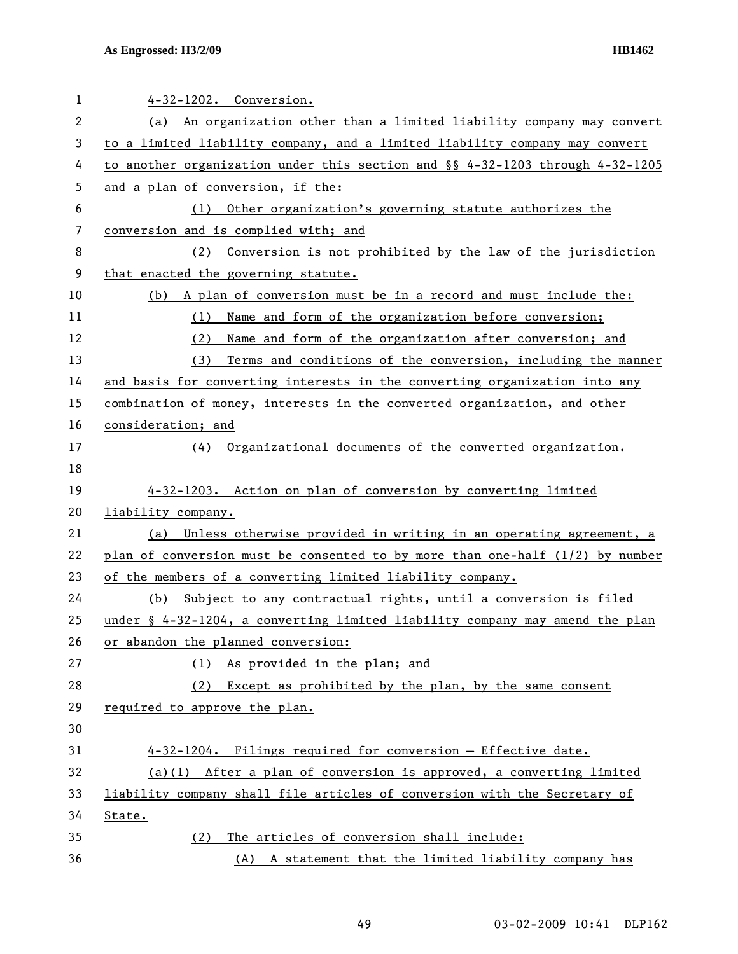| $\mathbf{1}$   | 4-32-1202. Conversion.                                                          |
|----------------|---------------------------------------------------------------------------------|
| $\overline{2}$ | (a) An organization other than a limited liability company may convert          |
| 3              | to a limited liability company, and a limited liability company may convert     |
| 4              | to another organization under this section and $\S$ 4-32-1203 through 4-32-1205 |
| 5              | and a plan of conversion, if the:                                               |
| 6              | Other organization's governing statute authorizes the<br>(1)                    |
| 7              | conversion and is complied with; and                                            |
| 8              | Conversion is not prohibited by the law of the jurisdiction<br>(2)              |
| 9              | that enacted the governing statute.                                             |
| 10             | (b) A plan of conversion must be in a record and must include the:              |
| 11             | Name and form of the organization before conversion;<br>(1)                     |
| 12             | (2)<br>Name and form of the organization after conversion; and                  |
| 13             | Terms and conditions of the conversion, including the manner<br>(3)             |
| 14             | and basis for converting interests in the converting organization into any      |
| 15             | combination of money, interests in the converted organization, and other        |
| 16             | consideration; and                                                              |
| 17             | (4) Organizational documents of the converted organization.                     |
| 18             |                                                                                 |
| 19             | 4-32-1203. Action on plan of conversion by converting limited                   |
| 20             | liability company.                                                              |
| 21             | (a) Unless otherwise provided in writing in an operating agreement, a           |
| 22             | plan of conversion must be consented to by more than one-half $(1/2)$ by number |
| 23             | of the members of a converting limited liability company.                       |
| 24             | Subject to any contractual rights, until a conversion is filed<br>(b)           |
| 25             | under § 4-32-1204, a converting limited liability company may amend the plan    |
| 26             | or abandon the planned conversion:                                              |
| 27             | (1) As provided in the plan; and                                                |
| 28             | Except as prohibited by the plan, by the same consent<br>(2)                    |
| 29             | required to approve the plan.                                                   |
| 30             |                                                                                 |
| 31             | 4-32-1204. Filings required for conversion - Effective date.                    |
| 32             | $(a)(1)$ After a plan of conversion is approved, a converting limited           |
| 33             |                                                                                 |
|                | liability company shall file articles of conversion with the Secretary of       |
| 34             | State.                                                                          |
| 35             | The articles of conversion shall include:<br>(2)                                |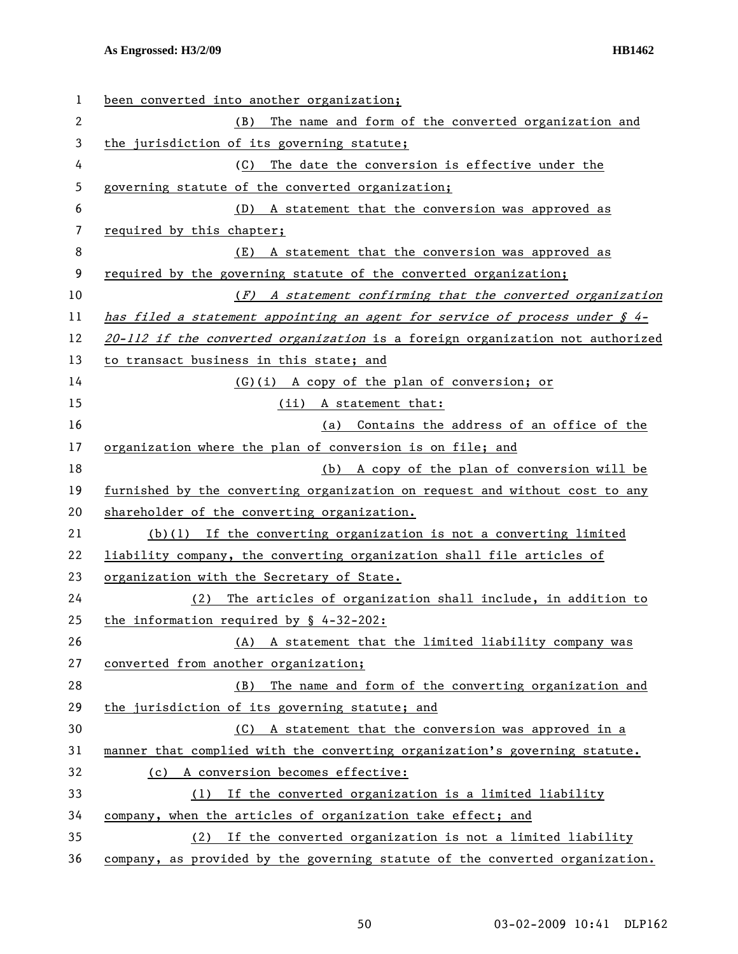| 1  | been converted into another organization;                                         |
|----|-----------------------------------------------------------------------------------|
| 2  | The name and form of the converted organization and<br>(B)                        |
| 3  | the jurisdiction of its governing statute;                                        |
| 4  | The date the conversion is effective under the<br>(C)                             |
| 5  | governing statute of the converted organization;                                  |
| 6  | (D) A statement that the conversion was approved as                               |
| 7  | required by this chapter;                                                         |
| 8  | A statement that the conversion was approved as<br>(E)                            |
| 9  | required by the governing statute of the converted organization;                  |
| 10 | (F) A statement confirming that the converted organization                        |
| 11 | has filed a statement appointing an agent for service of process under $\oint 4-$ |
| 12 | 20-112 if the converted organization is a foreign organization not authorized     |
| 13 | to transact business in this state; and                                           |
| 14 | (G)(i) A copy of the plan of conversion; or                                       |
| 15 | (ii) A statement that:                                                            |
| 16 | (a) Contains the address of an office of the                                      |
| 17 | organization where the plan of conversion is on file; and                         |
| 18 | (b) A copy of the plan of conversion will be                                      |
| 19 | furnished by the converting organization on request and without cost to any       |
| 20 | shareholder of the converting organization.                                       |
| 21 | $(b)(1)$ If the converting organization is not a converting limited               |
| 22 | liability company, the converting organization shall file articles of             |
| 23 | organization with the Secretary of State.                                         |
| 24 | (2) The articles of organization shall include, in addition to                    |
| 25 | the information required by $\S$ 4-32-202:                                        |
| 26 | A statement that the limited liability company was<br>(A)                         |
| 27 | converted from another organization;                                              |
| 28 | The name and form of the converting organization and<br>(B)                       |
| 29 | the jurisdiction of its governing statute; and                                    |
| 30 | A statement that the conversion was approved in a<br>(C)                          |
| 31 | manner that complied with the converting organization's governing statute.        |
| 32 | (c) A conversion becomes effective:                                               |
| 33 | If the converted organization is a limited liability<br>(1)                       |
| 34 | company, when the articles of organization take effect; and                       |
| 35 | If the converted organization is not a limited liability<br>(2)                   |
| 36 | company, as provided by the governing statute of the converted organization.      |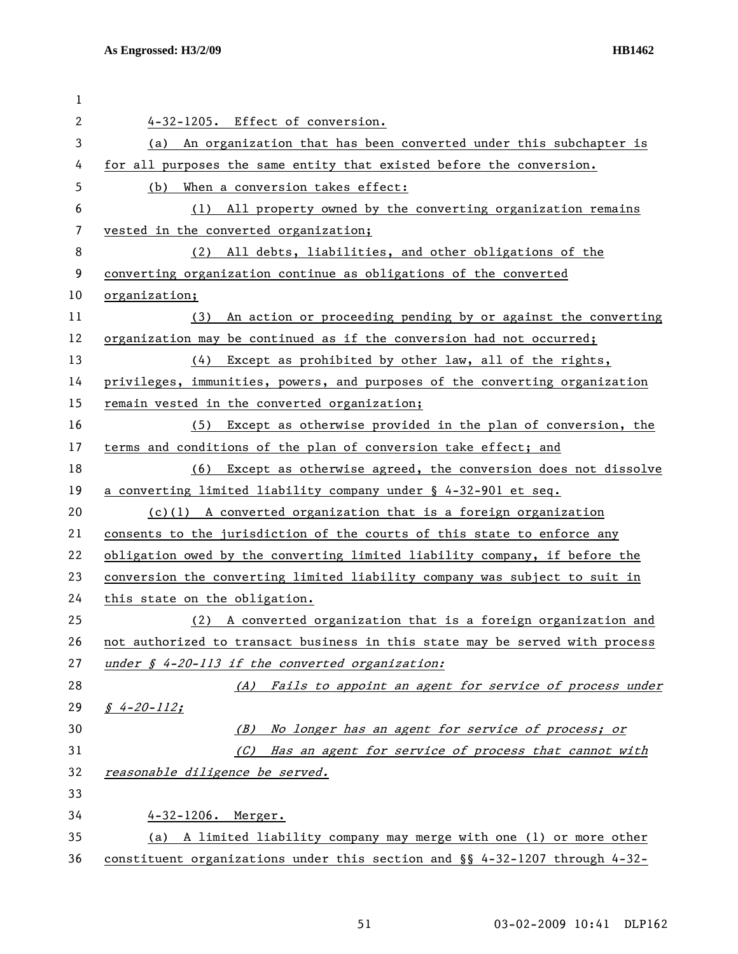| 1            |                                                                               |
|--------------|-------------------------------------------------------------------------------|
| $\mathbf{2}$ | 4-32-1205. Effect of conversion.                                              |
| 3            | (a) An organization that has been converted under this subchapter is          |
| 4            | for all purposes the same entity that existed before the conversion.          |
| 5            | (b) When a conversion takes effect:                                           |
| 6            | (1) All property owned by the converting organization remains                 |
| 7            | vested in the converted organization;                                         |
| 8            | (2) All debts, liabilities, and other obligations of the                      |
| 9            | converting organization continue as obligations of the converted              |
| 10           | organization;                                                                 |
| 11           | (3) An action or proceeding pending by or against the converting              |
| 12           | organization may be continued as if the conversion had not occurred;          |
| 13           | Except as prohibited by other law, all of the rights,<br>(4)                  |
| 14           | privileges, immunities, powers, and purposes of the converting organization   |
| 15           | remain vested in the converted organization;                                  |
| 16           | Except as otherwise provided in the plan of conversion, the<br>(5)            |
| 17           | terms and conditions of the plan of conversion take effect; and               |
| 18           | (6) Except as otherwise agreed, the conversion does not dissolve              |
| 19           | a converting limited liability company under § 4-32-901 et seq.               |
| 20           | $(c)(1)$ A converted organization that is a foreign organization              |
| 21           | consents to the jurisdiction of the courts of this state to enforce any       |
| 22           | obligation owed by the converting limited liability company, if before the    |
| 23           | conversion the converting limited liability company was subject to suit in    |
| 24           | this state on the obligation.                                                 |
| 25           | (2) A converted organization that is a foreign organization and               |
| 26           | not authorized to transact business in this state may be served with process  |
| 27           | under $\oint$ 4-20-113 if the converted organization:                         |
| 28           | (A) Fails to appoint an agent for service of process under                    |
| 29           | $$4-20-112;$                                                                  |
| 30           | (B) No longer has an agent for service of process; or                         |
| 31           | (C) Has an agent for service of process that cannot with                      |
| 32           | reasonable diligence be served.                                               |
| 33           |                                                                               |
| 34           | 4-32-1206. Merger.                                                            |
| 35           | (a) A limited liability company may merge with one (1) or more other          |
| 36           | constituent organizations under this section and $\S$ 4-32-1207 through 4-32- |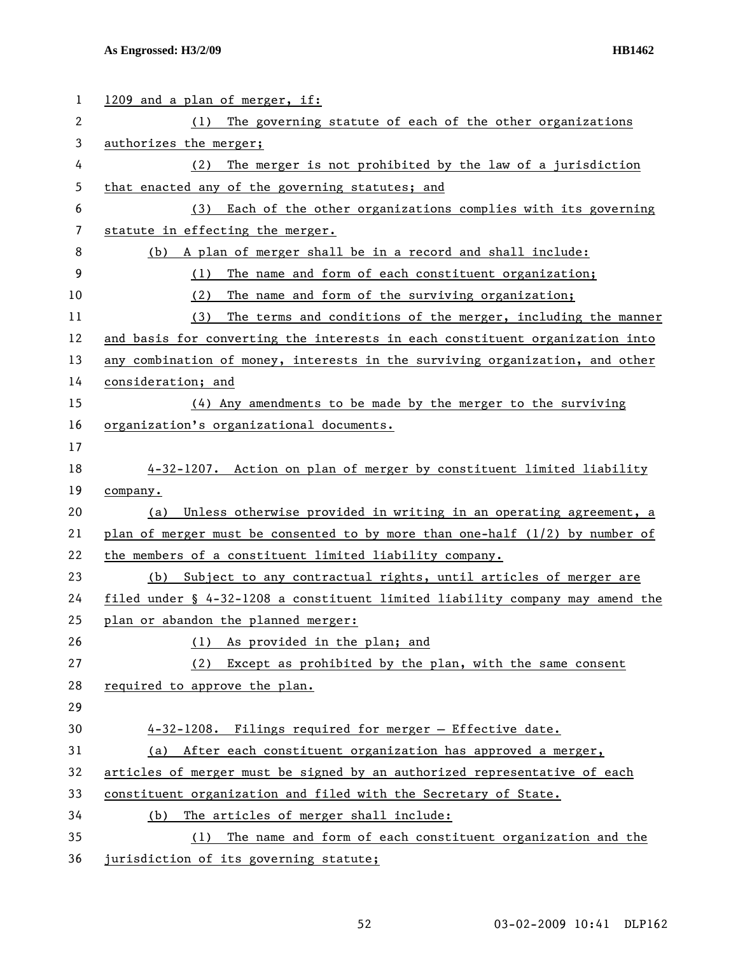| 1  | 1209 and a plan of merger, if:                                                 |
|----|--------------------------------------------------------------------------------|
| 2  | The governing statute of each of the other organizations<br>(1)                |
| 3  | authorizes the merger;                                                         |
| 4  | The merger is not prohibited by the law of a jurisdiction<br>(2)               |
| 5  | that enacted any of the governing statutes; and                                |
| 6  | Each of the other organizations complies with its governing<br>(3)             |
| 7  | statute in effecting the merger.                                               |
| 8  | (b) A plan of merger shall be in a record and shall include:                   |
| 9  | The name and form of each constituent organization;<br>(1)                     |
| 10 | The name and form of the surviving organization;<br>(2)                        |
| 11 | The terms and conditions of the merger, including the manner<br>(3)            |
| 12 | and basis for converting the interests in each constituent organization into   |
| 13 | any combination of money, interests in the surviving organization, and other   |
| 14 | consideration; and                                                             |
| 15 | (4) Any amendments to be made by the merger to the surviving                   |
| 16 | organization's organizational documents.                                       |
| 17 |                                                                                |
| 18 | 4-32-1207. Action on plan of merger by constituent limited liability           |
| 19 | company.                                                                       |
| 20 | Unless otherwise provided in writing in an operating agreement, a<br>(a)       |
| 21 | plan of merger must be consented to by more than one-half $(1/2)$ by number of |
| 22 | the members of a constituent limited liability company.                        |
| 23 | (b) Subject to any contractual rights, until articles of merger are            |
| 24 | filed under § 4-32-1208 a constituent limited liability company may amend the  |
| 25 | plan or abandon the planned merger:                                            |
| 26 | As provided in the plan; and<br>(1)                                            |
| 27 | Except as prohibited by the plan, with the same consent<br>(2)                 |
| 28 | required to approve the plan.                                                  |
| 29 |                                                                                |
| 30 | 4-32-1208. Filings required for merger - Effective date.                       |
| 31 | After each constituent organization has approved a merger,<br>(a)              |
| 32 | articles of merger must be signed by an authorized representative of each      |
| 33 | constituent organization and filed with the Secretary of State.                |
| 34 | The articles of merger shall include:<br>(b)                                   |
| 35 | The name and form of each constituent organization and the<br>(1)              |
| 36 | jurisdiction of its governing statute;                                         |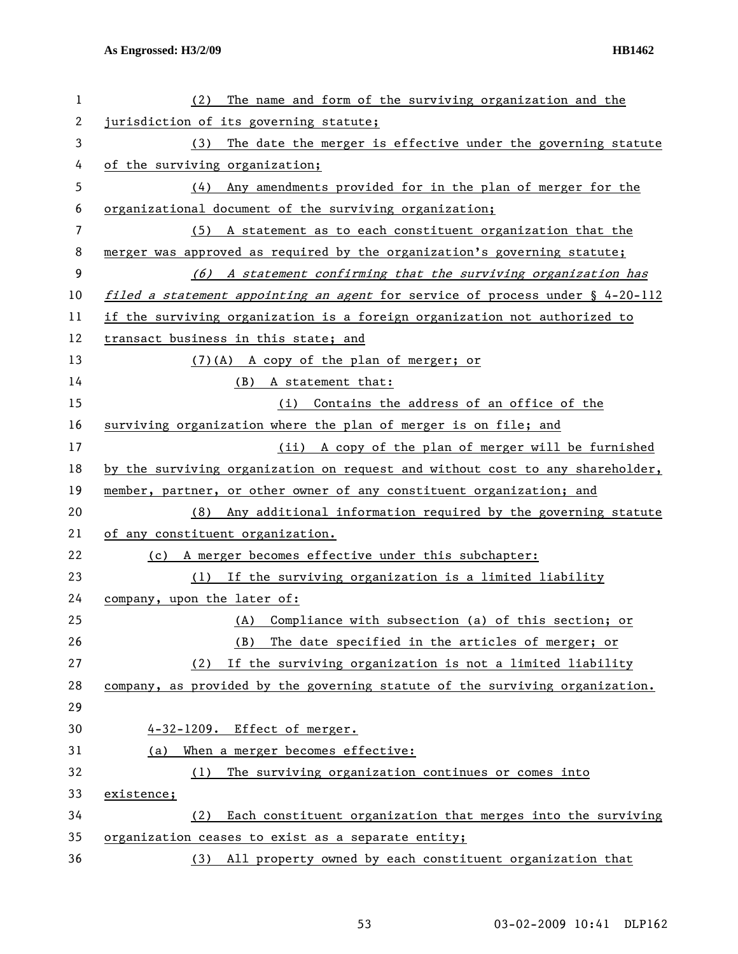| 1  | The name and form of the surviving organization and the<br>(2)                |
|----|-------------------------------------------------------------------------------|
| 2  | jurisdiction of its governing statute;                                        |
| 3  | The date the merger is effective under the governing statute<br>(3)           |
| 4  | of the surviving organization;                                                |
| 5  | (4) Any amendments provided for in the plan of merger for the                 |
| 6  | organizational document of the surviving organization;                        |
| 7  | (5) A statement as to each constituent organization that the                  |
| 8  | merger was approved as required by the organization's governing statute;      |
| 9  | (6) A statement confirming that the surviving organization has                |
| 10 | filed a statement appointing an agent for service of process under § 4-20-112 |
| 11 | if the surviving organization is a foreign organization not authorized to     |
| 12 | transact business in this state; and                                          |
| 13 | (7)(A) A copy of the plan of merger; or                                       |
| 14 | (B) A statement that:                                                         |
| 15 | (i) Contains the address of an office of the                                  |
| 16 | surviving organization where the plan of merger is on file; and               |
| 17 | (ii) A copy of the plan of merger will be furnished                           |
| 18 | by the surviving organization on request and without cost to any shareholder, |
| 19 | member, partner, or other owner of any constituent organization; and          |
| 20 | Any additional information required by the governing statute<br>(8)           |
| 21 | of any constituent organization.                                              |
| 22 | (c) A merger becomes effective under this subchapter:                         |
| 23 | (1) If the surviving organization is a limited liability                      |
| 24 | company, upon the later of:                                                   |
| 25 | (A) Compliance with subsection (a) of this section; or                        |
| 26 | The date specified in the articles of merger; or<br>(B)                       |
| 27 | If the surviving organization is not a limited liability<br>(2)               |
| 28 | company, as provided by the governing statute of the surviving organization.  |
| 29 |                                                                               |
| 30 | 4-32-1209. Effect of merger.                                                  |
| 31 | When a merger becomes effective:<br>(a)                                       |
| 32 | The surviving organization continues or comes into<br>(1)                     |
| 33 | existence;                                                                    |
| 34 | Each constituent organization that merges into the surviving<br>(2)           |
| 35 | organization ceases to exist as a separate entity;                            |
| 36 | All property owned by each constituent organization that<br>(3)               |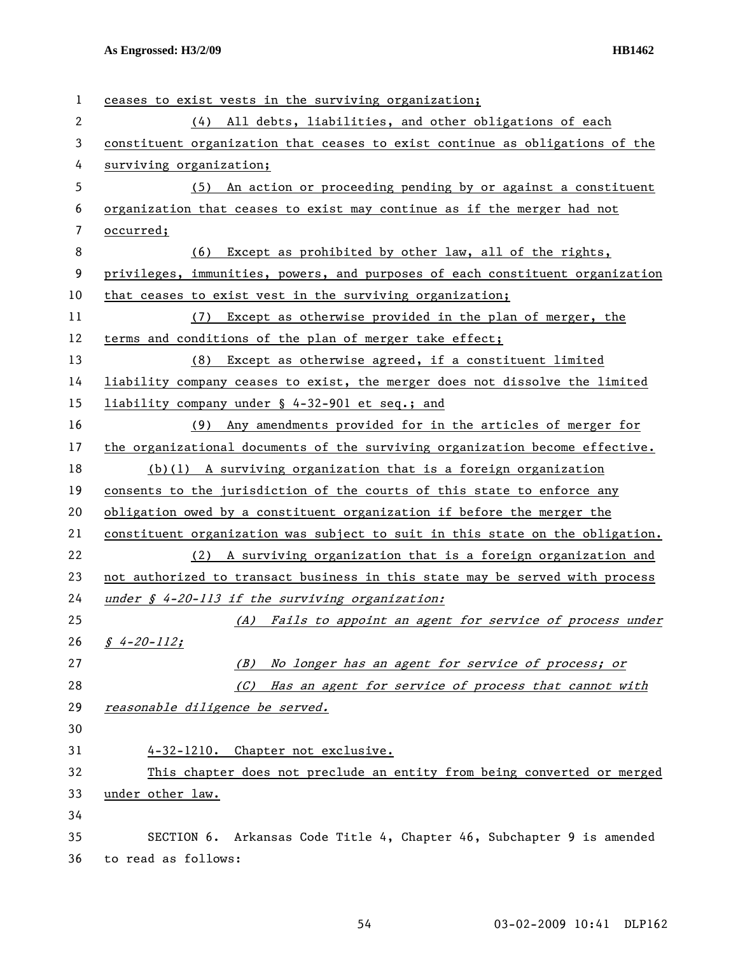| 1  | ceases to exist vests in the surviving organization;                          |
|----|-------------------------------------------------------------------------------|
| 2  | (4) All debts, liabilities, and other obligations of each                     |
| 3  | constituent organization that ceases to exist continue as obligations of the  |
| 4  | surviving organization;                                                       |
| 5  | (5) An action or proceeding pending by or against a constituent               |
| 6  | organization that ceases to exist may continue as if the merger had not       |
| 7  | occurred;                                                                     |
| 8  | Except as prohibited by other law, all of the rights,<br>(6)                  |
| 9  | privileges, immunities, powers, and purposes of each constituent organization |
| 10 | that ceases to exist vest in the surviving organization;                      |
| 11 | (7) Except as otherwise provided in the plan of merger, the                   |
| 12 | terms and conditions of the plan of merger take effect;                       |
| 13 | (8) Except as otherwise agreed, if a constituent limited                      |
| 14 | liability company ceases to exist, the merger does not dissolve the limited   |
| 15 | liability company under § 4-32-901 et seq.; and                               |
| 16 | (9) Any amendments provided for in the articles of merger for                 |
| 17 | the organizational documents of the surviving organization become effective.  |
| 18 | $(b)(1)$ A surviving organization that is a foreign organization              |
| 19 | consents to the jurisdiction of the courts of this state to enforce any       |
| 20 | obligation owed by a constituent organization if before the merger the        |
| 21 | constituent organization was subject to suit in this state on the obligation. |
| 22 | (2) A surviving organization that is a foreign organization and               |
| 23 | not authorized to transact business in this state may be served with process  |
| 24 | under $\oint$ 4-20-113 if the surviving organization:                         |
| 25 | (A) Fails to appoint an agent for service of process under                    |
| 26 | $\int 4 - 20 - 112$ ;                                                         |
| 27 | No longer has an agent for service of process; or<br>(B)                      |
| 28 | (C) Has an agent for service of process that cannot with                      |
| 29 | reasonable diligence be served.                                               |
| 30 |                                                                               |
| 31 | 4-32-1210. Chapter not exclusive.                                             |
| 32 | This chapter does not preclude an entity from being converted or merged       |
| 33 | under other law.                                                              |
| 34 |                                                                               |
| 35 | SECTION 6. Arkansas Code Title 4, Chapter 46, Subchapter 9 is amended         |
| 36 | to read as follows:                                                           |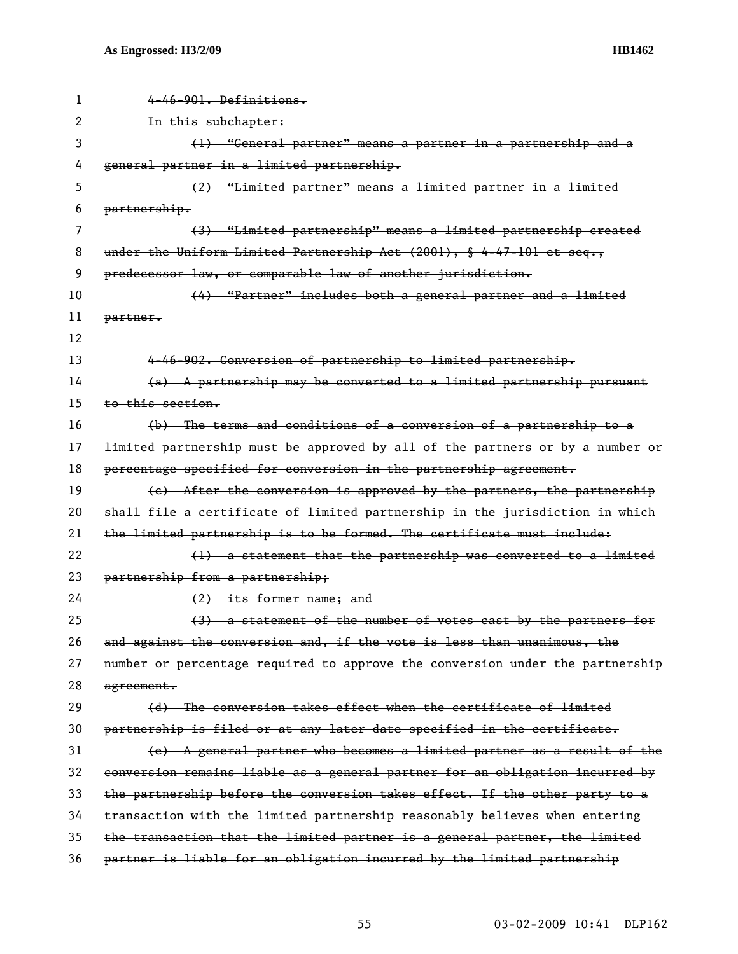| 1  | 4-46-901. Definitions.                                                        |
|----|-------------------------------------------------------------------------------|
| 2  | In this subchapter:                                                           |
| 3  | (1) "General partner" means a partner in a partnership and a                  |
| 4  | general partner in a limited partnership.                                     |
| 5  | (2) "Limited partner" means a limited partner in a limited                    |
| 6  | partnership.                                                                  |
| 7  | (3) "Limited partnership" means a limited partnership created                 |
| 8  | under the Uniform Limited Partnership Act (2001), § 4-47-101 et seq.,         |
| 9  | predecessor law, or comparable law of another jurisdiction.                   |
| 10 | (4) "Partner" includes both a general partner and a limited                   |
| 11 | partner.                                                                      |
| 12 |                                                                               |
| 13 | 4-46-902. Conversion of partnership to limited partnership.                   |
| 14 | $(a)$ A partnership may be converted to a limited partnership pursuant        |
| 15 | to this section.                                                              |
| 16 | (b) The terms and conditions of a conversion of a partnership to a            |
| 17 | limited partnership must be approved by all of the partners or by a number or |
| 18 | percentage specified for conversion in the partnership agreement.             |
| 19 | (e) After the conversion is approved by the partners, the partnership         |
| 20 | shall file a certificate of limited partnership in the jurisdiction in which  |
| 21 | the limited partnership is to be formed. The certificate must include:        |
| 22 | (1) a statement that the partnership was converted to a limited               |
| 23 | partnership from a partnership;                                               |
| 24 | (2) its former name; and                                                      |
| 25 | (3) a statement of the number of votes east by the partners for               |
| 26 | and against the conversion and, if the vote is less than unanimous, the       |
| 27 | number or percentage required to approve the conversion under the partnership |
| 28 | agreement.                                                                    |
| 29 | (d) The conversion takes effect when the certificate of limited               |
| 30 | partnership is filed or at any later date specified in the certificate.       |
| 31 | (e) A general partner who becomes a limited partner as a result of the        |
| 32 | conversion remains liable as a general partner for an obligation incurred by  |
| 33 | the partnership before the conversion takes effect. If the other party to a   |
| 34 | transaction with the limited partnership reasonably believes when entering    |
| 35 | the transaction that the limited partner is a general partner, the limited    |
| 36 | partner is liable for an obligation incurred by the limited partnership       |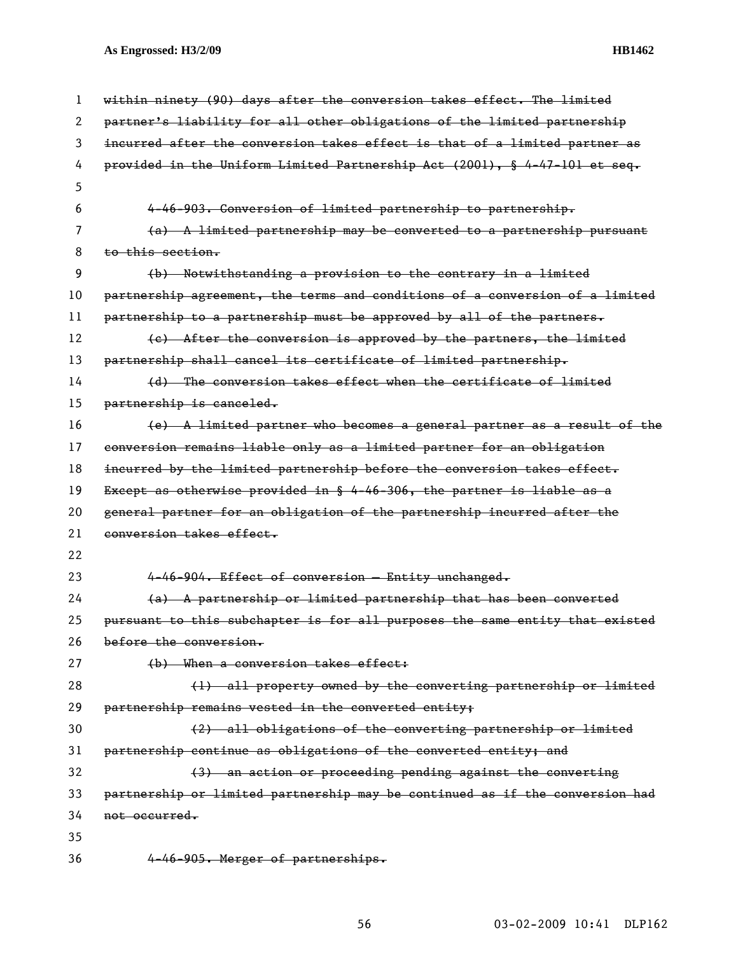| 1  | within ninety (90) days after the conversion takes effect. The limited       |
|----|------------------------------------------------------------------------------|
| 2  | partner's liability for all other obligations of the limited partnership     |
| 3  | incurred after the conversion takes effect is that of a limited partner as   |
| 4  | provided in the Uniform Limited Partnership Act (2001), § 4-47-101 et seq.   |
| 5  |                                                                              |
| 6  | 4-46-903. Conversion of limited partnership to partnership.                  |
| 7  | (a) A limited partnership may be converted to a partnership pursuant         |
| 8  | to this section.                                                             |
| 9  | (b) Notwithstanding a provision to the contrary in a limited                 |
| 10 | partnership agreement, the terms and conditions of a conversion of a limited |
| 11 | partnership to a partnership must be approved by all of the partners.        |
| 12 | (c) After the conversion is approved by the partners, the limited            |
| 13 | partnership shall cancel its certificate of limited partnership.             |
| 14 | (d) The conversion takes effect when the certificate of limited              |
| 15 | partnership is canceled.                                                     |
| 16 | $(e)$ A limited partner who becomes a general partner as a result of the     |
| 17 | conversion remains liable only as a limited partner for an obligation        |
| 18 | incurred by the limited partnership before the conversion takes effect.      |
| 19 | Except as otherwise provided in § 4-46-306, the partner is liable as a       |
| 20 | general partner for an obligation of the partnership incurred after the      |
| 21 | conversion takes effect.                                                     |
| 22 |                                                                              |
| 23 | 4-46-904. Effect of conversion - Entity unchanged.                           |
| 24 | (a) A partnership or limited partnership that has been converted             |
| 25 | pursuant to this subchapter is for all purposes the same entity that existed |
| 26 | before the conversion.                                                       |
| 27 | (b) When a conversion takes effect:                                          |
| 28 | (1) all property owned by the converting partnership or limited              |
| 29 | partnership remains vested in the converted entity;                          |
| 30 | (2) all obligations of the converting partnership or limited                 |
| 31 | partnership continue as obligations of the converted entity; and             |
| 32 | (3) an action or proceeding pending against the converting                   |
| 33 | partnership or limited partnership may be continued as if the conversion had |
| 34 | not occurred.                                                                |
| 35 |                                                                              |
| 36 | 4-46-905. Merger of partnerships.                                            |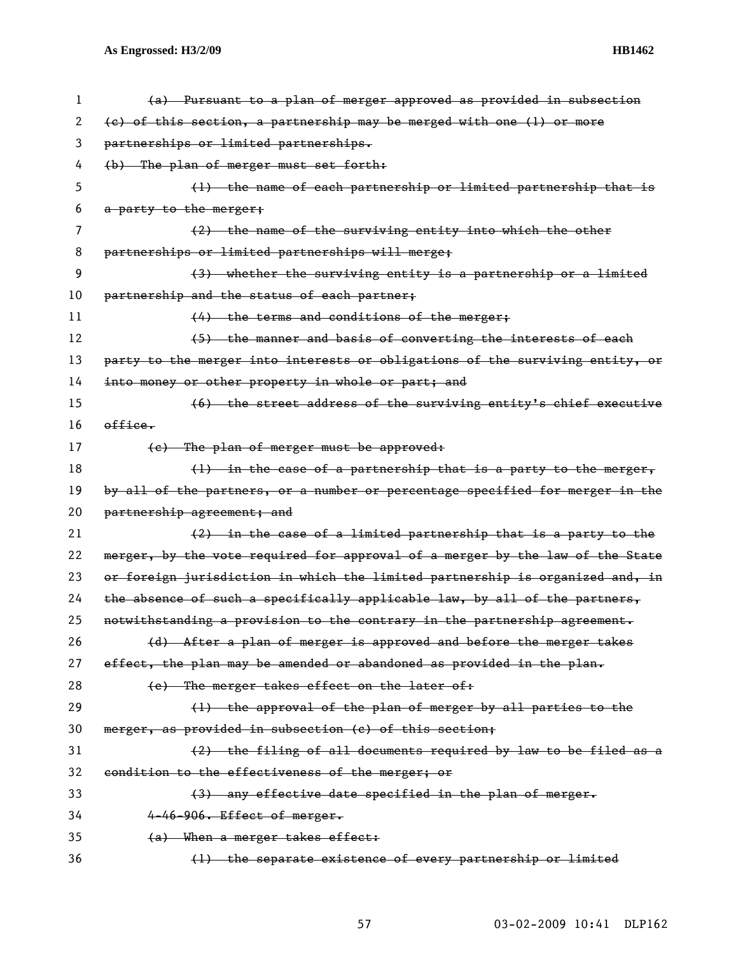| 1  | (a) Pursuant to a plan of merger approved as provided in subsection           |
|----|-------------------------------------------------------------------------------|
| 2  | (c) of this section, a partnership may be merged with one (1) or more         |
| 3  | partnerships or limited partnerships.                                         |
| 4  | (b) The plan of merger must set forth:                                        |
| 5  | (1) the name of each partnership or limited partnership that is               |
| 6  | a party to the merger;                                                        |
| 7  | (2) the name of the surviving entity into which the other                     |
| 8  | partnerships or limited partnerships will merge;                              |
| 9  | (3) whether the surviving entity is a partnership or a limited                |
| 10 | partnership and the status of each partner;                                   |
| 11 | (4) the terms and conditions of the merger;                                   |
| 12 | (5) the manner and basis of converting the interests of each                  |
| 13 | party to the merger into interests or obligations of the surviving entity, or |
| 14 | into money or other property in whole or part; and                            |
| 15 | (6) the street address of the surviving entity's chief executive              |
| 16 | office.                                                                       |
| 17 | (e) The plan of merger must be approved:                                      |
| 18 | $(1)$ in the case of a partnership that is a party to the merger,             |
| 19 | by all of the partners, or a number or percentage specified for merger in the |
| 20 | partnership agreement; and                                                    |
| 21 | (2) in the case of a limited partnership that is a party to the               |
| 22 | merger, by the vote required for approval of a merger by the law of the State |
| 23 | or foreign jurisdiction in which the limited partnership is organized and, in |
| 24 | the absence of such a specifically applicable law, by all of the partners,    |
| 25 | notwithstanding a provision to the contrary in the partnership agreement.     |
| 26 | (d) After a plan of merger is approved and before the merger takes            |
| 27 | effect, the plan may be amended or abandoned as provided in the plan.         |
| 28 | (e) The merger takes effect on the later of:                                  |
| 29 | (1) the approval of the plan of merger by all parties to the                  |
| 30 | merger, as provided in subsection (c) of this section;                        |
| 31 | (2) the filing of all documents required by law to be filed as a              |
| 32 | condition to the effectiveness of the merger; or                              |
| 33 | (3) any effective date specified in the plan of merger.                       |
| 34 | 4-46-906. Effect of merger.                                                   |
| 35 | (a) When a merger takes effect:                                               |
| 36 | (1) the separate existence of every partnership or limited                    |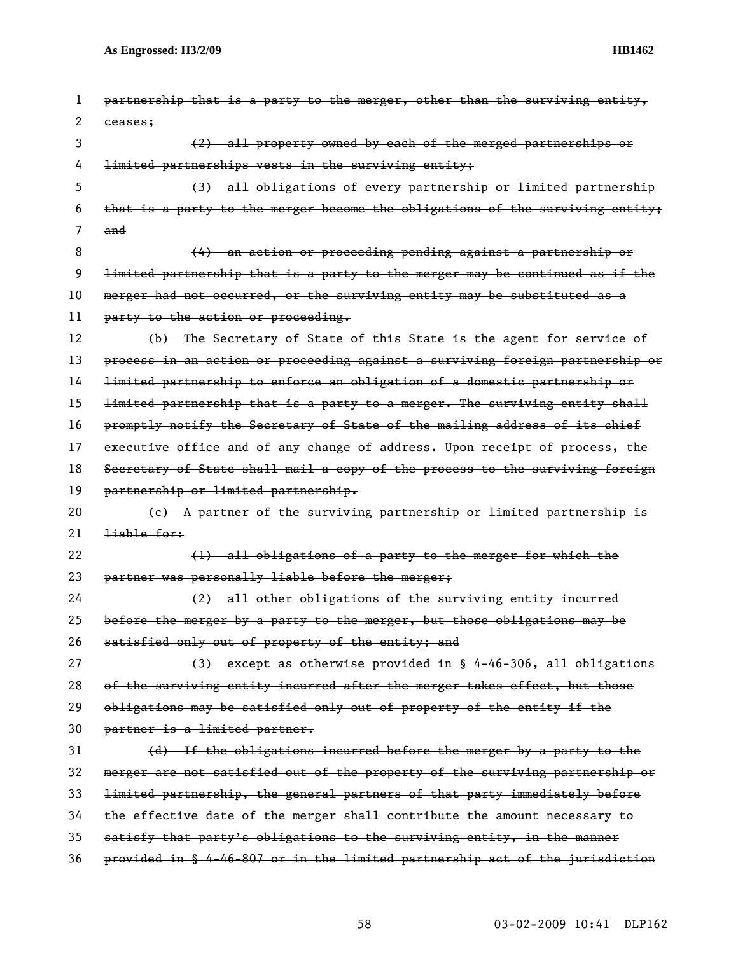| 1  | partnership that is a party to the merger, other than the surviving entity,   |
|----|-------------------------------------------------------------------------------|
| 2  | eeases:                                                                       |
| 3  | (2) all property owned by each of the merged partnerships or                  |
| 4  | limited partnerships vests in the surviving entity;                           |
| 5  | (3) all obligations of every partnership or limited partnership               |
| 6  | that is a party to the merger become the obligations of the surviving entity; |
| 7  | and                                                                           |
| 8  | (4) an action or proceeding pending against a partnership or                  |
| 9  | limited partnership that is a party to the merger may be continued as if the  |
| 10 | merger had not occurred, or the surviving entity may be substituted as a      |
| 11 | party to the action or proceeding.                                            |
| 12 | (b) The Secretary of State of this State is the agent for service of          |
| 13 | process in an action or proceeding against a surviving foreign partnership or |
| 14 | limited partnership to enforce an obligation of a domestic partnership or     |
| 15 | limited partnership that is a party to a merger. The surviving entity shall   |
| 16 | promptly notify the Secretary of State of the mailing address of its chief    |
| 17 | executive office and of any change of address. Upon receipt of process, the   |
| 18 | Secretary of State shall mail a copy of the process to the surviving foreign  |
| 19 | partnership or limited partnership.                                           |
| 20 | (c) A partner of the surviving partnership or limited partnership is          |
| 21 | <del>liable for:</del>                                                        |
| 22 | (1) all obligations of a party to the merger for which the                    |
| 23 | partner was personally liable before the merger;                              |
| 24 | (2) all other obligations of the surviving entity incurred                    |
| 25 | before the merger by a party to the merger, but those obligations may be      |
| 26 | satisfied only out of property of the entity; and                             |
| 27 | (3) except as otherwise provided in § 4-46-306, all obligations               |
| 28 | of the surviving entity incurred after the merger takes effect, but those     |
| 29 | obligations may be satisfied only out of property of the entity if the        |
| 30 | partner is a limited partner.                                                 |
| 31 | (d) If the obligations incurred before the merger by a party to the           |
| 32 | merger are not satisfied out of the property of the surviving partnership or  |
| 33 | limited partnership, the general partners of that party immediately before    |
| 34 | the effective date of the merger shall contribute the amount necessary to     |
| 35 | satisfy that party's obligations to the surviving entity, in the manner       |
| 36 | provided in § 4-46-807 or in the limited partnership act of the jurisdiction  |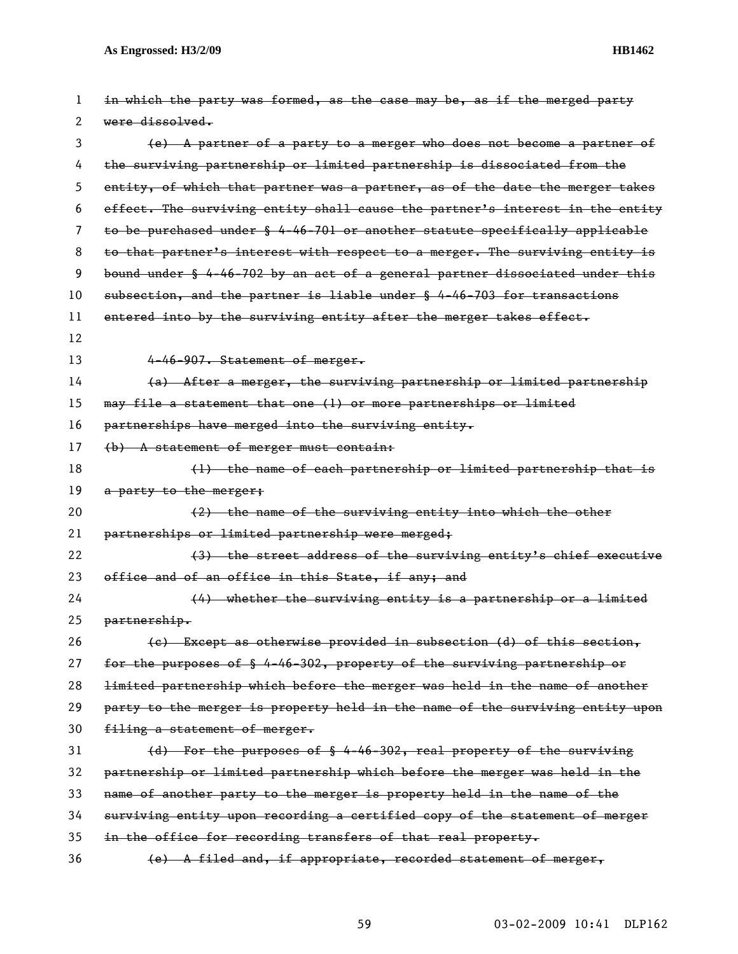| 1  | in which the party was formed, as the case may be, as if the merged party     |
|----|-------------------------------------------------------------------------------|
| 2  | were dissolved.                                                               |
| 3  | (e) A partner of a party to a merger who does not become a partner of         |
| 4  | the surviving partnership or limited partnership is dissociated from the      |
| 5  | entity, of which that partner was a partner, as of the date the merger takes  |
| 6  | effect. The surviving entity shall cause the partner's interest in the entity |
| 7  | to be purchased under § 4-46-701 or another statute specifically applicable   |
| 8  | to that partner's interest with respect to a merger. The surviving entity is  |
| 9  | bound under § 4-46-702 by an act of a general partner dissociated under this  |
| 10 | subsection, and the partner is liable under § 4-46-703 for transactions       |
| 11 | entered into by the surviving entity after the merger takes effect.           |
| 12 |                                                                               |
| 13 | 4-46-907. Statement of merger.                                                |
| 14 | (a) After a merger, the surviving partnership or limited partnership          |
| 15 | may file a statement that one (1) or more partnerships or limited             |
| 16 | partnerships have merged into the surviving entity.                           |
| 17 | (b) A statement of merger must contain:                                       |
| 18 | (1) the name of each partnership or limited partnership that is               |
| 19 | a party to the merger;                                                        |
| 20 | (2) the name of the surviving entity into which the other                     |
| 21 | partnerships or limited partnership were merged;                              |
| 22 | (3) the street address of the surviving entity's chief executive              |
| 23 | office and of an office in this State, if any; and                            |
| 24 | $(4)$ whether the surviving entity is a partnership or a limited              |
| 25 | partnership.                                                                  |
| 26 | (c) Except as otherwise provided in subsection (d) of this section,           |
| 27 | for the purposes of § 4-46-302, property of the surviving partnership or      |
| 28 | limited partnership which before the merger was held in the name of another   |
| 29 | party to the merger is property held in the name of the surviving entity upon |
| 30 | filing a statement of merger.                                                 |
| 31 | (d) For the purposes of § 4-46-302, real property of the surviving            |
| 32 | partnership or limited partnership which before the merger was held in the    |
| 33 | name of another party to the merger is property held in the name of the       |
| 34 | surviving entity upon recording a certified copy of the statement of merger   |
| 35 | in the office for recording transfers of that real property.                  |
| 36 | (e) A filed and, if appropriate, recorded statement of merger,                |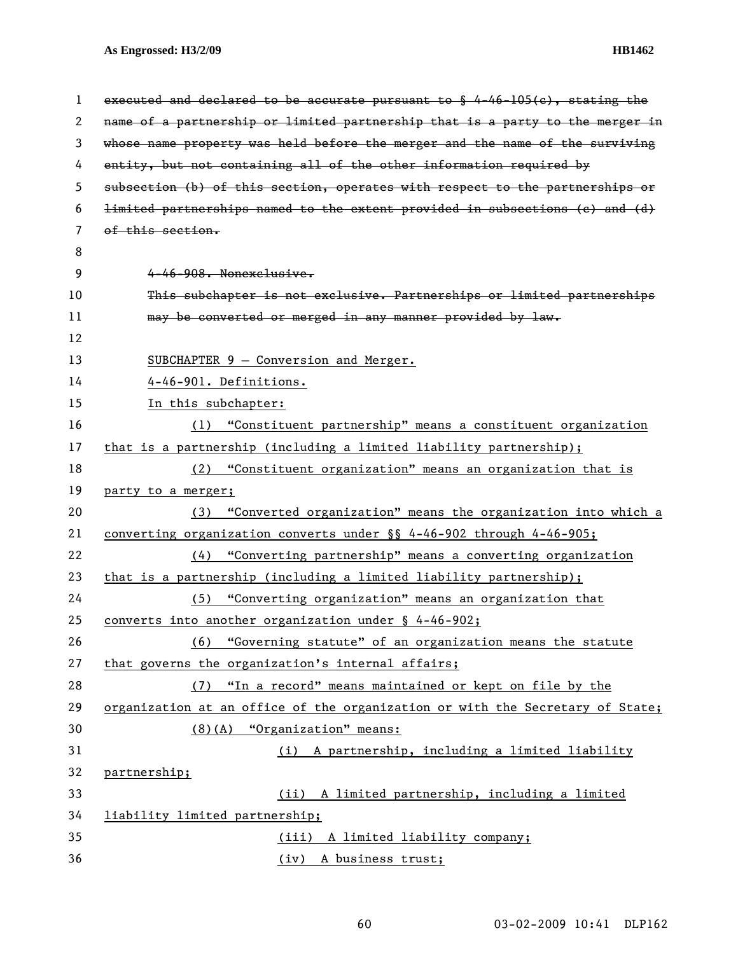| 1  | executed and declared to be accurate pursuant to $\frac{6}{9}$ 4-46-105(c), stating the |
|----|-----------------------------------------------------------------------------------------|
| 2  | name of a partnership or limited partnership that is a party to the merger in           |
| 3  | whose name property was held before the merger and the name of the surviving            |
| 4  | entity, but not containing all of the other information required by                     |
| 5  | subsection (b) of this section, operates with respect to the partnerships or            |
| 6  | limited partnerships named to the extent provided in subsections (c) and (d)            |
| 7  | of this section.                                                                        |
| 8  |                                                                                         |
| 9  | 4-46-908. Nonexclusive.                                                                 |
| 10 | This subchapter is not exclusive. Partnerships or limited partnerships                  |
| 11 | may be converted or merged in any manner provided by law.                               |
| 12 |                                                                                         |
| 13 | SUBCHAPTER 9 - Conversion and Merger.                                                   |
| 14 | 4-46-901. Definitions.                                                                  |
| 15 | In this subchapter:                                                                     |
| 16 | "Constituent partnership" means a constituent organization<br>(1)                       |
| 17 | that is a partnership (including a limited liability partnership);                      |
| 18 | (2) "Constituent organization" means an organization that is                            |
| 19 | party to a merger;                                                                      |
| 20 | (3) "Converted organization" means the organization into which a                        |
| 21 | <u>converting</u> organization converts under $\S$ 4-46-902 through 4-46-905;           |
| 22 | (4) "Converting partnership" means a converting organization                            |
| 23 | that is a partnership (including a limited liability partnership);                      |
| 24 | (5) "Converting organization" means an organization that                                |
| 25 | converts into another organization under § 4-46-902;                                    |
| 26 | (6) "Governing statute" of an organization means the statute                            |
| 27 | that governs the organization's internal affairs;                                       |
| 28 | (7) "In a record" means maintained or kept on file by the                               |
| 29 | organization at an office of the organization or with the Secretary of State;           |
| 30 | $(8)$ (A) "Organization" means:                                                         |
| 31 | (i) A partnership, including a limited liability                                        |
| 32 | partnership;                                                                            |
| 33 | (ii) A limited partnership, including a limited                                         |
| 34 | liability limited partnership;                                                          |
| 35 | (iii) A limited liability company;                                                      |
| 36 | (iv) A business trust;                                                                  |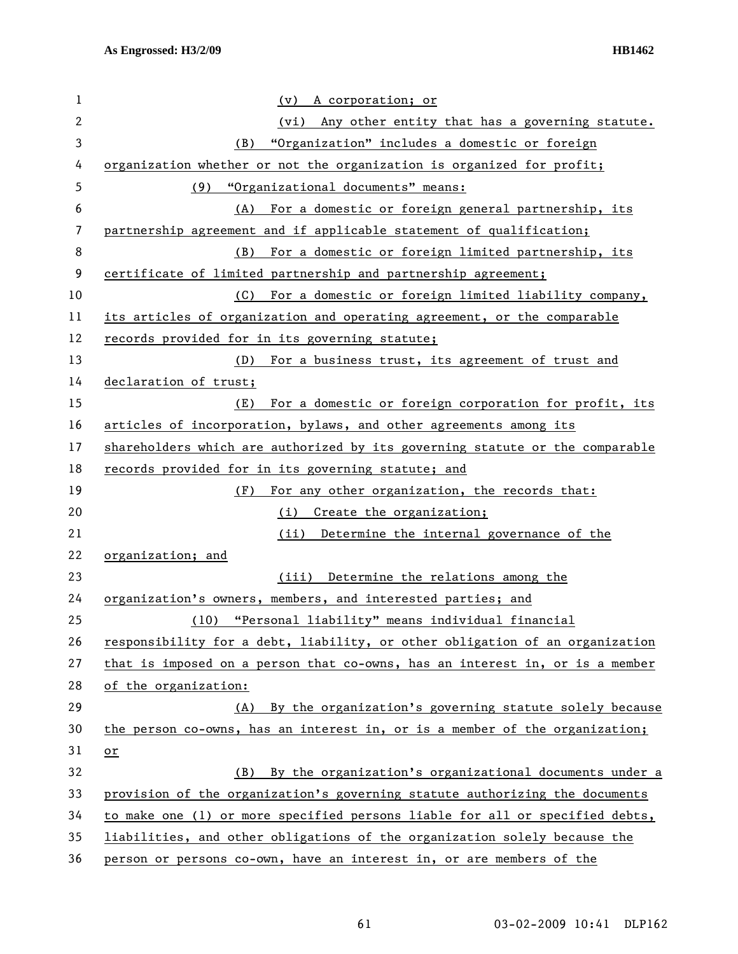| $\mathbf 1$  | A corporation; or<br>(v)                                                     |
|--------------|------------------------------------------------------------------------------|
| $\mathbf{2}$ | (vi) Any other entity that has a governing statute.                          |
| $\mathbf{3}$ | "Organization" includes a domestic or foreign<br>(B)                         |
| 4            | organization whether or not the organization is organized for profit;        |
| 5            | "Organizational documents" means:<br>(9)                                     |
| 6            | For a domestic or foreign general partnership, its<br>(A)                    |
| 7            | partnership agreement and if applicable statement of qualification;          |
| 8            | For a domestic or foreign limited partnership, its<br>(B)                    |
| 9            | certificate of limited partnership and partnership agreement;                |
| 10           | (C) For a domestic or foreign limited liability company,                     |
| 11           | its articles of organization and operating agreement, or the comparable      |
| 12           | records provided for in its governing statute;                               |
| 13           | (D)<br>For a business trust, its agreement of trust and                      |
| 14           | declaration of trust;                                                        |
| 15           | For a domestic or foreign corporation for profit, its<br>(E)                 |
| 16           | articles of incorporation, bylaws, and other agreements among its            |
| 17           | shareholders which are authorized by its governing statute or the comparable |
| 18           | records provided for in its governing statute; and                           |
| 19           | (F)<br>For any other organization, the records that:                         |
| 20           | (i) Create the organization;                                                 |
| 21           | Determine the internal governance of the<br>(ii)                             |
| 22           | organization; and                                                            |
| 23           | (iii) Determine the relations among the                                      |
| 24           | organization's owners, members, and interested parties; and                  |
| 25           | "Personal liability" means individual financial<br>(10)                      |
| 26           | responsibility for a debt, liability, or other obligation of an organization |
| 27           | that is imposed on a person that co-owns, has an interest in, or is a member |
| 28           | of the organization:                                                         |
| 29           | (A) By the organization's governing statute solely because                   |
| 30           | the person co-owns, has an interest in, or is a member of the organization;  |
| 31           | $or$                                                                         |
| 32           | By the organization's organizational documents under a<br>(B)                |
| 33           | provision of the organization's governing statute authorizing the documents  |
| 34           | to make one (1) or more specified persons liable for all or specified debts, |
| 35           | liabilities, and other obligations of the organization solely because the    |
| 36           | person or persons co-own, have an interest in, or are members of the         |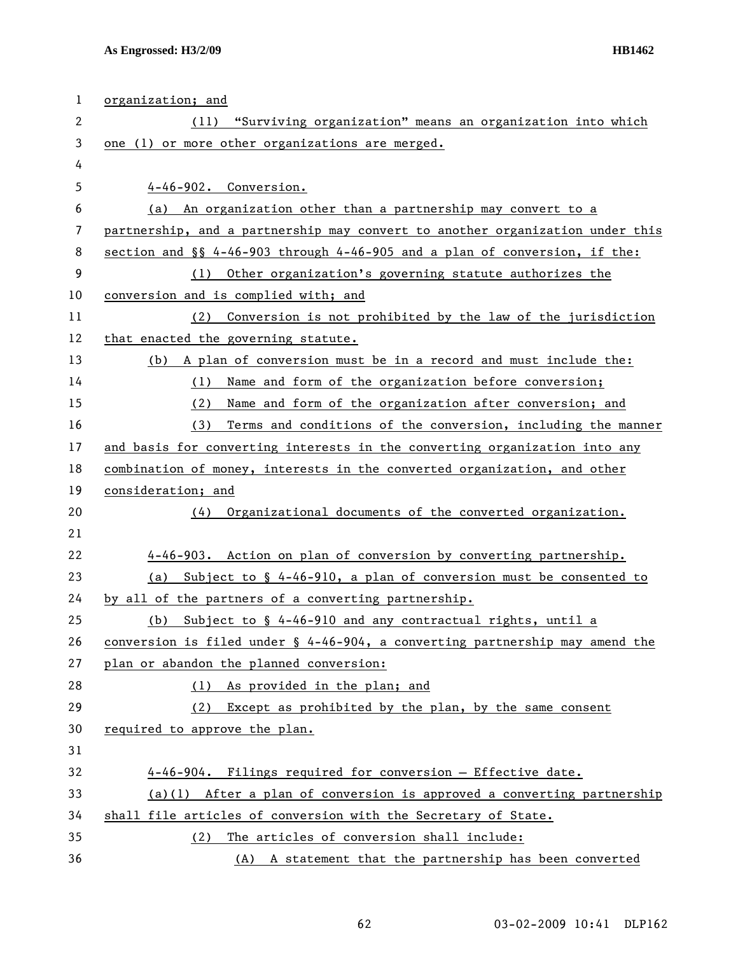| 1  | organization; and                                                                   |
|----|-------------------------------------------------------------------------------------|
| 2  | "Surviving organization" means an organization into which<br>(11)                   |
| 3  | one (1) or more other organizations are merged.                                     |
| 4  |                                                                                     |
| 5  | 4-46-902. Conversion.                                                               |
| 6  | (a) An organization other than a partnership may convert to a                       |
| 7  | partnership, and a partnership may convert to another organization under this       |
| 8  | section and $\S$ 4-46-903 through 4-46-905 and a plan of conversion, if the:        |
| 9  | (1) Other organization's governing statute authorizes the                           |
| 10 | conversion and is complied with; and                                                |
| 11 | (2) Conversion is not prohibited by the law of the jurisdiction                     |
| 12 | that enacted the governing statute.                                                 |
| 13 | (b) A plan of conversion must be in a record and must include the:                  |
| 14 | Name and form of the organization before conversion;<br>(1)                         |
| 15 | Name and form of the organization after conversion; and<br>(2)                      |
| 16 | Terms and conditions of the conversion, including the manner<br>(3)                 |
| 17 | and basis for converting interests in the converting organization into any          |
| 18 | combination of money, interests in the converted organization, and other            |
| 19 | consideration; and                                                                  |
| 20 | Organizational documents of the converted organization.<br>(4)                      |
| 21 |                                                                                     |
| 22 | 4-46-903. Action on plan of conversion by converting partnership.                   |
| 23 | Subject to $\frac{1}{2}$ 4-46-910, a plan of conversion must be consented to<br>(a) |
| 24 | by all of the partners of a converting partnership.                                 |
| 25 | Subject to § 4-46-910 and any contractual rights, until a<br>(b)                    |
| 26 | conversion is filed under § 4-46-904, a converting partnership may amend the        |
| 27 | plan or abandon the planned conversion:                                             |
| 28 | (1) As provided in the plan; and                                                    |
| 29 | Except as prohibited by the plan, by the same consent<br>(2)                        |
| 30 | required to approve the plan.                                                       |
| 31 |                                                                                     |
| 32 | 4-46-904. Filings required for conversion - Effective date.                         |
| 33 | $(a)(1)$ After a plan of conversion is approved a converting partnership            |
| 34 | shall file articles of conversion with the Secretary of State.                      |
| 35 | (2) The articles of conversion shall include:                                       |
| 36 | (A) A statement that the partnership has been converted                             |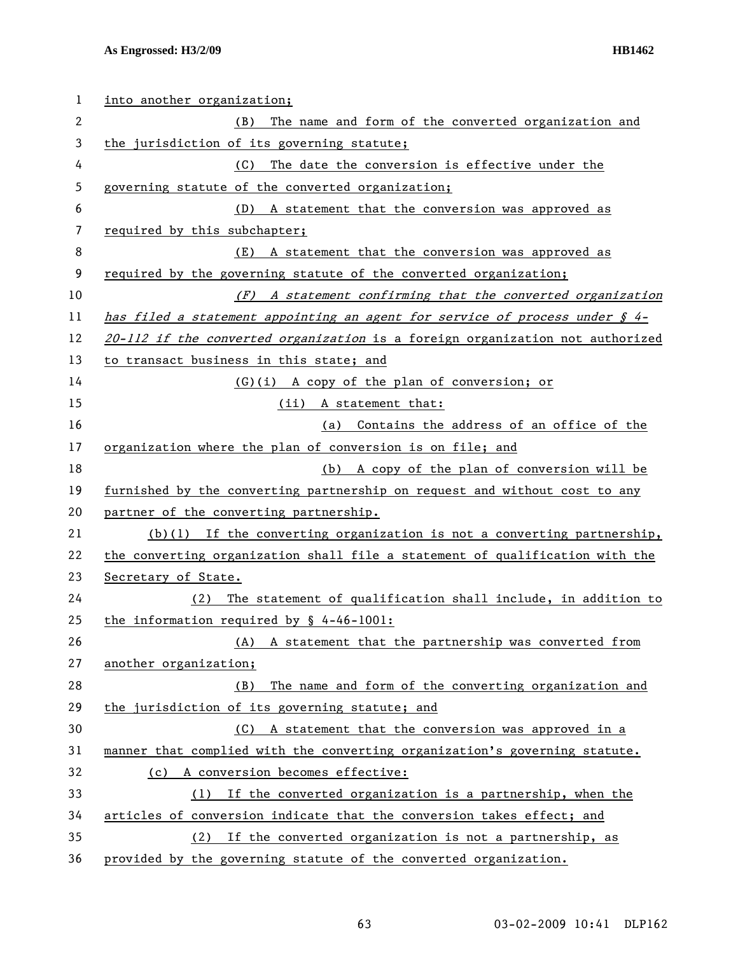| 1  | into another organization;                                                        |
|----|-----------------------------------------------------------------------------------|
| 2  | The name and form of the converted organization and<br>(B)                        |
| 3  | the jurisdiction of its governing statute;                                        |
| 4  | The date the conversion is effective under the<br>(C)                             |
| 5  | governing statute of the converted organization;                                  |
| 6  | (D) A statement that the conversion was approved as                               |
| 7  | required by this subchapter;                                                      |
| 8  | (E) A statement that the conversion was approved as                               |
| 9  | required by the governing statute of the converted organization;                  |
| 10 | $(F)$ A statement confirming that the converted organization                      |
| 11 | has filed a statement appointing an agent for service of process under $\oint$ 4- |
| 12 | 20-112 if the converted organization is a foreign organization not authorized     |
| 13 | to transact business in this state; and                                           |
| 14 | (G)(i) A copy of the plan of conversion; or                                       |
| 15 | (ii) A statement that:                                                            |
| 16 | Contains the address of an office of the<br>(a)                                   |
| 17 | organization where the plan of conversion is on file; and                         |
| 18 | (b) A copy of the plan of conversion will be                                      |
| 19 | furnished by the converting partnership on request and without cost to any        |
| 20 | partner of the converting partnership.                                            |
| 21 | $(b)(1)$ If the converting organization is not a converting partnership,          |
| 22 | the converting organization shall file a statement of qualification with the      |
| 23 | Secretary of State.                                                               |
| 24 | The statement of qualification shall include, in addition to<br>(2)               |
| 25 | the information required by $\frac{6}{5}$ 4-46-1001:                              |
| 26 | A statement that the partnership was converted from<br>(A)                        |
| 27 | another organization;                                                             |
| 28 | The name and form of the converting organization and<br>(B)                       |
| 29 | the jurisdiction of its governing statute; and                                    |
| 30 | A statement that the conversion was approved in a<br>(C)                          |
| 31 | manner that complied with the converting organization's governing statute.        |
| 32 | (c) A conversion becomes effective:                                               |
| 33 | If the converted organization is a partnership, when the<br>(1)                   |
| 34 | articles of conversion indicate that the conversion takes effect; and             |
| 35 | If the converted organization is not a partnership, as<br>(2)                     |
| 36 | provided by the governing statute of the converted organization.                  |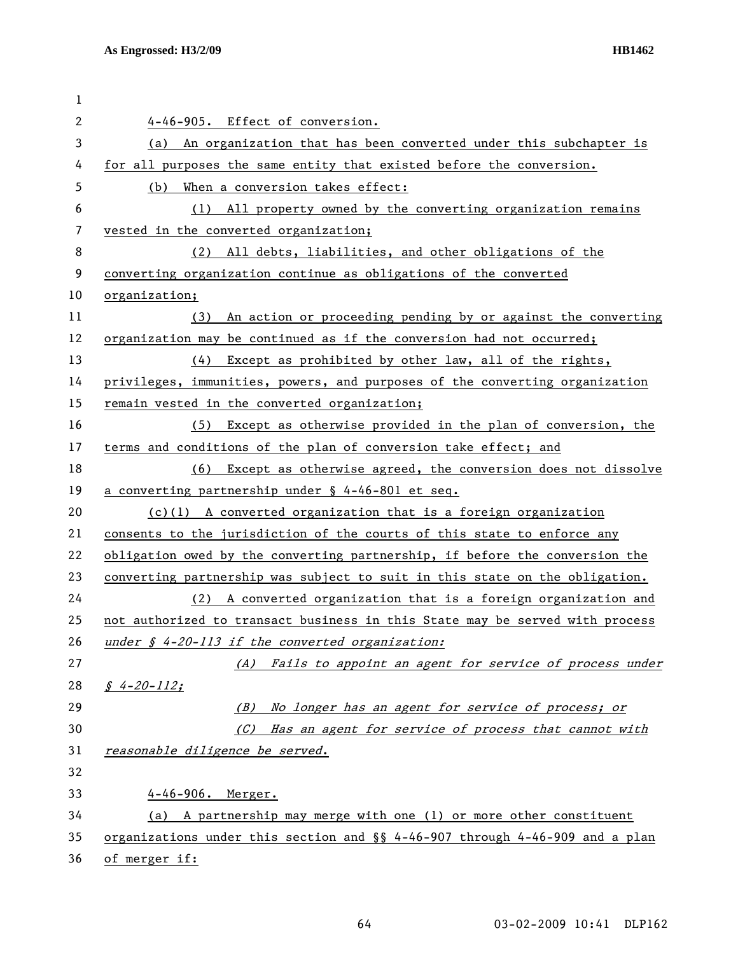| 1  |                                                                              |
|----|------------------------------------------------------------------------------|
| 2  | 4-46-905. Effect of conversion.                                              |
| 3  | (a) An organization that has been converted under this subchapter is         |
| 4  | for all purposes the same entity that existed before the conversion.         |
| 5  | (b) When a conversion takes effect:                                          |
| 6  | (1) All property owned by the converting organization remains                |
| 7  | vested in the converted organization;                                        |
| 8  | (2) All debts, liabilities, and other obligations of the                     |
| 9  | converting organization continue as obligations of the converted             |
| 10 | organization;                                                                |
| 11 | An action or proceeding pending by or against the converting<br>(3)          |
| 12 | organization may be continued as if the conversion had not occurred;         |
| 13 | Except as prohibited by other law, all of the rights,<br>(4)                 |
| 14 | privileges, immunities, powers, and purposes of the converting organization  |
| 15 | remain vested in the converted organization;                                 |
| 16 | Except as otherwise provided in the plan of conversion, the<br>(5)           |
| 17 | terms and conditions of the plan of conversion take effect; and              |
| 18 | (6) Except as otherwise agreed, the conversion does not dissolve             |
| 19 | a converting partnership under § 4-46-801 et seq.                            |
| 20 | $(c)(1)$ A converted organization that is a foreign organization             |
| 21 | consents to the jurisdiction of the courts of this state to enforce any      |
| 22 | obligation owed by the converting partnership, if before the conversion the  |
| 23 | converting partnership was subject to suit in this state on the obligation.  |
| 24 | (2) A converted organization that is a foreign organization and              |
| 25 | not authorized to transact business in this State may be served with process |
| 26 | under § 4-20-113 if the converted organization:                              |
| 27 | (A) Fails to appoint an agent for service of process under                   |
| 28 | $$4-20-112;$                                                                 |
| 29 | (B) No longer has an agent for service of process; or                        |
| 30 | (C) Has an agent for service of process that cannot with                     |
| 31 | reasonable diligence be served.                                              |
| 32 |                                                                              |
| 33 | 4-46-906. Merger.                                                            |
| 34 | (a) A partnership may merge with one (1) or more other constituent           |
| 35 | organizations under this section and §§ 4-46-907 through 4-46-909 and a plan |
| 36 | of merger if:                                                                |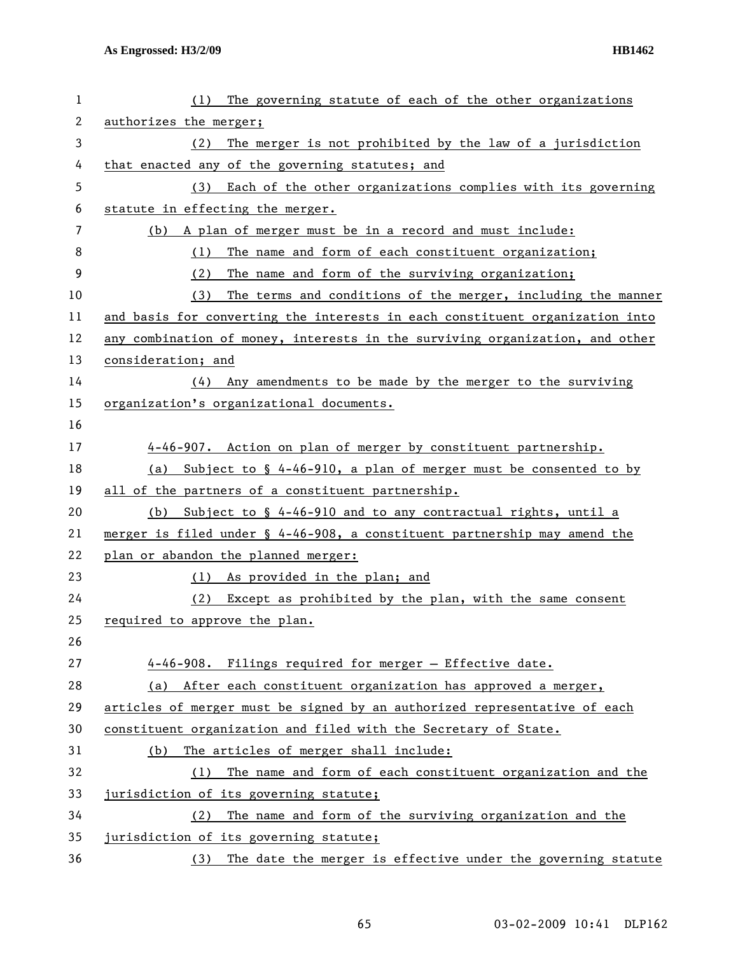| 1            | The governing statute of each of the other organizations<br>(1)                       |
|--------------|---------------------------------------------------------------------------------------|
| $\mathbf{2}$ | authorizes the merger;                                                                |
| 3            | The merger is not prohibited by the law of a jurisdiction<br>(2)                      |
| 4            | that enacted any of the governing statutes; and                                       |
| 5            | (3) Each of the other organizations complies with its governing                       |
| 6            | statute in effecting the merger.                                                      |
| 7            | (b) A plan of merger must be in a record and must include:                            |
| 8            | The name and form of each constituent organization;<br>(1)                            |
| 9            | The name and form of the surviving organization;<br>(2)                               |
| 10           | (3)<br>The terms and conditions of the merger, including the manner                   |
| 11           | and basis for converting the interests in each constituent organization into          |
| 12           | any combination of money, interests in the surviving organization, and other          |
| 13           | consideration; and                                                                    |
| 14           | (4) Any amendments to be made by the merger to the surviving                          |
| 15           | organization's organizational documents.                                              |
| 16           |                                                                                       |
| 17           | 4-46-907. Action on plan of merger by constituent partnership.                        |
| 18           | (a) Subject to $\S$ 4-46-910, a plan of merger must be consented to by                |
| 19           | all of the partners of a constituent partnership.                                     |
| 20           | (b) Subject to $\S$ 4-46-910 and to any contractual rights, until a                   |
| 21           | merger is filed under $\frac{1}{2}$ 4-46-908, a constituent partnership may amend the |
| 22           | plan or abandon the planned merger:                                                   |
| 23           | (1) As provided in the plan; and                                                      |
| 24           | (2) Except as prohibited by the plan, with the same consent                           |
| 25           | required to approve the plan.                                                         |
| 26           |                                                                                       |
| 27           | 4-46-908. Filings required for merger - Effective date.                               |
| 28           | (a) After each constituent organization has approved a merger,                        |
| 29           | articles of merger must be signed by an authorized representative of each             |
| 30           | constituent organization and filed with the Secretary of State.                       |
| 31           | The articles of merger shall include:<br>(b)                                          |
| 32           | The name and form of each constituent organization and the<br>(1)                     |
| 33           | jurisdiction of its governing statute;                                                |
| 34           | The name and form of the surviving organization and the<br>(2)                        |
| 35           | jurisdiction of its governing statute;                                                |
| 36           | The date the merger is effective under the governing statute<br>(3)                   |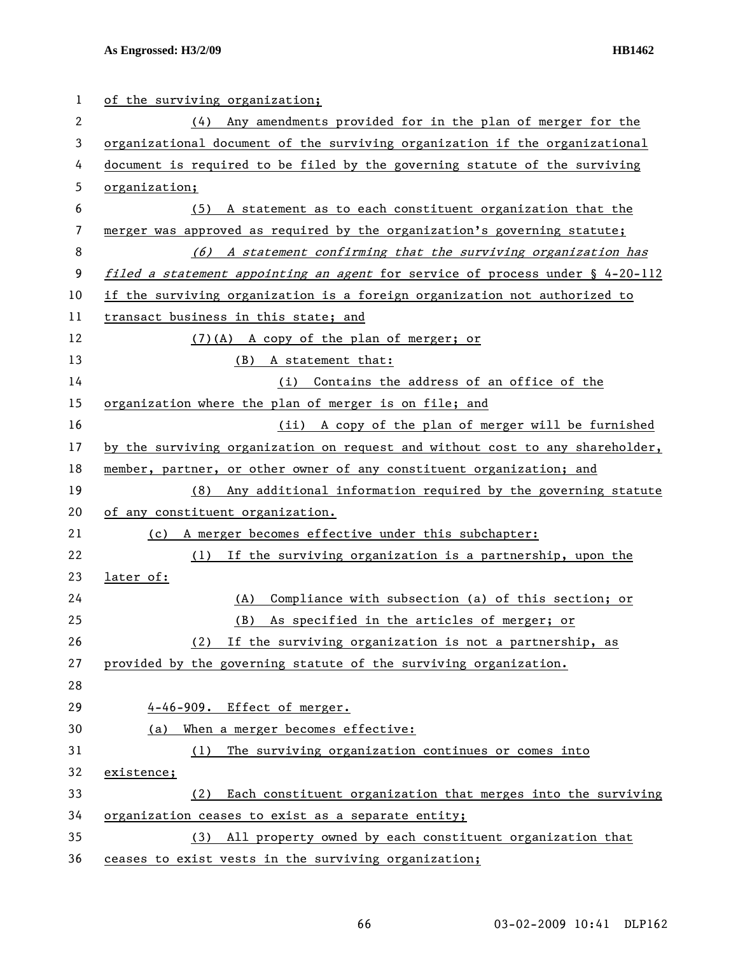| 1  | of the surviving organization;                                                   |
|----|----------------------------------------------------------------------------------|
| 2  | (4) Any amendments provided for in the plan of merger for the                    |
| 3  | organizational document of the surviving organization if the organizational      |
| 4  | document is required to be filed by the governing statute of the surviving       |
| 5  | organization;                                                                    |
| 6  | (5) A statement as to each constituent organization that the                     |
| 7  | merger was approved as required by the organization's governing statute;         |
| 8  | (6) A statement confirming that the surviving organization has                   |
| 9  | filed a statement appointing an agent for service of process under $\S$ 4-20-112 |
| 10 | if the surviving organization is a foreign organization not authorized to        |
| 11 | transact business in this state; and                                             |
| 12 | (7)(A) A copy of the plan of merger; or                                          |
| 13 | (B)<br>A statement that:                                                         |
| 14 | (i) Contains the address of an office of the                                     |
| 15 | organization where the plan of merger is on file; and                            |
| 16 | (ii) A copy of the plan of merger will be furnished                              |
| 17 | by the surviving organization on request and without cost to any shareholder,    |
| 18 | member, partner, or other owner of any constituent organization; and             |
| 19 | (8) Any additional information required by the governing statute                 |
| 20 | of any constituent organization.                                                 |
| 21 | A merger becomes effective under this subchapter:<br>(c)                         |
| 22 | If the surviving organization is a partnership, upon the<br>(1)                  |
| 23 | later of:                                                                        |
| 24 | Compliance with subsection (a) of this section; or<br>(A)                        |
| 25 | As specified in the articles of merger; or<br>(B)                                |
| 26 | If the surviving organization is not a partnership, as<br>(2)                    |
| 27 | provided by the governing statute of the surviving organization.                 |
| 28 |                                                                                  |
| 29 | 4-46-909. Effect of merger.                                                      |
| 30 | When a merger becomes effective:<br>(a)                                          |
| 31 | The surviving organization continues or comes into<br>(1)                        |
| 32 | existence;                                                                       |
| 33 | Each constituent organization that merges into the surviving<br>(2)              |
| 34 | organization ceases to exist as a separate entity;                               |
| 35 | All property owned by each constituent organization that<br>(3)                  |
| 36 | ceases to exist vests in the surviving organization;                             |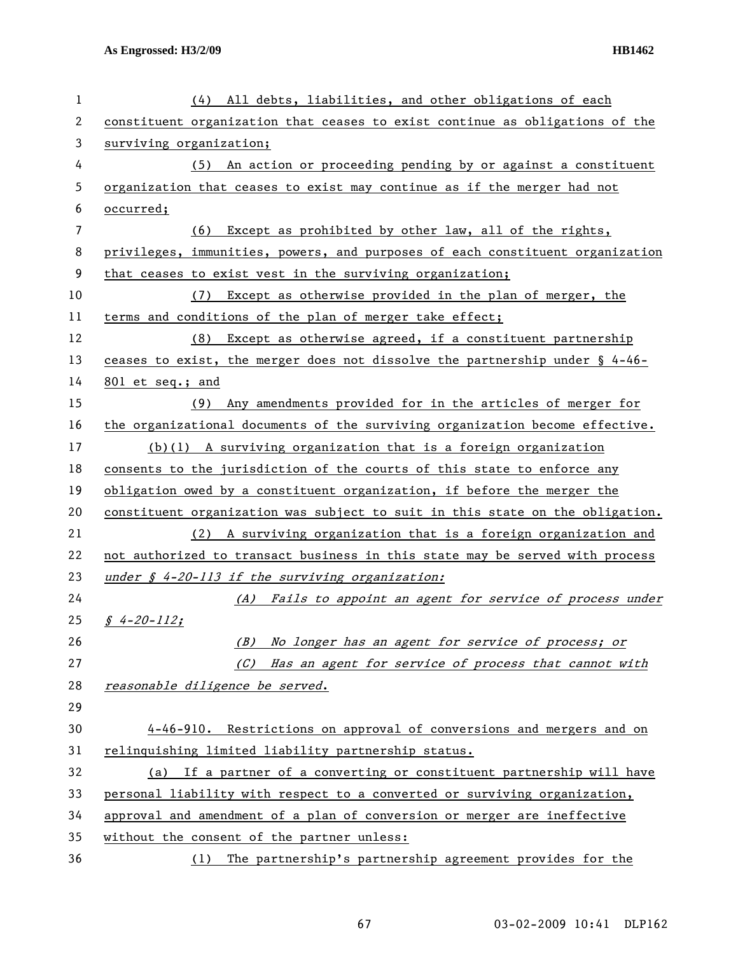| 1  | (4) All debts, liabilities, and other obligations of each                      |
|----|--------------------------------------------------------------------------------|
| 2  | constituent organization that ceases to exist continue as obligations of the   |
| 3  | surviving organization;                                                        |
| 4  | (5) An action or proceeding pending by or against a constituent                |
| 5  | organization that ceases to exist may continue as if the merger had not        |
| 6  | occurred;                                                                      |
| 7  | (6) Except as prohibited by other law, all of the rights,                      |
| 8  | privileges, immunities, powers, and purposes of each constituent organization  |
| 9  | that ceases to exist vest in the surviving organization;                       |
| 10 | Except as otherwise provided in the plan of merger, the<br>(7)                 |
| 11 | terms and conditions of the plan of merger take effect;                        |
| 12 | (8) Except as otherwise agreed, if a constituent partnership                   |
| 13 | ceases to exist, the merger does not dissolve the partnership under $\S$ 4-46- |
| 14 | 801 et seq.; and                                                               |
| 15 | (9) Any amendments provided for in the articles of merger for                  |
| 16 | the organizational documents of the surviving organization become effective.   |
| 17 | $(b)(1)$ A surviving organization that is a foreign organization               |
| 18 | consents to the jurisdiction of the courts of this state to enforce any        |
| 19 | obligation owed by a constituent organization, if before the merger the        |
| 20 | constituent organization was subject to suit in this state on the obligation.  |
| 21 | (2) A surviving organization that is a foreign organization and                |
| 22 | not authorized to transact business in this state may be served with process   |
| 23 | under $\oint$ 4-20-113 if the surviving organization:                          |
| 24 | (A) Fails to appoint an agent for service of process under                     |
| 25 | $$4-20-112;$                                                                   |
| 26 | No longer has an agent for service of process; or<br>(B)                       |
| 27 | (C) Has an agent for service of process that cannot with                       |
| 28 | reasonable diligence be served.                                                |
| 29 |                                                                                |
| 30 | 4-46-910. Restrictions on approval of conversions and mergers and on           |
| 31 | relinquishing limited liability partnership status.                            |
| 32 | (a) If a partner of a converting or constituent partnership will have          |
| 33 | personal liability with respect to a converted or surviving organization,      |
| 34 | approval and amendment of a plan of conversion or merger are ineffective       |
| 35 | without the consent of the partner unless:                                     |
| 36 | The partnership's partnership agreement provides for the<br>(1)                |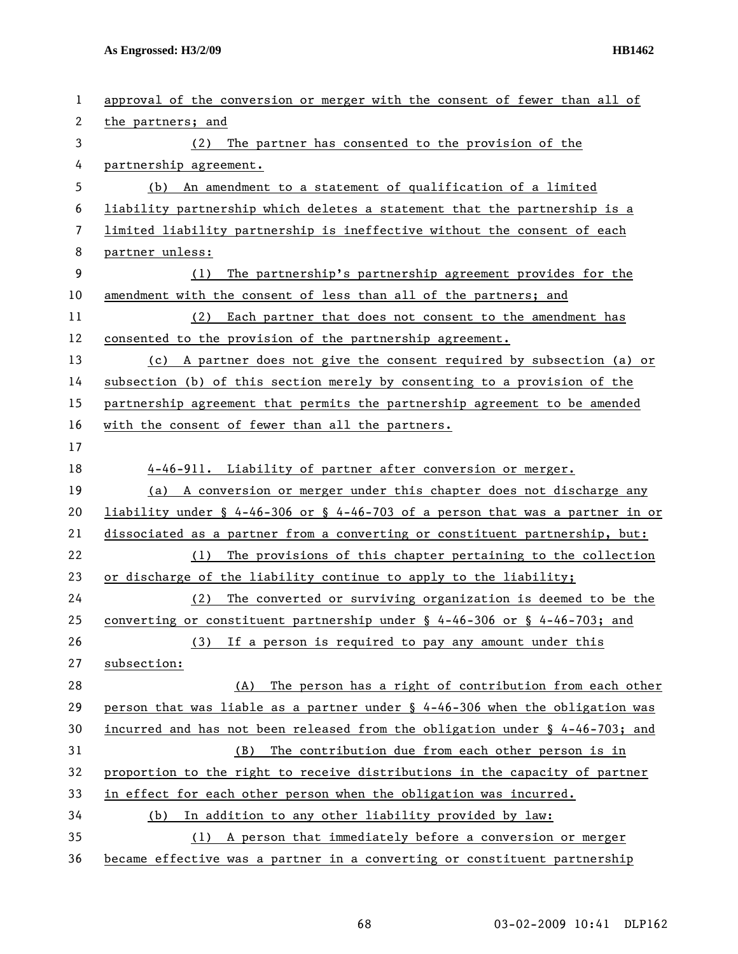| $\mathbf{1}$ | approval of the conversion or merger with the consent of fewer than all of      |
|--------------|---------------------------------------------------------------------------------|
| 2            | the partners; and                                                               |
| 3            | (2) The partner has consented to the provision of the                           |
| 4            | partnership agreement.                                                          |
| 5            | (b) An amendment to a statement of qualification of a limited                   |
| 6            | liability partnership which deletes a statement that the partnership is a       |
| 7            | limited liability partnership is ineffective without the consent of each        |
| 8            | partner unless:                                                                 |
| 9            | (1)<br>The partnership's partnership agreement provides for the                 |
| 10           | amendment with the consent of less than all of the partners; and                |
| 11           | (2) Each partner that does not consent to the amendment has                     |
| 12           | consented to the provision of the partnership agreement.                        |
| 13           | (c) A partner does not give the consent required by subsection (a) or           |
| 14           | subsection (b) of this section merely by consenting to a provision of the       |
| 15           | partnership agreement that permits the partnership agreement to be amended      |
| 16           | with the consent of fewer than all the partners.                                |
| 17           |                                                                                 |
| 18           | 4-46-911. Liability of partner after conversion or merger.                      |
| 19           | (a) A conversion or merger under this chapter does not discharge any            |
| 20           | liability under § 4-46-306 or § 4-46-703 of a person that was a partner in or   |
| 21           | dissociated as a partner from a converting or constituent partnership, but:     |
| 22           | The provisions of this chapter pertaining to the collection<br>(1)              |
| 23           | or discharge of the liability continue to apply to the liability;               |
| 24           | (2)<br>The converted or surviving organization is deemed to be the              |
| 25           | converting or constituent partnership under $\S$ 4-46-306 or $\S$ 4-46-703; and |
| 26           | If a person is required to pay any amount under this<br>(3)                     |
| 27           | subsection:                                                                     |
| 28           | The person has a right of contribution from each other<br>(A)                   |
| 29           | person that was liable as a partner under § 4-46-306 when the obligation was    |
| 30           | incurred and has not been released from the obligation under § 4-46-703; and    |
| 31           | The contribution due from each other person is in<br>(B)                        |
| 32           | proportion to the right to receive distributions in the capacity of partner     |
| 33           | in effect for each other person when the obligation was incurred.               |
| 34           | In addition to any other liability provided by law:<br>(b)                      |
| 35           | A person that immediately before a conversion or merger<br>(1)                  |
| 36           | became effective was a partner in a converting or constituent partnership       |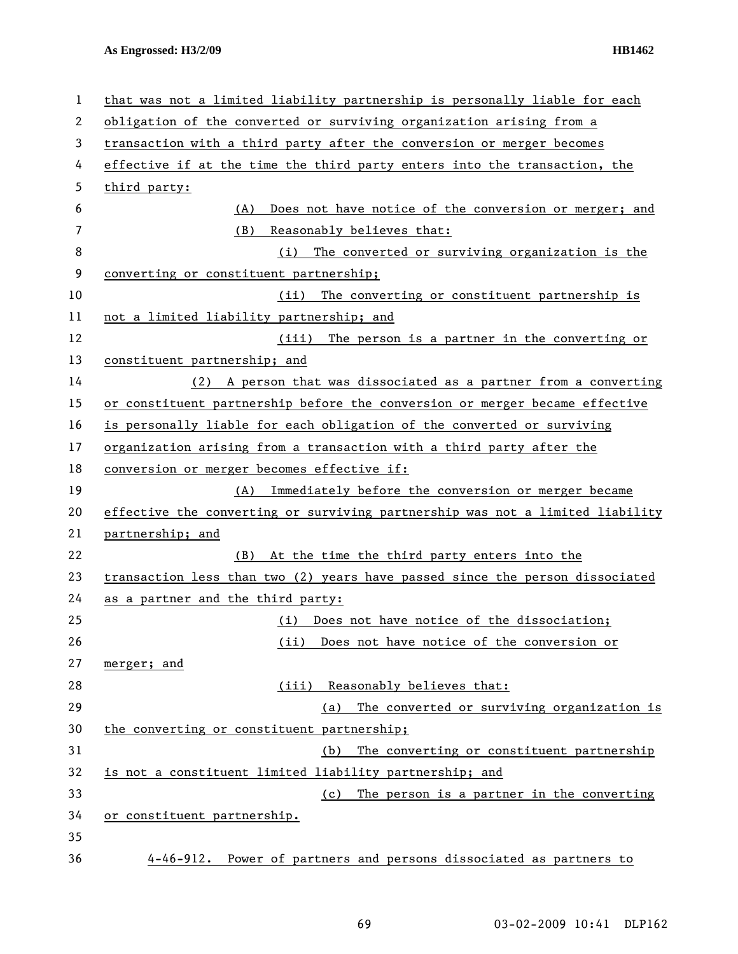| 1  | that was not a limited liability partnership is personally liable for each    |
|----|-------------------------------------------------------------------------------|
| 2  | obligation of the converted or surviving organization arising from a          |
| 3  | transaction with a third party after the conversion or merger becomes         |
| 4  | effective if at the time the third party enters into the transaction, the     |
| 5  | third party:                                                                  |
| 6  | Does not have notice of the conversion or merger; and<br>(A)                  |
| 7  | Reasonably believes that:<br>(B)                                              |
| 8  | (i) The converted or surviving organization is the                            |
| 9  | converting or constituent partnership;                                        |
| 10 | (ii) The converting or constituent partnership is                             |
| 11 | not a limited liability partnership; and                                      |
| 12 | (iii) The person is a partner in the converting or                            |
| 13 | constituent partnership; and                                                  |
| 14 | (2) A person that was dissociated as a partner from a converting              |
| 15 | or constituent partnership before the conversion or merger became effective   |
| 16 | is personally liable for each obligation of the converted or surviving        |
| 17 | organization arising from a transaction with a third party after the          |
| 18 | conversion or merger becomes effective if:                                    |
| 19 | (A) Immediately before the conversion or merger became                        |
| 20 | effective the converting or surviving partnership was not a limited liability |
| 21 | partnership; and                                                              |
| 22 | At the time the third party enters into the<br>(B)                            |
| 23 | transaction less than two (2) years have passed since the person dissociated  |
| 24 | as a partner and the third party:                                             |
| 25 | (i) Does not have notice of the dissociation;                                 |
| 26 | Does not have notice of the conversion or<br>(iii)                            |
| 27 | merger; and                                                                   |
| 28 | Reasonably believes that:<br>(iii)                                            |
| 29 | The converted or surviving organization is<br>(a)                             |
| 30 | the converting or constituent partnership;                                    |
| 31 | The converting or constituent partnership<br>(b)                              |
| 32 | is not a constituent limited liability partnership; and                       |
| 33 | The person is a partner in the converting<br>(c)                              |
| 34 | or constituent partnership.                                                   |
| 35 |                                                                               |
| 36 | 4-46-912. Power of partners and persons dissociated as partners to            |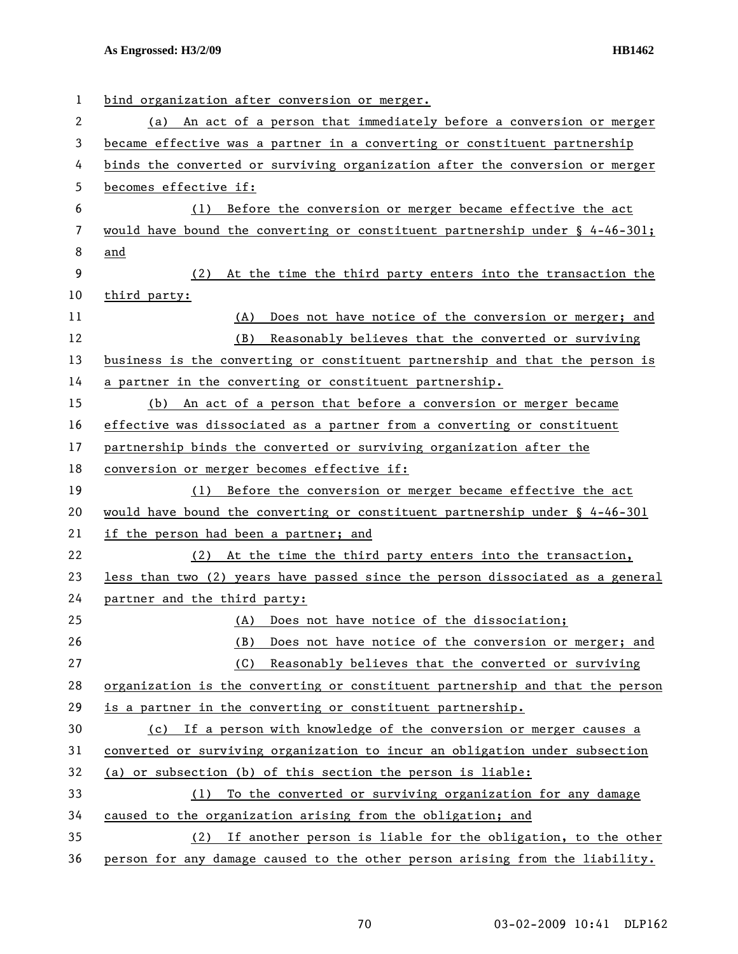| 1  | bind organization after conversion or merger.                                   |
|----|---------------------------------------------------------------------------------|
| 2  | (a) An act of a person that immediately before a conversion or merger           |
| 3  | became effective was a partner in a converting or constituent partnership       |
| 4  | binds the converted or surviving organization after the conversion or merger    |
| 5  | becomes effective if:                                                           |
| 6  | Before the conversion or merger became effective the act<br>(1)                 |
| 7  | would have bound the converting or constituent partnership under $\S$ 4-46-301; |
| 8  | and                                                                             |
| 9  | (2) At the time the third party enters into the transaction the                 |
| 10 | third party:                                                                    |
| 11 | (A)<br>Does not have notice of the conversion or merger; and                    |
| 12 | Reasonably believes that the converted or surviving<br>(B)                      |
| 13 | business is the converting or constituent partnership and that the person is    |
| 14 | a partner in the converting or constituent partnership.                         |
| 15 | (b) An act of a person that before a conversion or merger became                |
| 16 | effective was dissociated as a partner from a converting or constituent         |
| 17 | partnership binds the converted or surviving organization after the             |
| 18 | conversion or merger becomes effective if:                                      |
| 19 | Before the conversion or merger became effective the act<br>(1)                 |
| 20 | would have bound the converting or constituent partnership under § 4-46-301     |
| 21 | if the person had been a partner; and                                           |
| 22 | (2) At the time the third party enters into the transaction,                    |
| 23 | less than two (2) years have passed since the person dissociated as a general   |
| 24 | partner and the third party:                                                    |
| 25 | (A) Does not have notice of the dissociation;                                   |
| 26 | Does not have notice of the conversion or merger; and<br>(B)                    |
| 27 | Reasonably believes that the converted or surviving<br>(C)                      |
| 28 | organization is the converting or constituent partnership and that the person   |
| 29 | is a partner in the converting or constituent partnership.                      |
| 30 | (c) If a person with knowledge of the conversion or merger causes a             |
| 31 | converted or surviving organization to incur an obligation under subsection     |
| 32 | (a) or subsection (b) of this section the person is liable:                     |
| 33 | To the converted or surviving organization for any damage<br>(1)                |
| 34 | caused to the organization arising from the obligation; and                     |
| 35 | If another person is liable for the obligation, to the other<br>(2)             |
| 36 | person for any damage caused to the other person arising from the liability.    |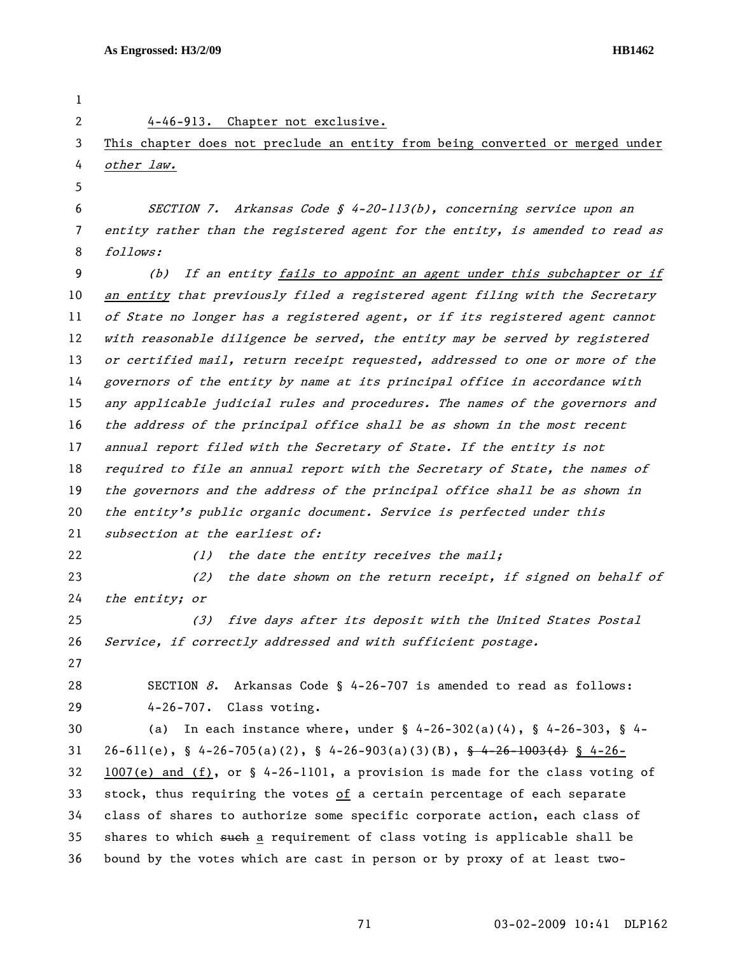| 1  |                                                                                        |
|----|----------------------------------------------------------------------------------------|
| 2  | 4-46-913. Chapter not exclusive.                                                       |
| 3  | This chapter does not preclude an entity from being converted or merged under          |
| 4  | other law.                                                                             |
| 5  |                                                                                        |
| 6  | SECTION 7. Arkansas Code § 4-20-113(b), concerning service upon an                     |
| 7  | entity rather than the registered agent for the entity, is amended to read as          |
| 8  | follows:                                                                               |
| 9  | (b)<br>If an entity fails to appoint an agent under this subchapter or if              |
| 10 | an entity that previously filed a registered agent filing with the Secretary           |
| 11 | of State no longer has a registered agent, or if its registered agent cannot           |
| 12 | with reasonable diligence be served, the entity may be served by registered            |
| 13 | or certified mail, return receipt requested, addressed to one or more of the           |
| 14 | governors of the entity by name at its principal office in accordance with             |
| 15 | any applicable judicial rules and procedures. The names of the governors and           |
| 16 | the address of the principal office shall be as shown in the most recent               |
| 17 | annual report filed with the Secretary of State. If the entity is not                  |
| 18 | required to file an annual report with the Secretary of State, the names of            |
| 19 | the governors and the address of the principal office shall be as shown in             |
| 20 | the entity's public organic document. Service is perfected under this                  |
| 21 | subsection at the earliest of:                                                         |
| 22 | the date the entity receives the mail;<br>(1)                                          |
| 23 | the date shown on the return receipt, if signed on behalf of<br>(2)                    |
| 24 | the entity; or                                                                         |
| 25 | five days after its deposit with the United States Postal<br>(3)                       |
| 26 | Service, if correctly addressed and with sufficient postage.                           |
| 27 |                                                                                        |
| 28 | SECTION $8$ . Arkansas Code § 4-26-707 is amended to read as follows:                  |
| 29 | $4-26-707$ . Class voting.                                                             |
| 30 | In each instance where, under $\S$ 4-26-302(a)(4), $\S$ 4-26-303, $\S$ 4-<br>(a)       |
| 31 | $26-611(e)$ , § 4-26-705(a)(2), § 4-26-903(a)(3)(B), <del>§ 4-26-1003(d)</del> § 4-26- |
| 32 | $1007(e)$ and (f), or § 4-26-1101, a provision is made for the class voting of         |
| 33 | stock, thus requiring the votes of a certain percentage of each separate               |
| 34 | class of shares to authorize some specific corporate action, each class of             |
| 35 | shares to which such a requirement of class voting is applicable shall be              |
| 36 | bound by the votes which are cast in person or by proxy of at least two-               |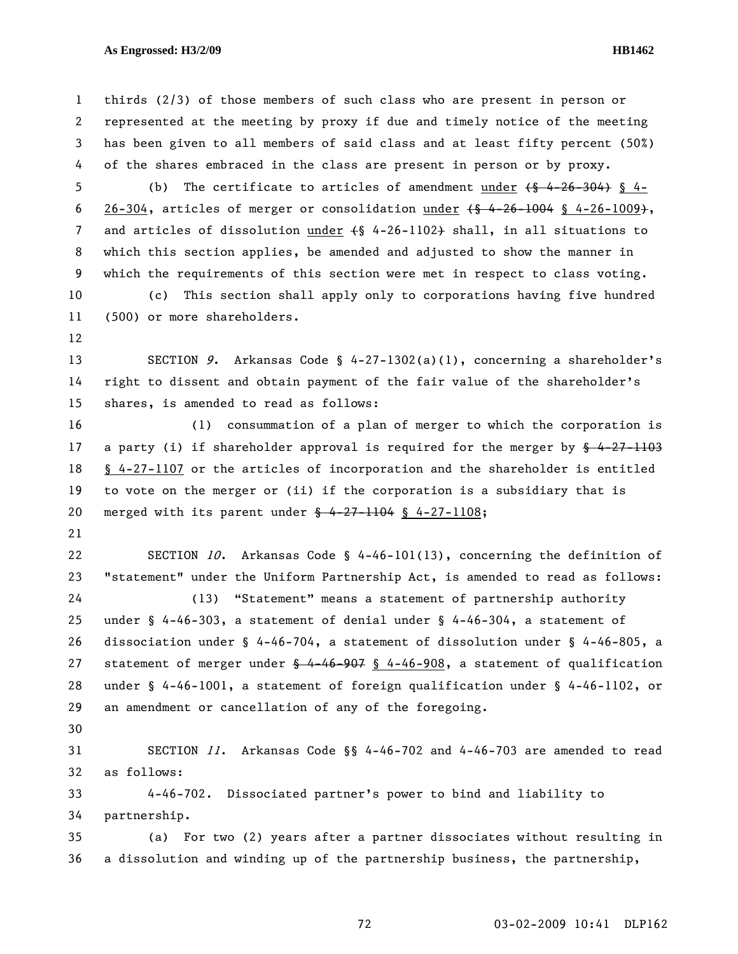1 thirds (2/3) of those members of such class who are present in person or 2 represented at the meeting by proxy if due and timely notice of the meeting 3 has been given to all members of said class and at least fifty percent (50%) 4 of the shares embraced in the class are present in person or by proxy. 5 (b) The certificate to articles of amendment under  $\{6, 4-26-304\}$  § 4-6 26-304, articles of merger or consolidation under  $\{\frac{4}{9}$  4-26-1004 § 4-26-1009+, 7 and articles of dissolution under (§ 4-26-1102) shall, in all situations to 8 which this section applies, be amended and adjusted to show the manner in 9 which the requirements of this section were met in respect to class voting. 10 (c) This section shall apply only to corporations having five hundred 11 (500) or more shareholders. 12 13 SECTION 9. Arkansas Code § 4-27-1302(a)(1), concerning a shareholder's 14 right to dissent and obtain payment of the fair value of the shareholder's 15 shares, is amended to read as follows: 16 (1) consummation of a plan of merger to which the corporation is 17 a party (i) if shareholder approval is required for the merger by  $\frac{6}{9}$  4-27-1103 18 § 4-27-1107 or the articles of incorporation and the shareholder is entitled 19 to vote on the merger or (ii) if the corporation is a subsidiary that is 20 merged with its parent under § 4-27-1104 § 4-27-1108; 21 22 SECTION 10. Arkansas Code § 4-46-101(13), concerning the definition of 23 "statement" under the Uniform Partnership Act, is amended to read as follows: 24 (13) "Statement" means a statement of partnership authority 25 under § 4-46-303, a statement of denial under § 4-46-304, a statement of 26 dissociation under § 4-46-704, a statement of dissolution under § 4-46-805, a 27 statement of merger under  $\frac{6}{9}$  4-46-907 § 4-46-908, a statement of qualification 28 under § 4-46-1001, a statement of foreign qualification under § 4-46-1102, or 29 an amendment or cancellation of any of the foregoing. 30 31 SECTION 11. Arkansas Code §§ 4-46-702 and 4-46-703 are amended to read 32 as follows: 33 4-46-702. Dissociated partner's power to bind and liability to 34 partnership. 35 (a) For two (2) years after a partner dissociates without resulting in 36 a dissolution and winding up of the partnership business, the partnership,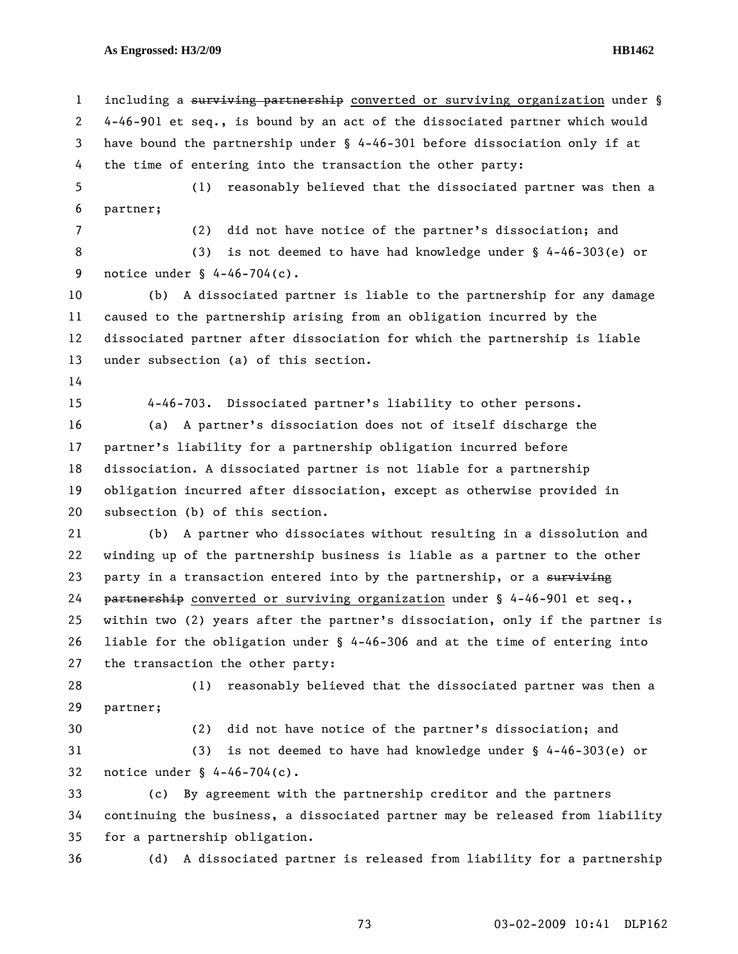1 including a surviving partnership converted or surviving organization under § 2 4-46-901 et seq., is bound by an act of the dissociated partner which would 3 have bound the partnership under § 4-46-301 before dissociation only if at 4 the time of entering into the transaction the other party: 5 (1) reasonably believed that the dissociated partner was then a 6 partner; 7 (2) did not have notice of the partner's dissociation; and 8 (3) is not deemed to have had knowledge under § 4-46-303(e) or 9 notice under § 4-46-704(c). 10 (b) A dissociated partner is liable to the partnership for any damage 11 caused to the partnership arising from an obligation incurred by the 12 dissociated partner after dissociation for which the partnership is liable 13 under subsection (a) of this section. 14 15 4-46-703. Dissociated partner's liability to other persons. 16 (a) A partner's dissociation does not of itself discharge the 17 partner's liability for a partnership obligation incurred before 18 dissociation. A dissociated partner is not liable for a partnership 19 obligation incurred after dissociation, except as otherwise provided in 20 subsection (b) of this section. 21 (b) A partner who dissociates without resulting in a dissolution and 22 winding up of the partnership business is liable as a partner to the other 23 party in a transaction entered into by the partnership, or a surviving 24 partnership converted or surviving organization under § 4-46-901 et seq., 25 within two (2) years after the partner's dissociation, only if the partner is 26 liable for the obligation under § 4-46-306 and at the time of entering into 27 the transaction the other party: 28 (1) reasonably believed that the dissociated partner was then a 29 partner; 30 (2) did not have notice of the partner's dissociation; and 31 (3) is not deemed to have had knowledge under § 4-46-303(e) or 32 notice under § 4-46-704(c). 33 (c) By agreement with the partnership creditor and the partners 34 continuing the business, a dissociated partner may be released from liability 35 for a partnership obligation. 36 (d) A dissociated partner is released from liability for a partnership